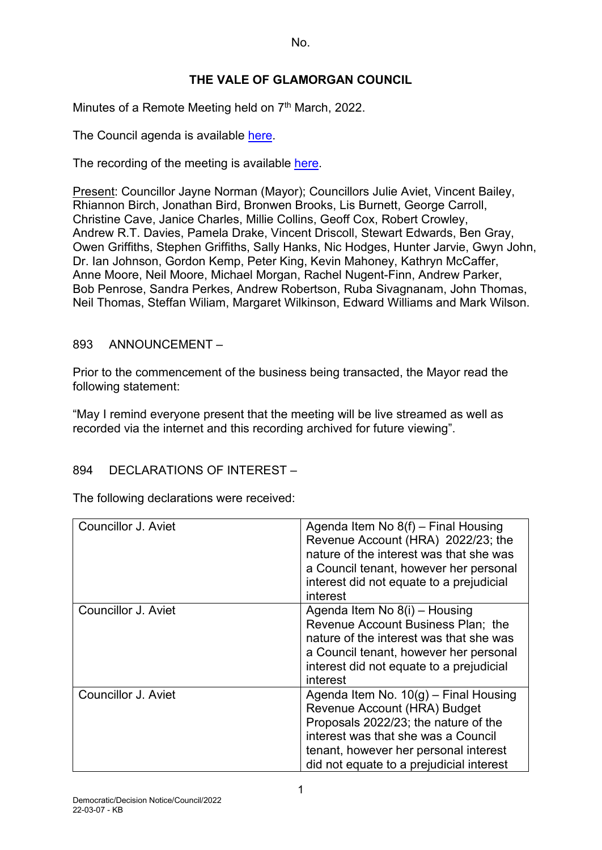## **THE VALE OF GLAMORGAN COUNCIL**

Minutes of a Remote Meeting held on  $7<sup>th</sup>$  March, 2022.

The Council agenda is available [here.](https://www.valeofglamorgan.gov.uk/en/our_council/Council-Structure/minutes,_agendas_and_reports/agendas/council/2021/21-12-06.aspx)

The recording of the meeting is available [here.](https://www.youtube.com/watch?v=wxqhN_1lihI&list=PLzt4i14pgqIFIu5GcsMs1g6b5IUR90m5d&index=1&t=10861s)

Present: Councillor Jayne Norman (Mayor); Councillors Julie Aviet, Vincent Bailey, Rhiannon Birch, Jonathan Bird, Bronwen Brooks, Lis Burnett, George Carroll, Christine Cave, Janice Charles, Millie Collins, Geoff Cox, Robert Crowley, Andrew R.T. Davies, Pamela Drake, Vincent Driscoll, Stewart Edwards, Ben Gray, Owen Griffiths, Stephen Griffiths, Sally Hanks, Nic Hodges, Hunter Jarvie, Gwyn John, Dr. Ian Johnson, Gordon Kemp, Peter King, Kevin Mahoney, Kathryn McCaffer, Anne Moore, Neil Moore, Michael Morgan, Rachel Nugent-Finn, Andrew Parker, Bob Penrose, Sandra Perkes, Andrew Robertson, Ruba Sivagnanam, John Thomas, Neil Thomas, Steffan Wiliam, Margaret Wilkinson, Edward Williams and Mark Wilson.

#### 893 ANNOUNCEMENT –

Prior to the commencement of the business being transacted, the Mayor read the following statement:

"May I remind everyone present that the meeting will be live streamed as well as recorded via the internet and this recording archived for future viewing".

### 894 DECLARATIONS OF INTEREST –

The following declarations were received:

| <b>Councillor J. Aviet</b> | Agenda Item No $8(f)$ – Final Housing<br>Revenue Account (HRA) 2022/23; the<br>nature of the interest was that she was<br>a Council tenant, however her personal<br>interest did not equate to a prejudicial<br>interest                    |
|----------------------------|---------------------------------------------------------------------------------------------------------------------------------------------------------------------------------------------------------------------------------------------|
| Councillor J. Aviet        | Agenda Item No 8(i) – Housing<br>Revenue Account Business Plan; the<br>nature of the interest was that she was<br>a Council tenant, however her personal<br>interest did not equate to a prejudicial<br>interest                            |
| <b>Councillor J. Aviet</b> | Agenda Item No. $10(q)$ – Final Housing<br>Revenue Account (HRA) Budget<br>Proposals 2022/23; the nature of the<br>interest was that she was a Council<br>tenant, however her personal interest<br>did not equate to a prejudicial interest |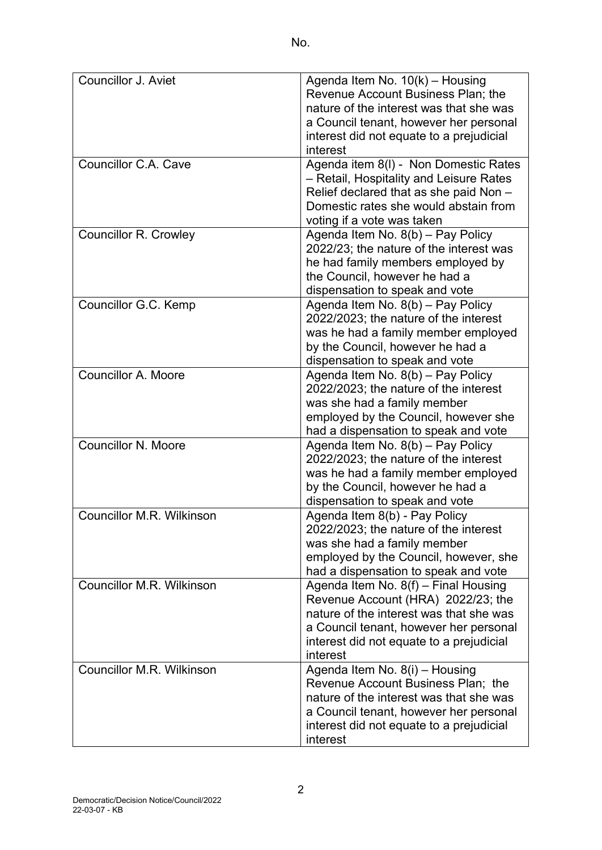| Councillor J. Aviet          | Agenda Item No. 10(k) - Housing          |
|------------------------------|------------------------------------------|
|                              | Revenue Account Business Plan; the       |
|                              | nature of the interest was that she was  |
|                              | a Council tenant, however her personal   |
|                              | interest did not equate to a prejudicial |
|                              | interest                                 |
| Councillor C.A. Cave         | Agenda item 8(I) - Non Domestic Rates    |
|                              | - Retail, Hospitality and Leisure Rates  |
|                              | Relief declared that as she paid Non -   |
|                              | Domestic rates she would abstain from    |
|                              | voting if a vote was taken               |
| <b>Councillor R. Crowley</b> | Agenda Item No. 8(b) - Pay Policy        |
|                              | 2022/23; the nature of the interest was  |
|                              | he had family members employed by        |
|                              | the Council, however he had a            |
|                              | dispensation to speak and vote           |
| Councillor G.C. Kemp         | Agenda Item No. 8(b) - Pay Policy        |
|                              | 2022/2023; the nature of the interest    |
|                              | was he had a family member employed      |
|                              |                                          |
|                              | by the Council, however he had a         |
|                              | dispensation to speak and vote           |
| <b>Councillor A. Moore</b>   | Agenda Item No. 8(b) - Pay Policy        |
|                              | 2022/2023; the nature of the interest    |
|                              | was she had a family member              |
|                              | employed by the Council, however she     |
|                              | had a dispensation to speak and vote     |
| <b>Councillor N. Moore</b>   | Agenda Item No. 8(b) - Pay Policy        |
|                              | 2022/2023; the nature of the interest    |
|                              | was he had a family member employed      |
|                              | by the Council, however he had a         |
|                              | dispensation to speak and vote           |
| Councillor M.R. Wilkinson    | Agenda Item 8(b) - Pay Policy            |
|                              | 2022/2023; the nature of the interest    |
|                              | was she had a family member              |
|                              | employed by the Council, however, she    |
|                              | had a dispensation to speak and vote     |
| Councillor M.R. Wilkinson    | Agenda Item No. 8(f) - Final Housing     |
|                              | Revenue Account (HRA) 2022/23; the       |
|                              | nature of the interest was that she was  |
|                              |                                          |
|                              | a Council tenant, however her personal   |
|                              | interest did not equate to a prejudicial |
|                              | interest                                 |
| Councillor M.R. Wilkinson    | Agenda Item No. 8(i) - Housing           |
|                              | Revenue Account Business Plan; the       |
|                              | nature of the interest was that she was  |
|                              | a Council tenant, however her personal   |
|                              | interest did not equate to a prejudicial |
|                              | interest                                 |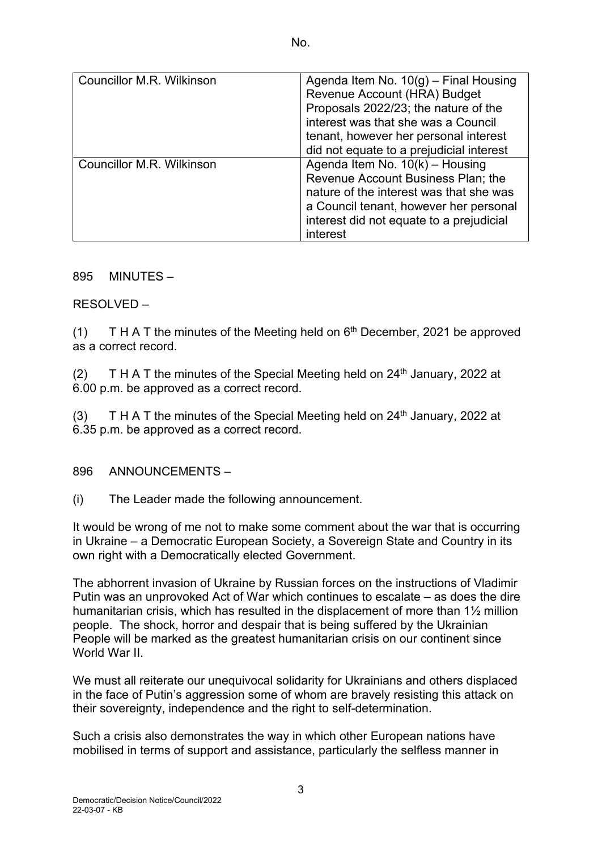| <b>Councillor M.R. Wilkinson</b> | Agenda Item No. $10(g)$ – Final Housing  |
|----------------------------------|------------------------------------------|
|                                  | Revenue Account (HRA) Budget             |
|                                  | Proposals 2022/23; the nature of the     |
|                                  | interest was that she was a Council      |
|                                  | tenant, however her personal interest    |
|                                  | did not equate to a prejudicial interest |
| <b>Councillor M.R. Wilkinson</b> | Agenda Item No. $10(k)$ – Housing        |
|                                  | Revenue Account Business Plan; the       |
|                                  | nature of the interest was that she was  |
|                                  | a Council tenant, however her personal   |
|                                  | interest did not equate to a prejudicial |
|                                  | interest                                 |

895 MINUTES –

RESOLVED –

(1) T H A T the minutes of the Meeting held on  $6<sup>th</sup>$  December, 2021 be approved as a correct record.

(2) T H A T the minutes of the Special Meeting held on  $24<sup>th</sup>$  January, 2022 at 6.00 p.m. be approved as a correct record.

(3) T H A T the minutes of the Special Meeting held on  $24<sup>th</sup>$  January, 2022 at 6.35 p.m. be approved as a correct record.

896 ANNOUNCEMENTS –

(i) The Leader made the following announcement.

It would be wrong of me not to make some comment about the war that is occurring in Ukraine – a Democratic European Society, a Sovereign State and Country in its own right with a Democratically elected Government.

The abhorrent invasion of Ukraine by Russian forces on the instructions of Vladimir Putin was an unprovoked Act of War which continues to escalate – as does the dire humanitarian crisis, which has resulted in the displacement of more than 1½ million people. The shock, horror and despair that is being suffered by the Ukrainian People will be marked as the greatest humanitarian crisis on our continent since World War II

We must all reiterate our unequivocal solidarity for Ukrainians and others displaced in the face of Putin's aggression some of whom are bravely resisting this attack on their sovereignty, independence and the right to self-determination.

Such a crisis also demonstrates the way in which other European nations have mobilised in terms of support and assistance, particularly the selfless manner in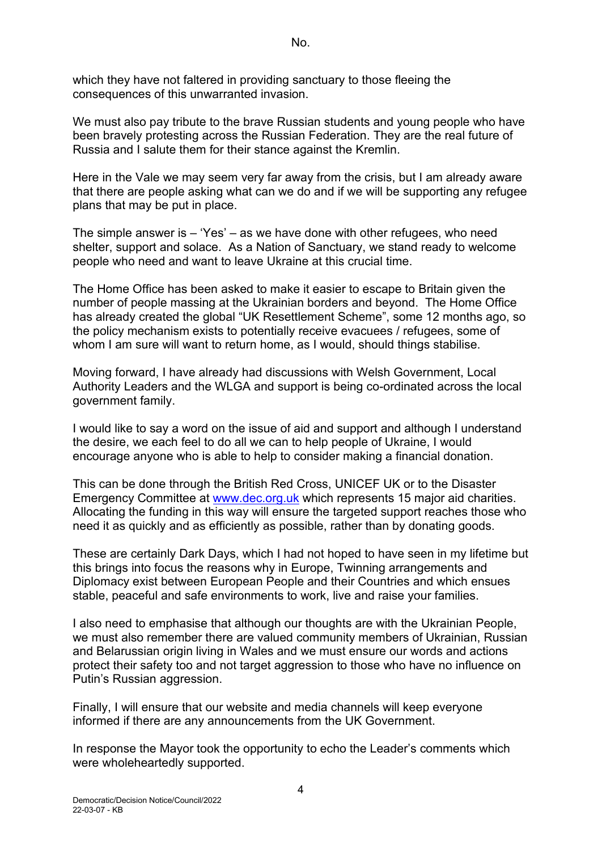which they have not faltered in providing sanctuary to those fleeing the consequences of this unwarranted invasion.

We must also pay tribute to the brave Russian students and young people who have been bravely protesting across the Russian Federation. They are the real future of Russia and I salute them for their stance against the Kremlin.

Here in the Vale we may seem very far away from the crisis, but I am already aware that there are people asking what can we do and if we will be supporting any refugee plans that may be put in place.

The simple answer is  $-$  'Yes'  $-$  as we have done with other refugees, who need shelter, support and solace. As a Nation of Sanctuary, we stand ready to welcome people who need and want to leave Ukraine at this crucial time.

The Home Office has been asked to make it easier to escape to Britain given the number of people massing at the Ukrainian borders and beyond. The Home Office has already created the global "UK Resettlement Scheme", some 12 months ago, so the policy mechanism exists to potentially receive evacuees / refugees, some of whom I am sure will want to return home, as I would, should things stabilise.

Moving forward, I have already had discussions with Welsh Government, Local Authority Leaders and the WLGA and support is being co-ordinated across the local government family.

I would like to say a word on the issue of aid and support and although I understand the desire, we each feel to do all we can to help people of Ukraine, I would encourage anyone who is able to help to consider making a financial donation.

This can be done through the British Red Cross, UNICEF UK or to the Disaster Emergency Committee at [www.dec.org.uk](http://www.dec.org.uk/) which represents 15 major aid charities. Allocating the funding in this way will ensure the targeted support reaches those who need it as quickly and as efficiently as possible, rather than by donating goods.

These are certainly Dark Days, which I had not hoped to have seen in my lifetime but this brings into focus the reasons why in Europe, Twinning arrangements and Diplomacy exist between European People and their Countries and which ensues stable, peaceful and safe environments to work, live and raise your families.

I also need to emphasise that although our thoughts are with the Ukrainian People, we must also remember there are valued community members of Ukrainian, Russian and Belarussian origin living in Wales and we must ensure our words and actions protect their safety too and not target aggression to those who have no influence on Putin's Russian aggression.

Finally, I will ensure that our website and media channels will keep everyone informed if there are any announcements from the UK Government.

In response the Mayor took the opportunity to echo the Leader's comments which were wholeheartedly supported.

4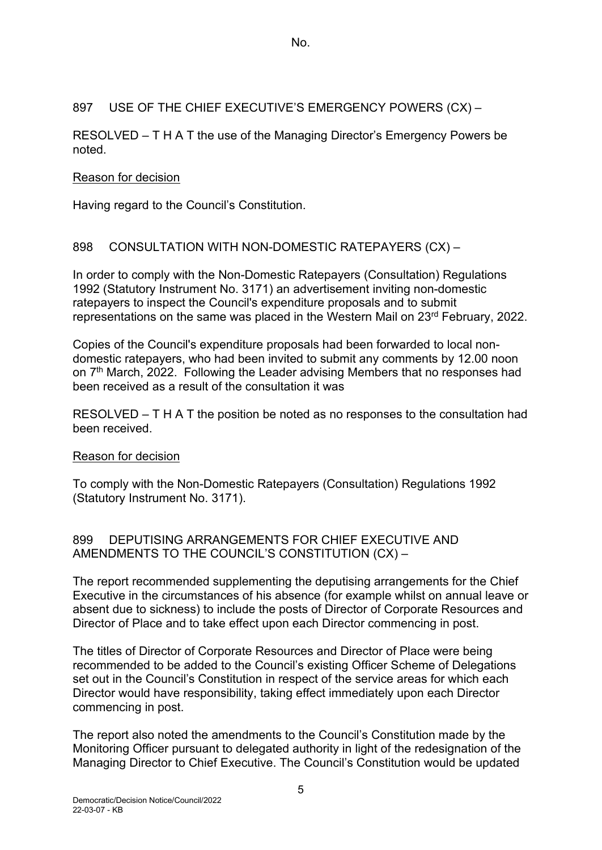#### 897 USE OF THE CHIEF EXECUTIVE'S EMERGENCY POWERS (CX) –

RESOLVED – T H A T the use of the Managing Director's Emergency Powers be noted.

#### Reason for decision

Having regard to the Council's Constitution.

#### 898 CONSULTATION WITH NON-DOMESTIC RATEPAYERS (CX) –

In order to comply with the Non-Domestic Ratepayers (Consultation) Regulations 1992 (Statutory Instrument No. 3171) an advertisement inviting non-domestic ratepayers to inspect the Council's expenditure proposals and to submit representations on the same was placed in the Western Mail on 23rd February, 2022.

Copies of the Council's expenditure proposals had been forwarded to local nondomestic ratepayers, who had been invited to submit any comments by 12.00 noon on 7<sup>th</sup> March, 2022. Following the Leader advising Members that no responses had been received as a result of the consultation it was

RESOLVED – T H A T the position be noted as no responses to the consultation had been received.

#### Reason for decision

To comply with the Non-Domestic Ratepayers (Consultation) Regulations 1992 (Statutory Instrument No. 3171).

#### 899 DEPUTISING ARRANGEMENTS FOR CHIEF EXECUTIVE AND AMENDMENTS TO THE COUNCIL'S CONSTITUTION (CX) –

The report recommended supplementing the deputising arrangements for the Chief Executive in the circumstances of his absence (for example whilst on annual leave or absent due to sickness) to include the posts of Director of Corporate Resources and Director of Place and to take effect upon each Director commencing in post.

The titles of Director of Corporate Resources and Director of Place were being recommended to be added to the Council's existing Officer Scheme of Delegations set out in the Council's Constitution in respect of the service areas for which each Director would have responsibility, taking effect immediately upon each Director commencing in post.

The report also noted the amendments to the Council's Constitution made by the Monitoring Officer pursuant to delegated authority in light of the redesignation of the Managing Director to Chief Executive. The Council's Constitution would be updated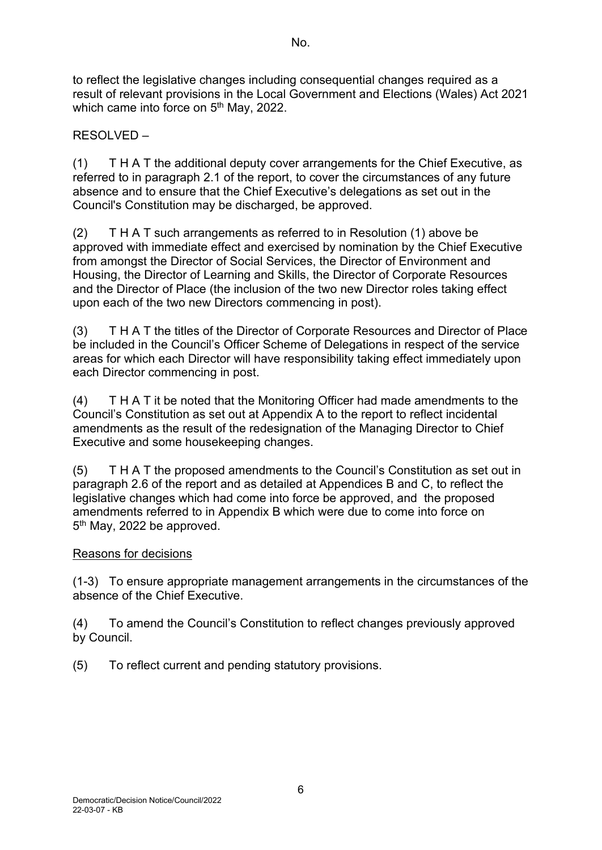to reflect the legislative changes including consequential changes required as a result of relevant provisions in the Local Government and Elections (Wales) Act 2021 which came into force on 5<sup>th</sup> May, 2022.

RESOLVED –

(1) T H A T the additional deputy cover arrangements for the Chief Executive, as referred to in paragraph 2.1 of the report, to cover the circumstances of any future absence and to ensure that the Chief Executive's delegations as set out in the Council's Constitution may be discharged, be approved.

(2) T H A T such arrangements as referred to in Resolution (1) above be approved with immediate effect and exercised by nomination by the Chief Executive from amongst the Director of Social Services, the Director of Environment and Housing, the Director of Learning and Skills, the Director of Corporate Resources and the Director of Place (the inclusion of the two new Director roles taking effect upon each of the two new Directors commencing in post).

(3) T H A T the titles of the Director of Corporate Resources and Director of Place be included in the Council's Officer Scheme of Delegations in respect of the service areas for which each Director will have responsibility taking effect immediately upon each Director commencing in post.

(4) T H A T it be noted that the Monitoring Officer had made amendments to the Council's Constitution as set out at Appendix A to the report to reflect incidental amendments as the result of the redesignation of the Managing Director to Chief Executive and some housekeeping changes.

(5) T H A T the proposed amendments to the Council's Constitution as set out in paragraph 2.6 of the report and as detailed at Appendices B and C, to reflect the legislative changes which had come into force be approved, and the proposed amendments referred to in Appendix B which were due to come into force on 5<sup>th</sup> May, 2022 be approved.

# Reasons for decisions

(1-3) To ensure appropriate management arrangements in the circumstances of the absence of the Chief Executive.

(4) To amend the Council's Constitution to reflect changes previously approved by Council.

(5) To reflect current and pending statutory provisions.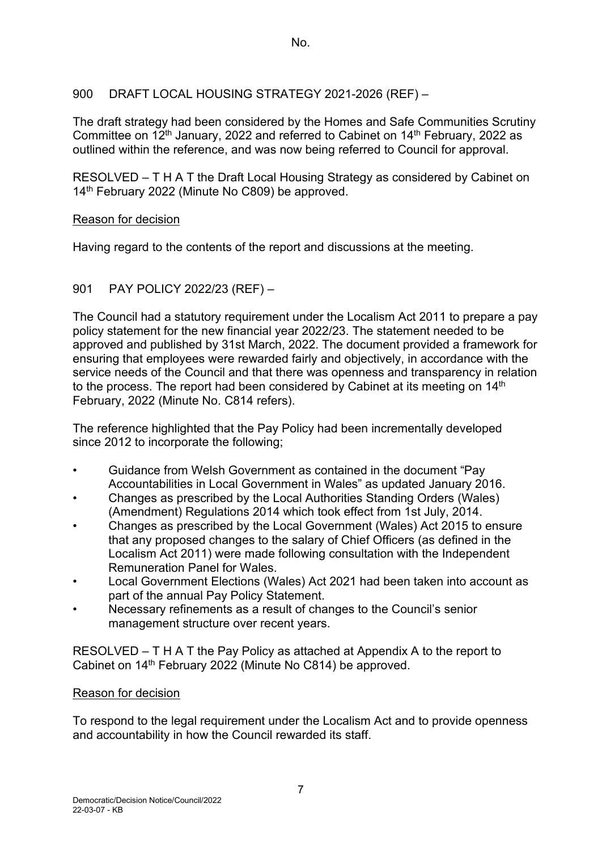## 900 DRAFT LOCAL HOUSING STRATEGY 2021-2026 (REF) –

The draft strategy had been considered by the Homes and Safe Communities Scrutiny Committee on 12th January, 2022 and referred to Cabinet on 14th February, 2022 as outlined within the reference, and was now being referred to Council for approval.

RESOLVED – T H A T the Draft Local Housing Strategy as considered by Cabinet on 14<sup>th</sup> February 2022 (Minute No C809) be approved.

### Reason for decision

Having regard to the contents of the report and discussions at the meeting.

## 901 PAY POLICY 2022/23 (REF) –

The Council had a statutory requirement under the Localism Act 2011 to prepare a pay policy statement for the new financial year 2022/23. The statement needed to be approved and published by 31st March, 2022. The document provided a framework for ensuring that employees were rewarded fairly and objectively, in accordance with the service needs of the Council and that there was openness and transparency in relation to the process. The report had been considered by Cabinet at its meeting on 14<sup>th</sup> February, 2022 (Minute No. C814 refers).

The reference highlighted that the Pay Policy had been incrementally developed since 2012 to incorporate the following;

- Guidance from Welsh Government as contained in the document "Pay Accountabilities in Local Government in Wales" as updated January 2016.
- Changes as prescribed by the Local Authorities Standing Orders (Wales) (Amendment) Regulations 2014 which took effect from 1st July, 2014.
- Changes as prescribed by the Local Government (Wales) Act 2015 to ensure that any proposed changes to the salary of Chief Officers (as defined in the Localism Act 2011) were made following consultation with the Independent Remuneration Panel for Wales.
- Local Government Elections (Wales) Act 2021 had been taken into account as part of the annual Pay Policy Statement.
- Necessary refinements as a result of changes to the Council's senior management structure over recent years.

RESOLVED – T H A T the Pay Policy as attached at Appendix A to the report to Cabinet on 14th February 2022 (Minute No C814) be approved.

### Reason for decision

To respond to the legal requirement under the Localism Act and to provide openness and accountability in how the Council rewarded its staff.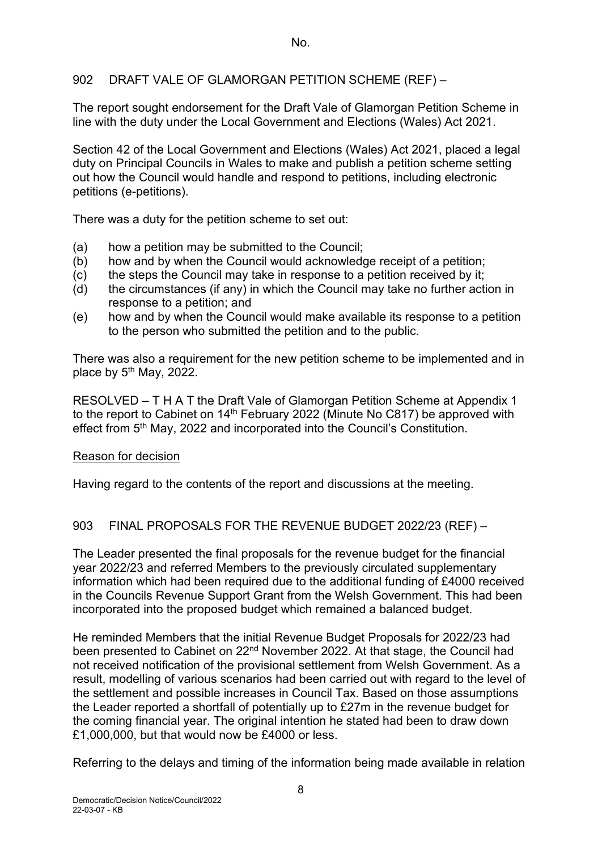## 902 DRAFT VALE OF GLAMORGAN PETITION SCHEME (REF) –

The report sought endorsement for the Draft Vale of Glamorgan Petition Scheme in line with the duty under the Local Government and Elections (Wales) Act 2021.

Section 42 of the Local Government and Elections (Wales) Act 2021, placed a legal duty on Principal Councils in Wales to make and publish a petition scheme setting out how the Council would handle and respond to petitions, including electronic petitions (e-petitions).

There was a duty for the petition scheme to set out:

- (a) how a petition may be submitted to the Council;
- (b) how and by when the Council would acknowledge receipt of a petition:
- (c) the steps the Council may take in response to a petition received by it;
- (d) the circumstances (if any) in which the Council may take no further action in response to a petition; and
- (e) how and by when the Council would make available its response to a petition to the person who submitted the petition and to the public.

There was also a requirement for the new petition scheme to be implemented and in place by  $5<sup>th</sup>$  May, 2022.

RESOLVED – T H A T the Draft Vale of Glamorgan Petition Scheme at Appendix 1 to the report to Cabinet on  $14<sup>th</sup>$  February 2022 (Minute No C817) be approved with effect from 5<sup>th</sup> May, 2022 and incorporated into the Council's Constitution.

### Reason for decision

Having regard to the contents of the report and discussions at the meeting.

### 903 FINAL PROPOSALS FOR THE REVENUE BUDGET 2022/23 (REF) –

The Leader presented the final proposals for the revenue budget for the financial year 2022/23 and referred Members to the previously circulated supplementary information which had been required due to the additional funding of £4000 received in the Councils Revenue Support Grant from the Welsh Government. This had been incorporated into the proposed budget which remained a balanced budget.

He reminded Members that the initial Revenue Budget Proposals for 2022/23 had been presented to Cabinet on 22<sup>nd</sup> November 2022. At that stage, the Council had not received notification of the provisional settlement from Welsh Government. As a result, modelling of various scenarios had been carried out with regard to the level of the settlement and possible increases in Council Tax. Based on those assumptions the Leader reported a shortfall of potentially up to £27m in the revenue budget for the coming financial year. The original intention he stated had been to draw down £1,000,000, but that would now be £4000 or less.

Referring to the delays and timing of the information being made available in relation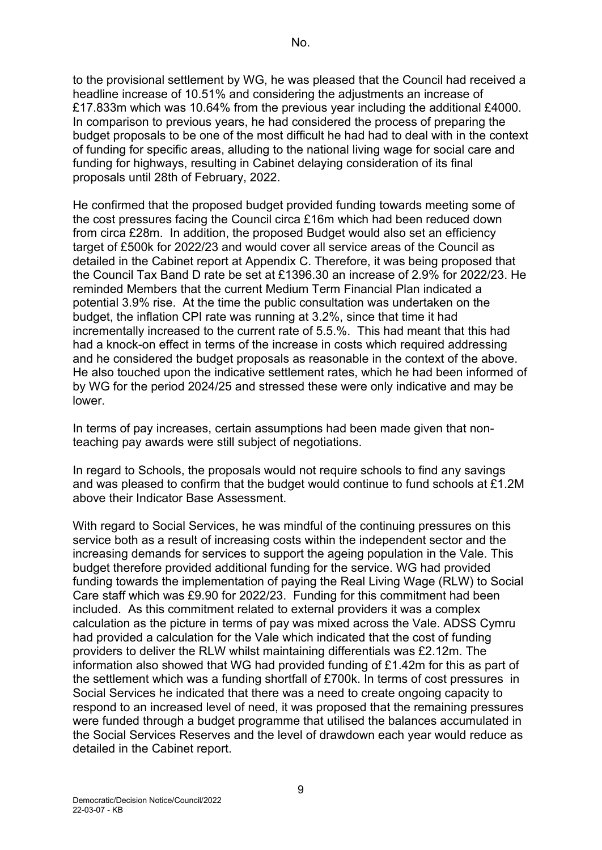to the provisional settlement by WG, he was pleased that the Council had received a headline increase of 10.51% and considering the adjustments an increase of £17.833m which was 10.64% from the previous year including the additional £4000. In comparison to previous years, he had considered the process of preparing the budget proposals to be one of the most difficult he had had to deal with in the context of funding for specific areas, alluding to the national living wage for social care and funding for highways, resulting in Cabinet delaying consideration of its final proposals until 28th of February, 2022.

He confirmed that the proposed budget provided funding towards meeting some of the cost pressures facing the Council circa £16m which had been reduced down from circa £28m. In addition, the proposed Budget would also set an efficiency target of £500k for 2022/23 and would cover all service areas of the Council as detailed in the Cabinet report at Appendix C. Therefore, it was being proposed that the Council Tax Band D rate be set at £1396.30 an increase of 2.9% for 2022/23. He reminded Members that the current Medium Term Financial Plan indicated a potential 3.9% rise. At the time the public consultation was undertaken on the budget, the inflation CPI rate was running at 3.2%, since that time it had incrementally increased to the current rate of 5.5.%. This had meant that this had had a knock-on effect in terms of the increase in costs which required addressing and he considered the budget proposals as reasonable in the context of the above. He also touched upon the indicative settlement rates, which he had been informed of by WG for the period 2024/25 and stressed these were only indicative and may be lower.

In terms of pay increases, certain assumptions had been made given that nonteaching pay awards were still subject of negotiations.

In regard to Schools, the proposals would not require schools to find any savings and was pleased to confirm that the budget would continue to fund schools at £1.2M above their Indicator Base Assessment.

With regard to Social Services, he was mindful of the continuing pressures on this service both as a result of increasing costs within the independent sector and the increasing demands for services to support the ageing population in the Vale. This budget therefore provided additional funding for the service. WG had provided funding towards the implementation of paying the Real Living Wage (RLW) to Social Care staff which was £9.90 for 2022/23. Funding for this commitment had been included. As this commitment related to external providers it was a complex calculation as the picture in terms of pay was mixed across the Vale. ADSS Cymru had provided a calculation for the Vale which indicated that the cost of funding providers to deliver the RLW whilst maintaining differentials was £2.12m. The information also showed that WG had provided funding of £1.42m for this as part of the settlement which was a funding shortfall of £700k. In terms of cost pressures in Social Services he indicated that there was a need to create ongoing capacity to respond to an increased level of need, it was proposed that the remaining pressures were funded through a budget programme that utilised the balances accumulated in the Social Services Reserves and the level of drawdown each year would reduce as detailed in the Cabinet report.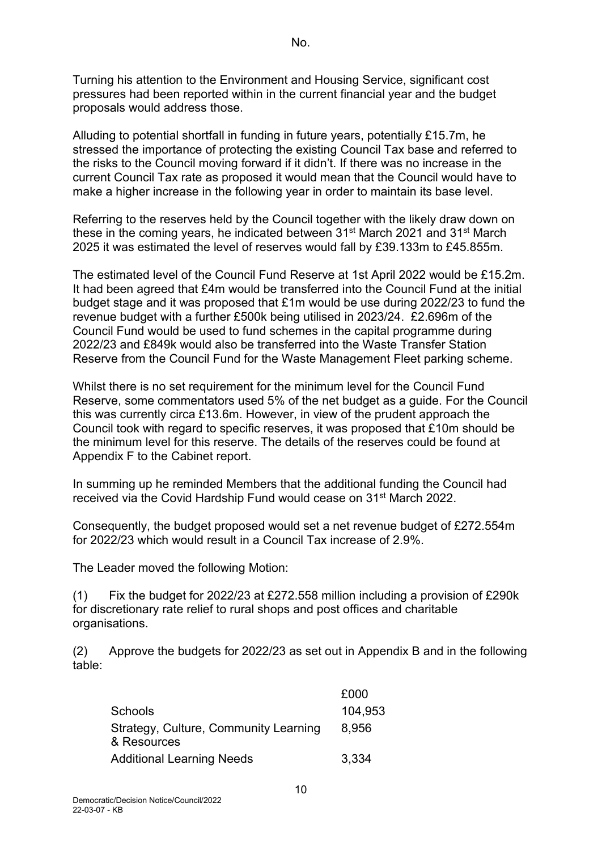Turning his attention to the Environment and Housing Service, significant cost pressures had been reported within in the current financial year and the budget proposals would address those.

Alluding to potential shortfall in funding in future years, potentially £15.7m, he stressed the importance of protecting the existing Council Tax base and referred to the risks to the Council moving forward if it didn't. If there was no increase in the current Council Tax rate as proposed it would mean that the Council would have to make a higher increase in the following year in order to maintain its base level.

Referring to the reserves held by the Council together with the likely draw down on these in the coming years, he indicated between 31<sup>st</sup> March 2021 and 31<sup>st</sup> March 2025 it was estimated the level of reserves would fall by £39.133m to £45.855m.

The estimated level of the Council Fund Reserve at 1st April 2022 would be £15.2m. It had been agreed that £4m would be transferred into the Council Fund at the initial budget stage and it was proposed that £1m would be use during 2022/23 to fund the revenue budget with a further £500k being utilised in 2023/24. £2.696m of the Council Fund would be used to fund schemes in the capital programme during 2022/23 and £849k would also be transferred into the Waste Transfer Station Reserve from the Council Fund for the Waste Management Fleet parking scheme.

Whilst there is no set requirement for the minimum level for the Council Fund Reserve, some commentators used 5% of the net budget as a guide. For the Council this was currently circa £13.6m. However, in view of the prudent approach the Council took with regard to specific reserves, it was proposed that £10m should be the minimum level for this reserve. The details of the reserves could be found at Appendix F to the Cabinet report.

In summing up he reminded Members that the additional funding the Council had received via the Covid Hardship Fund would cease on 31st March 2022.

Consequently, the budget proposed would set a net revenue budget of £272.554m for 2022/23 which would result in a Council Tax increase of 2.9%.

The Leader moved the following Motion:

(1) Fix the budget for 2022/23 at £272.558 million including a provision of  $£290k$ for discretionary rate relief to rural shops and post offices and charitable organisations.

(2) Approve the budgets for 2022/23 as set out in Appendix B and in the following table:

|                                                      | £000    |
|------------------------------------------------------|---------|
| Schools                                              | 104,953 |
| Strategy, Culture, Community Learning<br>& Resources | 8,956   |
| <b>Additional Learning Needs</b>                     | 3,334   |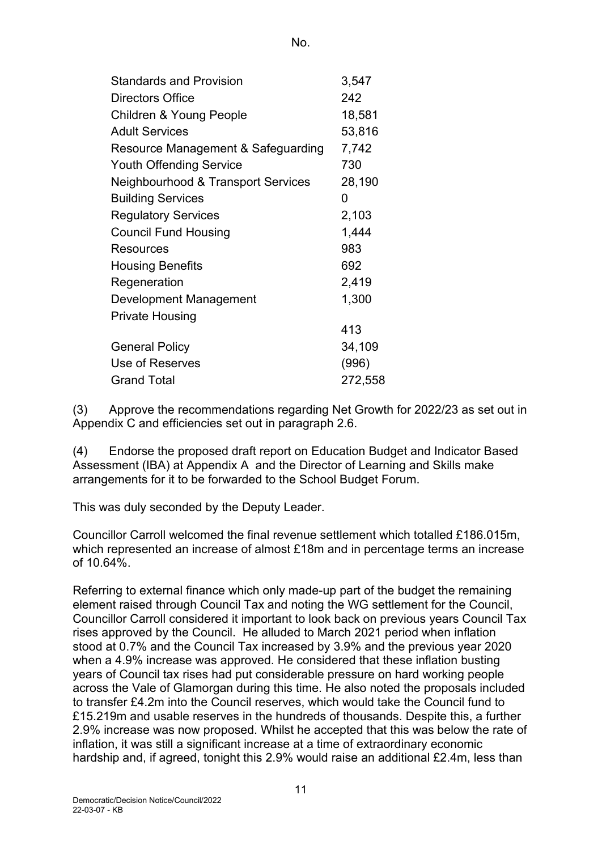| <b>Standards and Provision</b>                | 3,547   |
|-----------------------------------------------|---------|
| Directors Office                              | 242     |
| <b>Children &amp; Young People</b>            | 18,581  |
| <b>Adult Services</b>                         | 53,816  |
| Resource Management & Safeguarding            | 7,742   |
| <b>Youth Offending Service</b>                | 730     |
| <b>Neighbourhood &amp; Transport Services</b> | 28,190  |
| <b>Building Services</b>                      | 0       |
| <b>Regulatory Services</b>                    | 2,103   |
| <b>Council Fund Housing</b>                   | 1,444   |
| Resources                                     | 983     |
| <b>Housing Benefits</b>                       | 692     |
| Regeneration                                  | 2,419   |
| Development Management                        | 1,300   |
| <b>Private Housing</b>                        |         |
|                                               | 413     |
| <b>General Policy</b>                         | 34,109  |
| Use of Reserves                               | (996)   |
| <b>Grand Total</b>                            | 272,558 |

(3) Approve the recommendations regarding Net Growth for 2022/23 as set out in Appendix C and efficiencies set out in paragraph 2.6.

(4) Endorse the proposed draft report on Education Budget and Indicator Based Assessment (IBA) at Appendix A and the Director of Learning and Skills make arrangements for it to be forwarded to the School Budget Forum.

This was duly seconded by the Deputy Leader.

Councillor Carroll welcomed the final revenue settlement which totalled £186.015m, which represented an increase of almost £18m and in percentage terms an increase of  $10.64\%$ 

Referring to external finance which only made-up part of the budget the remaining element raised through Council Tax and noting the WG settlement for the Council, Councillor Carroll considered it important to look back on previous years Council Tax rises approved by the Council. He alluded to March 2021 period when inflation stood at 0.7% and the Council Tax increased by 3.9% and the previous year 2020 when a 4.9% increase was approved. He considered that these inflation busting years of Council tax rises had put considerable pressure on hard working people across the Vale of Glamorgan during this time. He also noted the proposals included to transfer £4.2m into the Council reserves, which would take the Council fund to £15.219m and usable reserves in the hundreds of thousands. Despite this, a further 2.9% increase was now proposed. Whilst he accepted that this was below the rate of inflation, it was still a significant increase at a time of extraordinary economic hardship and, if agreed, tonight this 2.9% would raise an additional £2.4m, less than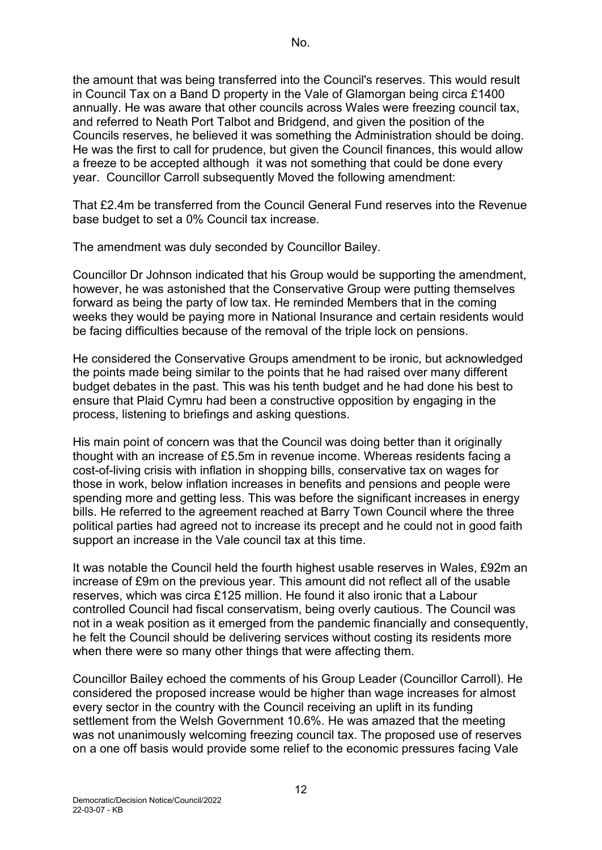the amount that was being transferred into the Council's reserves. This would result in Council Tax on a Band D property in the Vale of Glamorgan being circa £1400 annually. He was aware that other councils across Wales were freezing council tax, and referred to Neath Port Talbot and Bridgend, and given the position of the Councils reserves, he believed it was something the Administration should be doing. He was the first to call for prudence, but given the Council finances, this would allow a freeze to be accepted although it was not something that could be done every year. Councillor Carroll subsequently Moved the following amendment:

That £2.4m be transferred from the Council General Fund reserves into the Revenue base budget to set a 0% Council tax increase.

The amendment was duly seconded by Councillor Bailey.

Councillor Dr Johnson indicated that his Group would be supporting the amendment, however, he was astonished that the Conservative Group were putting themselves forward as being the party of low tax. He reminded Members that in the coming weeks they would be paying more in National Insurance and certain residents would be facing difficulties because of the removal of the triple lock on pensions.

He considered the Conservative Groups amendment to be ironic, but acknowledged the points made being similar to the points that he had raised over many different budget debates in the past. This was his tenth budget and he had done his best to ensure that Plaid Cymru had been a constructive opposition by engaging in the process, listening to briefings and asking questions.

His main point of concern was that the Council was doing better than it originally thought with an increase of £5.5m in revenue income. Whereas residents facing a cost-of-living crisis with inflation in shopping bills, conservative tax on wages for those in work, below inflation increases in benefits and pensions and people were spending more and getting less. This was before the significant increases in energy bills. He referred to the agreement reached at Barry Town Council where the three political parties had agreed not to increase its precept and he could not in good faith support an increase in the Vale council tax at this time.

It was notable the Council held the fourth highest usable reserves in Wales, £92m an increase of £9m on the previous year. This amount did not reflect all of the usable reserves, which was circa £125 million. He found it also ironic that a Labour controlled Council had fiscal conservatism, being overly cautious. The Council was not in a weak position as it emerged from the pandemic financially and consequently, he felt the Council should be delivering services without costing its residents more when there were so many other things that were affecting them.

Councillor Bailey echoed the comments of his Group Leader (Councillor Carroll). He considered the proposed increase would be higher than wage increases for almost every sector in the country with the Council receiving an uplift in its funding settlement from the Welsh Government 10.6%. He was amazed that the meeting was not unanimously welcoming freezing council tax. The proposed use of reserves on a one off basis would provide some relief to the economic pressures facing Vale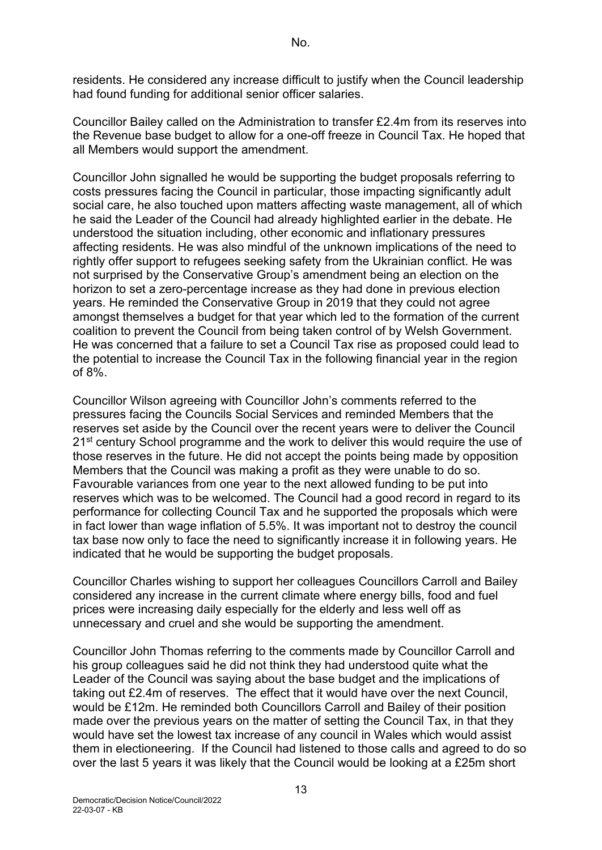residents. He considered any increase difficult to justify when the Council leadership had found funding for additional senior officer salaries.

Councillor Bailey called on the Administration to transfer £2.4m from its reserves into the Revenue base budget to allow for a one-off freeze in Council Tax. He hoped that all Members would support the amendment.

Councillor John signalled he would be supporting the budget proposals referring to costs pressures facing the Council in particular, those impacting significantly adult social care, he also touched upon matters affecting waste management, all of which he said the Leader of the Council had already highlighted earlier in the debate. He understood the situation including, other economic and inflationary pressures affecting residents. He was also mindful of the unknown implications of the need to rightly offer support to refugees seeking safety from the Ukrainian conflict. He was not surprised by the Conservative Group's amendment being an election on the horizon to set a zero-percentage increase as they had done in previous election years. He reminded the Conservative Group in 2019 that they could not agree amongst themselves a budget for that year which led to the formation of the current coalition to prevent the Council from being taken control of by Welsh Government. He was concerned that a failure to set a Council Tax rise as proposed could lead to the potential to increase the Council Tax in the following financial year in the region of 8%.

Councillor Wilson agreeing with Councillor John's comments referred to the pressures facing the Councils Social Services and reminded Members that the reserves set aside by the Council over the recent years were to deliver the Council 21<sup>st</sup> century School programme and the work to deliver this would require the use of those reserves in the future. He did not accept the points being made by opposition Members that the Council was making a profit as they were unable to do so. Favourable variances from one year to the next allowed funding to be put into reserves which was to be welcomed. The Council had a good record in regard to its performance for collecting Council Tax and he supported the proposals which were in fact lower than wage inflation of 5.5%. It was important not to destroy the council tax base now only to face the need to significantly increase it in following years. He indicated that he would be supporting the budget proposals.

Councillor Charles wishing to support her colleagues Councillors Carroll and Bailey considered any increase in the current climate where energy bills, food and fuel prices were increasing daily especially for the elderly and less well off as unnecessary and cruel and she would be supporting the amendment.

Councillor John Thomas referring to the comments made by Councillor Carroll and his group colleagues said he did not think they had understood quite what the Leader of the Council was saying about the base budget and the implications of taking out £2.4m of reserves. The effect that it would have over the next Council, would be £12m. He reminded both Councillors Carroll and Bailey of their position made over the previous years on the matter of setting the Council Tax, in that they would have set the lowest tax increase of any council in Wales which would assist them in electioneering. If the Council had listened to those calls and agreed to do so over the last 5 years it was likely that the Council would be looking at a £25m short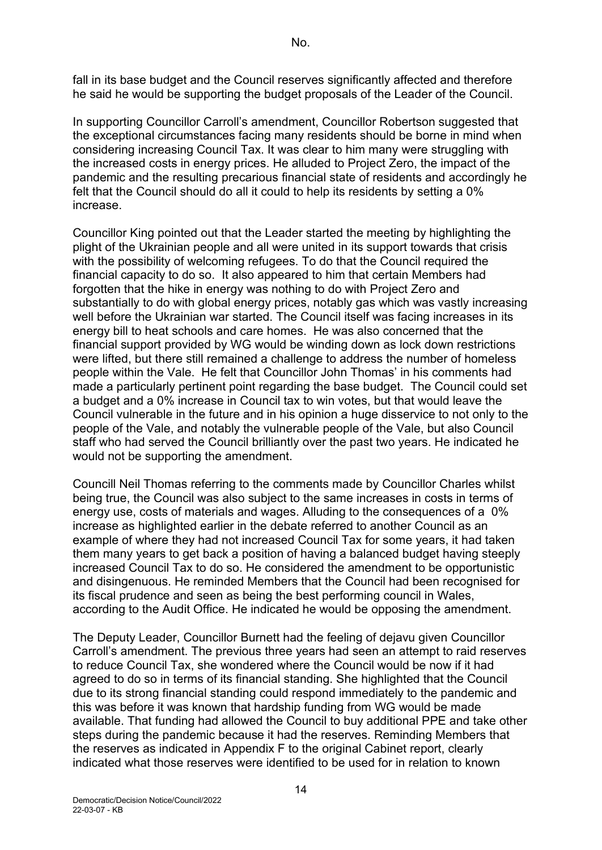fall in its base budget and the Council reserves significantly affected and therefore he said he would be supporting the budget proposals of the Leader of the Council.

In supporting Councillor Carroll's amendment, Councillor Robertson suggested that the exceptional circumstances facing many residents should be borne in mind when considering increasing Council Tax. It was clear to him many were struggling with the increased costs in energy prices. He alluded to Project Zero, the impact of the pandemic and the resulting precarious financial state of residents and accordingly he felt that the Council should do all it could to help its residents by setting a 0% increase.

Councillor King pointed out that the Leader started the meeting by highlighting the plight of the Ukrainian people and all were united in its support towards that crisis with the possibility of welcoming refugees. To do that the Council required the financial capacity to do so. It also appeared to him that certain Members had forgotten that the hike in energy was nothing to do with Project Zero and substantially to do with global energy prices, notably gas which was vastly increasing well before the Ukrainian war started. The Council itself was facing increases in its energy bill to heat schools and care homes. He was also concerned that the financial support provided by WG would be winding down as lock down restrictions were lifted, but there still remained a challenge to address the number of homeless people within the Vale. He felt that Councillor John Thomas' in his comments had made a particularly pertinent point regarding the base budget. The Council could set a budget and a 0% increase in Council tax to win votes, but that would leave the Council vulnerable in the future and in his opinion a huge disservice to not only to the people of the Vale, and notably the vulnerable people of the Vale, but also Council staff who had served the Council brilliantly over the past two years. He indicated he would not be supporting the amendment.

Councill Neil Thomas referring to the comments made by Councillor Charles whilst being true, the Council was also subject to the same increases in costs in terms of energy use, costs of materials and wages. Alluding to the consequences of a 0% increase as highlighted earlier in the debate referred to another Council as an example of where they had not increased Council Tax for some years, it had taken them many years to get back a position of having a balanced budget having steeply increased Council Tax to do so. He considered the amendment to be opportunistic and disingenuous. He reminded Members that the Council had been recognised for its fiscal prudence and seen as being the best performing council in Wales, according to the Audit Office. He indicated he would be opposing the amendment.

The Deputy Leader, Councillor Burnett had the feeling of dejavu given Councillor Carroll's amendment. The previous three years had seen an attempt to raid reserves to reduce Council Tax, she wondered where the Council would be now if it had agreed to do so in terms of its financial standing. She highlighted that the Council due to its strong financial standing could respond immediately to the pandemic and this was before it was known that hardship funding from WG would be made available. That funding had allowed the Council to buy additional PPE and take other steps during the pandemic because it had the reserves. Reminding Members that the reserves as indicated in Appendix F to the original Cabinet report, clearly indicated what those reserves were identified to be used for in relation to known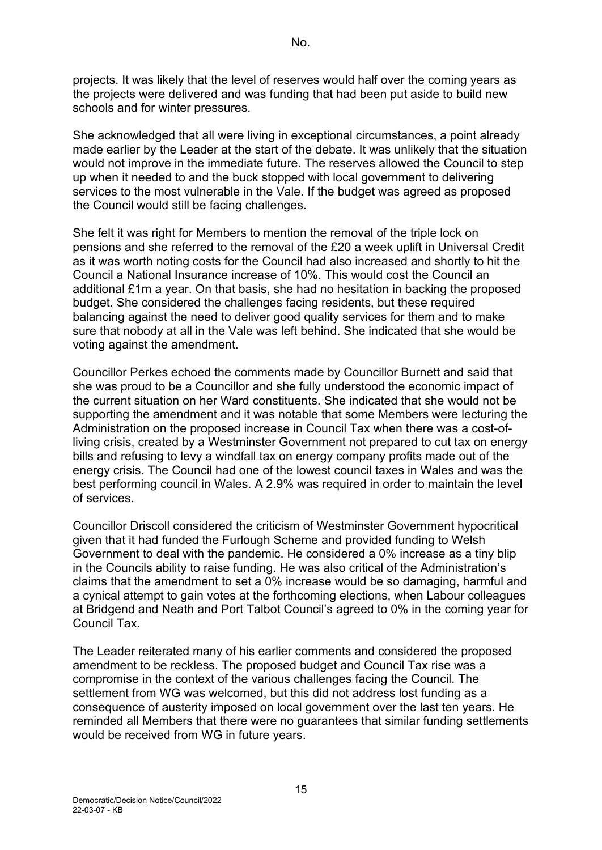projects. It was likely that the level of reserves would half over the coming years as the projects were delivered and was funding that had been put aside to build new schools and for winter pressures.

She acknowledged that all were living in exceptional circumstances, a point already made earlier by the Leader at the start of the debate. It was unlikely that the situation would not improve in the immediate future. The reserves allowed the Council to step up when it needed to and the buck stopped with local government to delivering services to the most vulnerable in the Vale. If the budget was agreed as proposed the Council would still be facing challenges.

She felt it was right for Members to mention the removal of the triple lock on pensions and she referred to the removal of the £20 a week uplift in Universal Credit as it was worth noting costs for the Council had also increased and shortly to hit the Council a National Insurance increase of 10%. This would cost the Council an additional £1m a year. On that basis, she had no hesitation in backing the proposed budget. She considered the challenges facing residents, but these required balancing against the need to deliver good quality services for them and to make sure that nobody at all in the Vale was left behind. She indicated that she would be voting against the amendment.

Councillor Perkes echoed the comments made by Councillor Burnett and said that she was proud to be a Councillor and she fully understood the economic impact of the current situation on her Ward constituents. She indicated that she would not be supporting the amendment and it was notable that some Members were lecturing the Administration on the proposed increase in Council Tax when there was a cost-ofliving crisis, created by a Westminster Government not prepared to cut tax on energy bills and refusing to levy a windfall tax on energy company profits made out of the energy crisis. The Council had one of the lowest council taxes in Wales and was the best performing council in Wales. A 2.9% was required in order to maintain the level of services.

Councillor Driscoll considered the criticism of Westminster Government hypocritical given that it had funded the Furlough Scheme and provided funding to Welsh Government to deal with the pandemic. He considered a 0% increase as a tiny blip in the Councils ability to raise funding. He was also critical of the Administration's claims that the amendment to set a 0% increase would be so damaging, harmful and a cynical attempt to gain votes at the forthcoming elections, when Labour colleagues at Bridgend and Neath and Port Talbot Council's agreed to 0% in the coming year for Council Tax.

The Leader reiterated many of his earlier comments and considered the proposed amendment to be reckless. The proposed budget and Council Tax rise was a compromise in the context of the various challenges facing the Council. The settlement from WG was welcomed, but this did not address lost funding as a consequence of austerity imposed on local government over the last ten years. He reminded all Members that there were no guarantees that similar funding settlements would be received from WG in future years.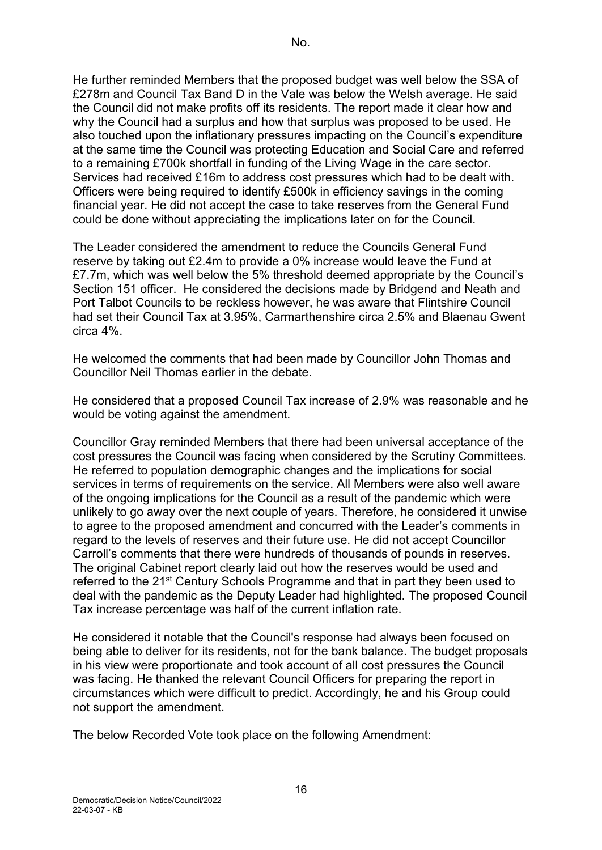He further reminded Members that the proposed budget was well below the SSA of £278m and Council Tax Band D in the Vale was below the Welsh average. He said the Council did not make profits off its residents. The report made it clear how and why the Council had a surplus and how that surplus was proposed to be used. He also touched upon the inflationary pressures impacting on the Council's expenditure at the same time the Council was protecting Education and Social Care and referred to a remaining £700k shortfall in funding of the Living Wage in the care sector. Services had received £16m to address cost pressures which had to be dealt with. Officers were being required to identify £500k in efficiency savings in the coming financial year. He did not accept the case to take reserves from the General Fund could be done without appreciating the implications later on for the Council.

The Leader considered the amendment to reduce the Councils General Fund reserve by taking out £2.4m to provide a 0% increase would leave the Fund at £7.7m, which was well below the 5% threshold deemed appropriate by the Council's Section 151 officer. He considered the decisions made by Bridgend and Neath and Port Talbot Councils to be reckless however, he was aware that Flintshire Council had set their Council Tax at 3.95%, Carmarthenshire circa 2.5% and Blaenau Gwent circa 4%.

He welcomed the comments that had been made by Councillor John Thomas and Councillor Neil Thomas earlier in the debate.

He considered that a proposed Council Tax increase of 2.9% was reasonable and he would be voting against the amendment.

Councillor Gray reminded Members that there had been universal acceptance of the cost pressures the Council was facing when considered by the Scrutiny Committees. He referred to population demographic changes and the implications for social services in terms of requirements on the service. All Members were also well aware of the ongoing implications for the Council as a result of the pandemic which were unlikely to go away over the next couple of years. Therefore, he considered it unwise to agree to the proposed amendment and concurred with the Leader's comments in regard to the levels of reserves and their future use. He did not accept Councillor Carroll's comments that there were hundreds of thousands of pounds in reserves. The original Cabinet report clearly laid out how the reserves would be used and referred to the 21<sup>st</sup> Century Schools Programme and that in part they been used to deal with the pandemic as the Deputy Leader had highlighted. The proposed Council Tax increase percentage was half of the current inflation rate.

He considered it notable that the Council's response had always been focused on being able to deliver for its residents, not for the bank balance. The budget proposals in his view were proportionate and took account of all cost pressures the Council was facing. He thanked the relevant Council Officers for preparing the report in circumstances which were difficult to predict. Accordingly, he and his Group could not support the amendment.

The below Recorded Vote took place on the following Amendment: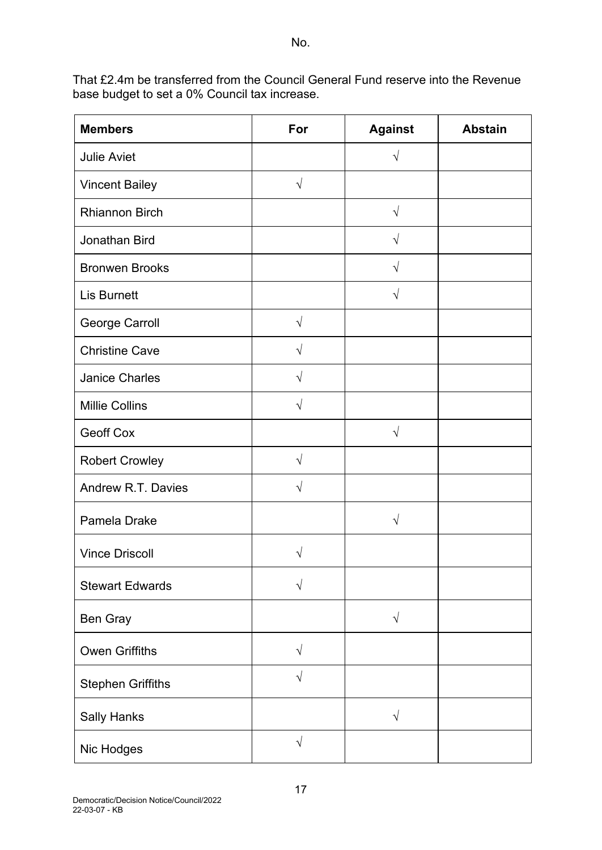That £2.4m be transferred from the Council General Fund reserve into the Revenue base budget to set a 0% Council tax increase.

| <b>Members</b>           | For        | <b>Against</b> | <b>Abstain</b> |
|--------------------------|------------|----------------|----------------|
| <b>Julie Aviet</b>       |            | $\sqrt{ }$     |                |
| <b>Vincent Bailey</b>    | $\sqrt{}$  |                |                |
| <b>Rhiannon Birch</b>    |            | $\sqrt{}$      |                |
| Jonathan Bird            |            | $\sqrt{}$      |                |
| <b>Bronwen Brooks</b>    |            | V              |                |
| <b>Lis Burnett</b>       |            | $\sqrt{ }$     |                |
| George Carroll           | $\sqrt{}$  |                |                |
| <b>Christine Cave</b>    | $\sqrt{ }$ |                |                |
| <b>Janice Charles</b>    | $\sqrt{ }$ |                |                |
| <b>Millie Collins</b>    | $\sqrt{ }$ |                |                |
| <b>Geoff Cox</b>         |            | $\sqrt{}$      |                |
| <b>Robert Crowley</b>    | $\sqrt{ }$ |                |                |
| Andrew R.T. Davies       | $\sqrt{ }$ |                |                |
| Pamela Drake             |            | V              |                |
| <b>Vince Driscoll</b>    |            |                |                |
| <b>Stewart Edwards</b>   | $\sqrt{}$  |                |                |
| Ben Gray                 |            | $\sqrt{}$      |                |
| <b>Owen Griffiths</b>    | $\sqrt{ }$ |                |                |
| <b>Stephen Griffiths</b> | $\sqrt{ }$ |                |                |
| <b>Sally Hanks</b>       |            | $\sqrt{ }$     |                |
| Nic Hodges               | $\sqrt{ }$ |                |                |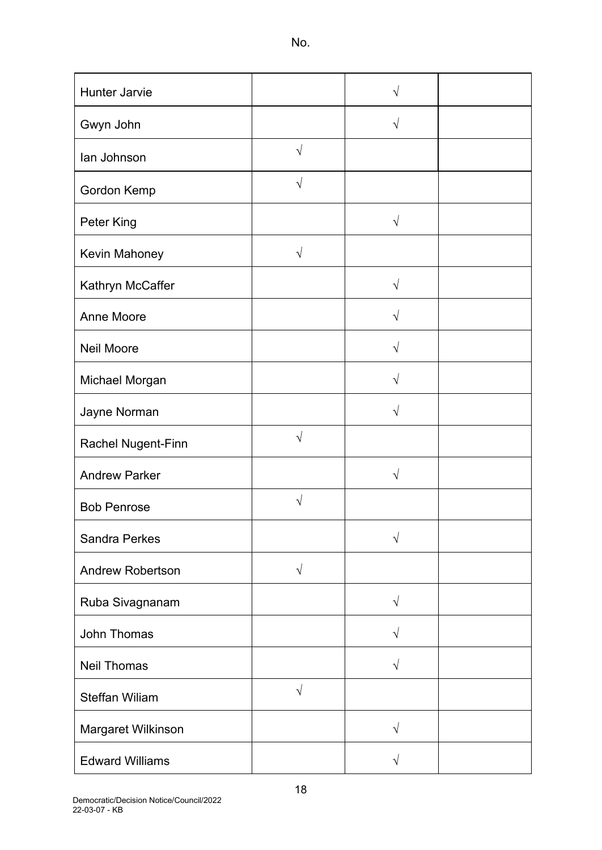| Hunter Jarvie           |            | V          |  |
|-------------------------|------------|------------|--|
| Gwyn John               |            | $\sqrt{}$  |  |
| lan Johnson             | $\sqrt{ }$ |            |  |
| Gordon Kemp             | $\sqrt{}$  |            |  |
| Peter King              |            | $\sqrt{}$  |  |
| Kevin Mahoney           | $\sqrt{}$  |            |  |
| Kathryn McCaffer        |            | $\sqrt{ }$ |  |
| <b>Anne Moore</b>       |            | V          |  |
| <b>Neil Moore</b>       |            | V          |  |
| Michael Morgan          |            | $\sqrt{}$  |  |
| Jayne Norman            |            |            |  |
| Rachel Nugent-Finn      | $\sqrt{ }$ |            |  |
| <b>Andrew Parker</b>    |            | $\sqrt{}$  |  |
| <b>Bob Penrose</b>      | N          |            |  |
| <b>Sandra Perkes</b>    |            | V          |  |
| <b>Andrew Robertson</b> | $\sqrt{ }$ |            |  |
| Ruba Sivagnanam         |            | $\sqrt{}$  |  |
| John Thomas             |            | $\sqrt{}$  |  |
| <b>Neil Thomas</b>      |            | $\sqrt{}$  |  |
| <b>Steffan Wiliam</b>   | $\sqrt{ }$ |            |  |
| Margaret Wilkinson      |            | $\sqrt{}$  |  |
| <b>Edward Williams</b>  |            | $\sqrt{}$  |  |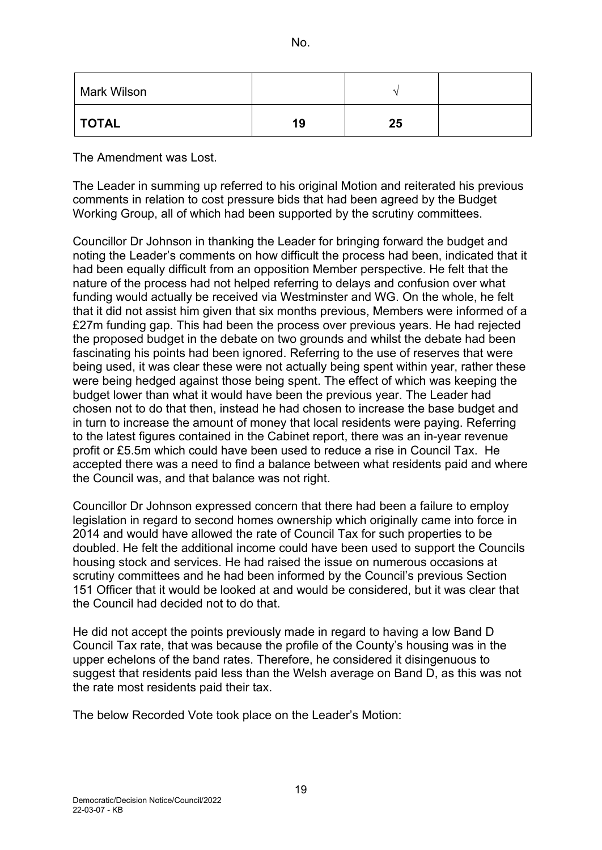| × | w<br>I<br>۰. |
|---|--------------|
|---|--------------|

| Mark Wilson  |    |    |  |
|--------------|----|----|--|
| <b>TOTAL</b> | 19 | 25 |  |

The Amendment was Lost.

The Leader in summing up referred to his original Motion and reiterated his previous comments in relation to cost pressure bids that had been agreed by the Budget Working Group, all of which had been supported by the scrutiny committees.

Councillor Dr Johnson in thanking the Leader for bringing forward the budget and noting the Leader's comments on how difficult the process had been, indicated that it had been equally difficult from an opposition Member perspective. He felt that the nature of the process had not helped referring to delays and confusion over what funding would actually be received via Westminster and WG. On the whole, he felt that it did not assist him given that six months previous, Members were informed of a £27m funding gap. This had been the process over previous years. He had rejected the proposed budget in the debate on two grounds and whilst the debate had been fascinating his points had been ignored. Referring to the use of reserves that were being used, it was clear these were not actually being spent within year, rather these were being hedged against those being spent. The effect of which was keeping the budget lower than what it would have been the previous year. The Leader had chosen not to do that then, instead he had chosen to increase the base budget and in turn to increase the amount of money that local residents were paying. Referring to the latest figures contained in the Cabinet report, there was an in-year revenue profit or £5.5m which could have been used to reduce a rise in Council Tax. He accepted there was a need to find a balance between what residents paid and where the Council was, and that balance was not right.

Councillor Dr Johnson expressed concern that there had been a failure to employ legislation in regard to second homes ownership which originally came into force in 2014 and would have allowed the rate of Council Tax for such properties to be doubled. He felt the additional income could have been used to support the Councils housing stock and services. He had raised the issue on numerous occasions at scrutiny committees and he had been informed by the Council's previous Section 151 Officer that it would be looked at and would be considered, but it was clear that the Council had decided not to do that.

He did not accept the points previously made in regard to having a low Band D Council Tax rate, that was because the profile of the County's housing was in the upper echelons of the band rates. Therefore, he considered it disingenuous to suggest that residents paid less than the Welsh average on Band D, as this was not the rate most residents paid their tax.

The below Recorded Vote took place on the Leader's Motion: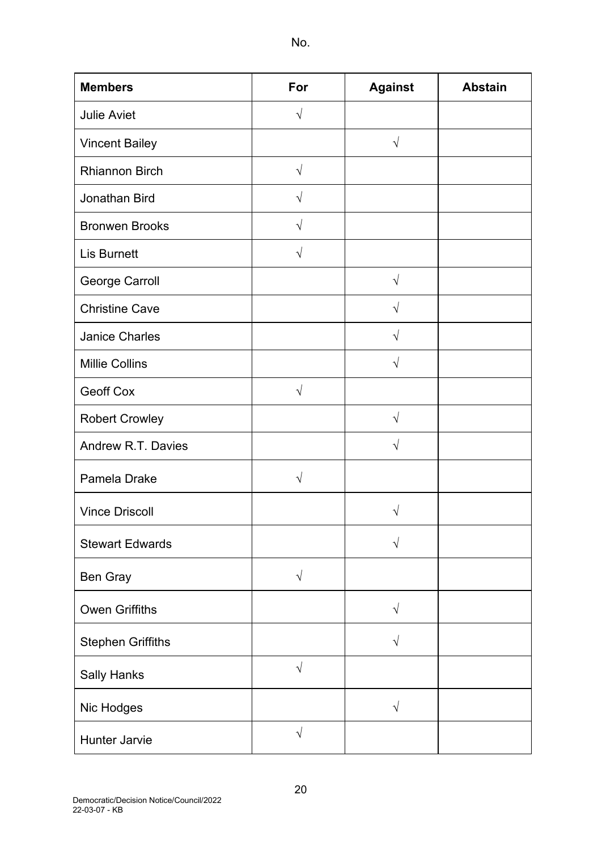| w<br>I<br>×<br>۰. |  |
|-------------------|--|
|-------------------|--|

| <b>Members</b>           | For        | <b>Against</b> | <b>Abstain</b> |
|--------------------------|------------|----------------|----------------|
| <b>Julie Aviet</b>       | $\sqrt{ }$ |                |                |
| <b>Vincent Bailey</b>    |            | $\sqrt{}$      |                |
| <b>Rhiannon Birch</b>    | $\sqrt{ }$ |                |                |
| Jonathan Bird            | $\sqrt{ }$ |                |                |
| <b>Bronwen Brooks</b>    | $\sqrt{}$  |                |                |
| <b>Lis Burnett</b>       | $\sqrt{}$  |                |                |
| George Carroll           |            | $\sqrt{ }$     |                |
| <b>Christine Cave</b>    |            | $\sqrt{ }$     |                |
| <b>Janice Charles</b>    |            | $\sqrt{}$      |                |
| <b>Millie Collins</b>    |            | $\sqrt{}$      |                |
| <b>Geoff Cox</b>         | $\sqrt{ }$ |                |                |
| <b>Robert Crowley</b>    |            | $\sqrt{}$      |                |
| Andrew R.T. Davies       |            | $\sqrt{}$      |                |
| Pamela Drake             | V          |                |                |
| <b>Vince Driscoll</b>    |            |                |                |
| <b>Stewart Edwards</b>   |            |                |                |
| Ben Gray                 | $\sqrt{ }$ |                |                |
| <b>Owen Griffiths</b>    |            | $\sqrt{ }$     |                |
| <b>Stephen Griffiths</b> |            | V              |                |
| <b>Sally Hanks</b>       | $\sqrt{ }$ |                |                |
| Nic Hodges               |            | $\sqrt{ }$     |                |
| Hunter Jarvie            | $\sqrt{ }$ |                |                |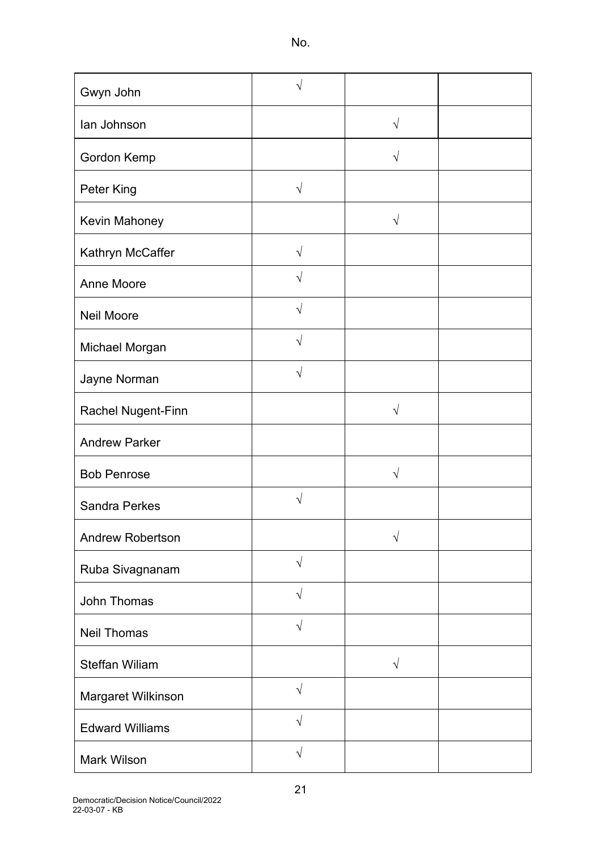| Gwyn John               | V          |            |  |
|-------------------------|------------|------------|--|
| lan Johnson             |            | $\sqrt{ }$ |  |
| Gordon Kemp             |            | $\sqrt{}$  |  |
| Peter King              | $\sqrt{ }$ |            |  |
| Kevin Mahoney           |            | $\sqrt{ }$ |  |
| Kathryn McCaffer        | V          |            |  |
| Anne Moore              | N          |            |  |
| <b>Neil Moore</b>       | $\sqrt{}$  |            |  |
| Michael Morgan          | $\sqrt{ }$ |            |  |
| Jayne Norman            | $\sqrt{}$  |            |  |
| Rachel Nugent-Finn      |            | $\sqrt{}$  |  |
| <b>Andrew Parker</b>    |            |            |  |
| <b>Bob Penrose</b>      |            | $\sqrt{}$  |  |
| <b>Sandra Perkes</b>    | $\sqrt{}$  |            |  |
| <b>Andrew Robertson</b> |            | $\sqrt{}$  |  |
| Ruba Sivagnanam         | $\sqrt{ }$ |            |  |
| John Thomas             | $\sqrt{ }$ |            |  |
| <b>Neil Thomas</b>      | $\sqrt{}$  |            |  |
| <b>Steffan Wiliam</b>   |            | $\sqrt{}$  |  |
| Margaret Wilkinson      | $\sqrt{}$  |            |  |
| <b>Edward Williams</b>  | $\sqrt{ }$ |            |  |
| <b>Mark Wilson</b>      | $\sqrt{ }$ |            |  |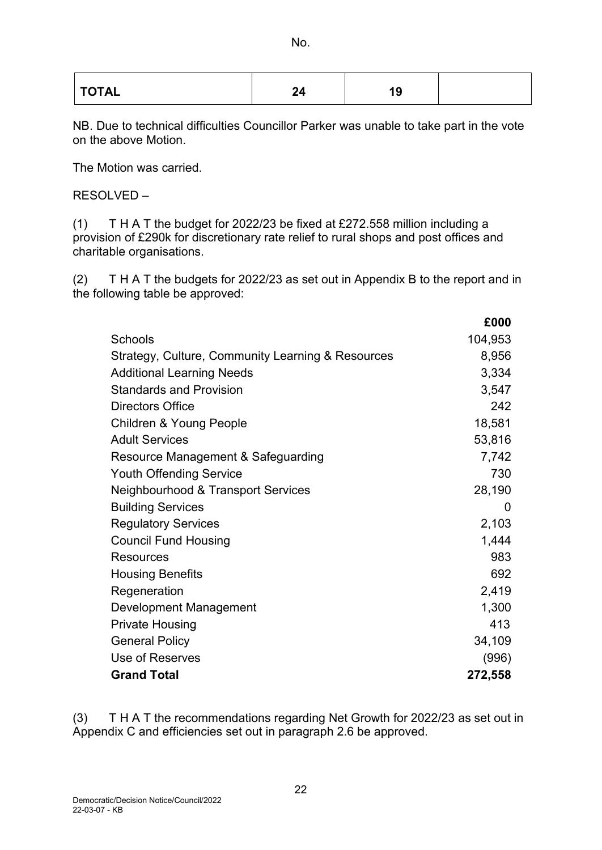NB. Due to technical difficulties Councillor Parker was unable to take part in the vote on the above Motion.

The Motion was carried.

RESOLVED –

(1) T H A T the budget for 2022/23 be fixed at £272.558 million including a provision of £290k for discretionary rate relief to rural shops and post offices and charitable organisations.

(2) T H A T the budgets for 2022/23 as set out in Appendix B to the report and in the following table be approved:

|                                                   | £000    |
|---------------------------------------------------|---------|
| <b>Schools</b>                                    | 104,953 |
| Strategy, Culture, Community Learning & Resources | 8,956   |
| <b>Additional Learning Needs</b>                  | 3,334   |
| <b>Standards and Provision</b>                    | 3,547   |
| <b>Directors Office</b>                           | 242     |
| <b>Children &amp; Young People</b>                | 18,581  |
| <b>Adult Services</b>                             | 53,816  |
| Resource Management & Safeguarding                | 7,742   |
| <b>Youth Offending Service</b>                    | 730     |
| Neighbourhood & Transport Services                | 28,190  |
| <b>Building Services</b>                          | 0       |
| <b>Regulatory Services</b>                        | 2,103   |
| <b>Council Fund Housing</b>                       | 1,444   |
| <b>Resources</b>                                  | 983     |
| <b>Housing Benefits</b>                           | 692     |
| Regeneration                                      | 2,419   |
| Development Management                            | 1,300   |
| <b>Private Housing</b>                            | 413     |
| <b>General Policy</b>                             | 34,109  |
| Use of Reserves                                   | (996)   |
| <b>Grand Total</b>                                | 272,558 |

(3) T H A T the recommendations regarding Net Growth for 2022/23 as set out in Appendix C and efficiencies set out in paragraph 2.6 be approved.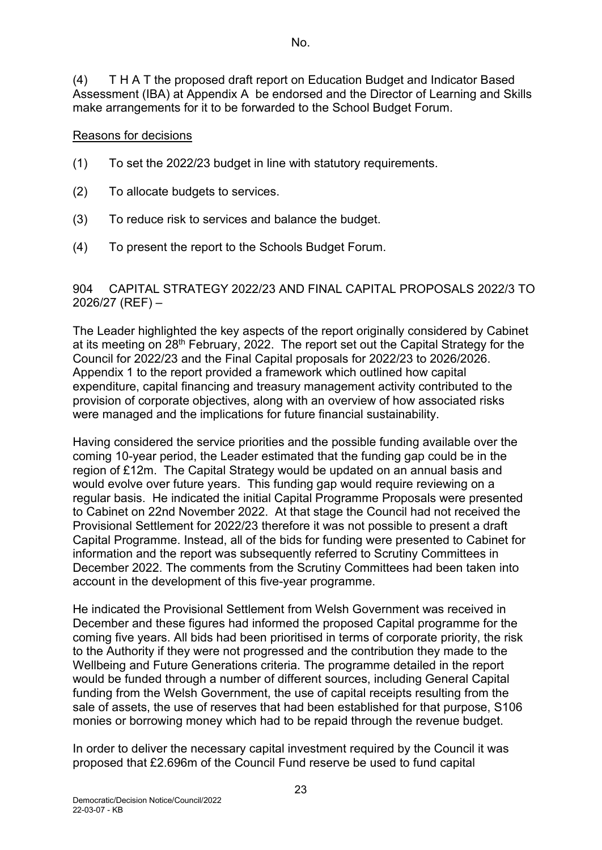(4) T H A T the proposed draft report on Education Budget and Indicator Based Assessment (IBA) at Appendix A be endorsed and the Director of Learning and Skills make arrangements for it to be forwarded to the School Budget Forum.

#### Reasons for decisions

- (1) To set the 2022/23 budget in line with statutory requirements.
- (2) To allocate budgets to services.
- (3) To reduce risk to services and balance the budget.
- (4) To present the report to the Schools Budget Forum.

#### 904 CAPITAL STRATEGY 2022/23 AND FINAL CAPITAL PROPOSALS 2022/3 TO 2026/27 (REF) –

The Leader highlighted the key aspects of the report originally considered by Cabinet at its meeting on 28th February, 2022. The report set out the Capital Strategy for the Council for 2022/23 and the Final Capital proposals for 2022/23 to 2026/2026. Appendix 1 to the report provided a framework which outlined how capital expenditure, capital financing and treasury management activity contributed to the provision of corporate objectives, along with an overview of how associated risks were managed and the implications for future financial sustainability.

Having considered the service priorities and the possible funding available over the coming 10-year period, the Leader estimated that the funding gap could be in the region of £12m. The Capital Strategy would be updated on an annual basis and would evolve over future years. This funding gap would require reviewing on a regular basis. He indicated the initial Capital Programme Proposals were presented to Cabinet on 22nd November 2022. At that stage the Council had not received the Provisional Settlement for 2022/23 therefore it was not possible to present a draft Capital Programme. Instead, all of the bids for funding were presented to Cabinet for information and the report was subsequently referred to Scrutiny Committees in December 2022. The comments from the Scrutiny Committees had been taken into account in the development of this five-year programme.

He indicated the Provisional Settlement from Welsh Government was received in December and these figures had informed the proposed Capital programme for the coming five years. All bids had been prioritised in terms of corporate priority, the risk to the Authority if they were not progressed and the contribution they made to the Wellbeing and Future Generations criteria. The programme detailed in the report would be funded through a number of different sources, including General Capital funding from the Welsh Government, the use of capital receipts resulting from the sale of assets, the use of reserves that had been established for that purpose, S106 monies or borrowing money which had to be repaid through the revenue budget.

In order to deliver the necessary capital investment required by the Council it was proposed that £2.696m of the Council Fund reserve be used to fund capital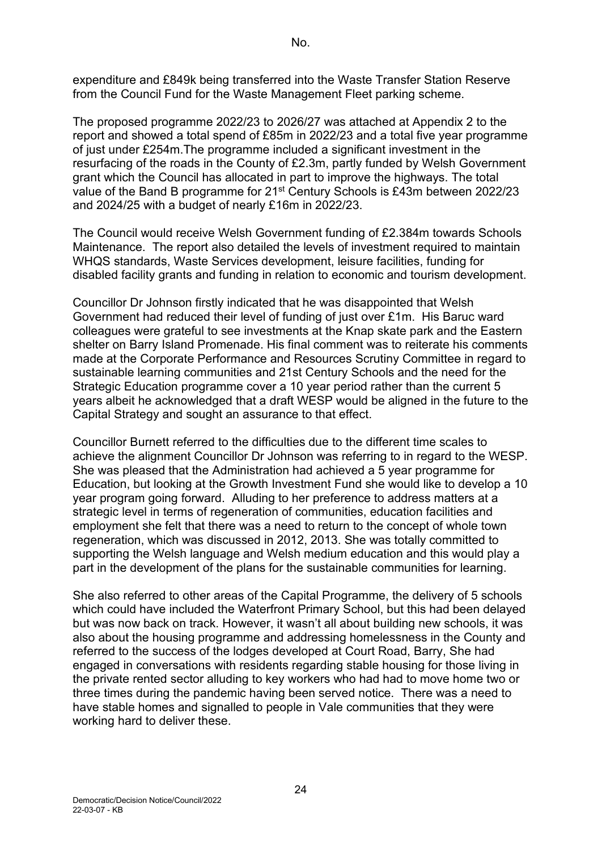expenditure and £849k being transferred into the Waste Transfer Station Reserve from the Council Fund for the Waste Management Fleet parking scheme.

The proposed programme 2022/23 to 2026/27 was attached at Appendix 2 to the report and showed a total spend of £85m in 2022/23 and a total five year programme of just under £254m.The programme included a significant investment in the resurfacing of the roads in the County of £2.3m, partly funded by Welsh Government grant which the Council has allocated in part to improve the highways. The total value of the Band B programme for 21<sup>st</sup> Century Schools is £43m between 2022/23 and 2024/25 with a budget of nearly £16m in 2022/23.

The Council would receive Welsh Government funding of £2.384m towards Schools Maintenance. The report also detailed the levels of investment required to maintain WHQS standards, Waste Services development, leisure facilities, funding for disabled facility grants and funding in relation to economic and tourism development.

Councillor Dr Johnson firstly indicated that he was disappointed that Welsh Government had reduced their level of funding of just over £1m. His Baruc ward colleagues were grateful to see investments at the Knap skate park and the Eastern shelter on Barry Island Promenade. His final comment was to reiterate his comments made at the Corporate Performance and Resources Scrutiny Committee in regard to sustainable learning communities and 21st Century Schools and the need for the Strategic Education programme cover a 10 year period rather than the current 5 years albeit he acknowledged that a draft WESP would be aligned in the future to the Capital Strategy and sought an assurance to that effect.

Councillor Burnett referred to the difficulties due to the different time scales to achieve the alignment Councillor Dr Johnson was referring to in regard to the WESP. She was pleased that the Administration had achieved a 5 year programme for Education, but looking at the Growth Investment Fund she would like to develop a 10 year program going forward. Alluding to her preference to address matters at a strategic level in terms of regeneration of communities, education facilities and employment she felt that there was a need to return to the concept of whole town regeneration, which was discussed in 2012, 2013. She was totally committed to supporting the Welsh language and Welsh medium education and this would play a part in the development of the plans for the sustainable communities for learning.

She also referred to other areas of the Capital Programme, the delivery of 5 schools which could have included the Waterfront Primary School, but this had been delayed but was now back on track. However, it wasn't all about building new schools, it was also about the housing programme and addressing homelessness in the County and referred to the success of the lodges developed at Court Road, Barry, She had engaged in conversations with residents regarding stable housing for those living in the private rented sector alluding to key workers who had had to move home two or three times during the pandemic having been served notice. There was a need to have stable homes and signalled to people in Vale communities that they were working hard to deliver these.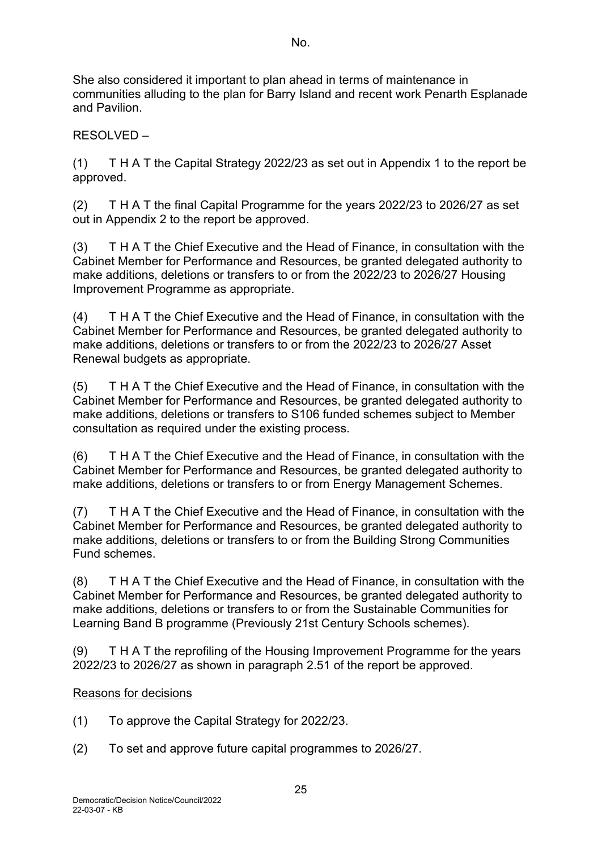She also considered it important to plan ahead in terms of maintenance in communities alluding to the plan for Barry Island and recent work Penarth Esplanade and Pavilion.

RESOLVED –

(1) T H A T the Capital Strategy 2022/23 as set out in Appendix 1 to the report be approved.

(2) T H A T the final Capital Programme for the years 2022/23 to 2026/27 as set out in Appendix 2 to the report be approved.

(3) T H A T the Chief Executive and the Head of Finance, in consultation with the Cabinet Member for Performance and Resources, be granted delegated authority to make additions, deletions or transfers to or from the 2022/23 to 2026/27 Housing Improvement Programme as appropriate.

(4) T H A T the Chief Executive and the Head of Finance, in consultation with the Cabinet Member for Performance and Resources, be granted delegated authority to make additions, deletions or transfers to or from the 2022/23 to 2026/27 Asset Renewal budgets as appropriate.

(5) T H A T the Chief Executive and the Head of Finance, in consultation with the Cabinet Member for Performance and Resources, be granted delegated authority to make additions, deletions or transfers to S106 funded schemes subject to Member consultation as required under the existing process.

(6) T H A T the Chief Executive and the Head of Finance, in consultation with the Cabinet Member for Performance and Resources, be granted delegated authority to make additions, deletions or transfers to or from Energy Management Schemes.

(7) T H A T the Chief Executive and the Head of Finance, in consultation with the Cabinet Member for Performance and Resources, be granted delegated authority to make additions, deletions or transfers to or from the Building Strong Communities Fund schemes.

(8) T H A T the Chief Executive and the Head of Finance, in consultation with the Cabinet Member for Performance and Resources, be granted delegated authority to make additions, deletions or transfers to or from the Sustainable Communities for Learning Band B programme (Previously 21st Century Schools schemes).

(9) T H A T the reprofiling of the Housing Improvement Programme for the years 2022/23 to 2026/27 as shown in paragraph 2.51 of the report be approved.

# Reasons for decisions

(1) To approve the Capital Strategy for 2022/23.

(2) To set and approve future capital programmes to 2026/27.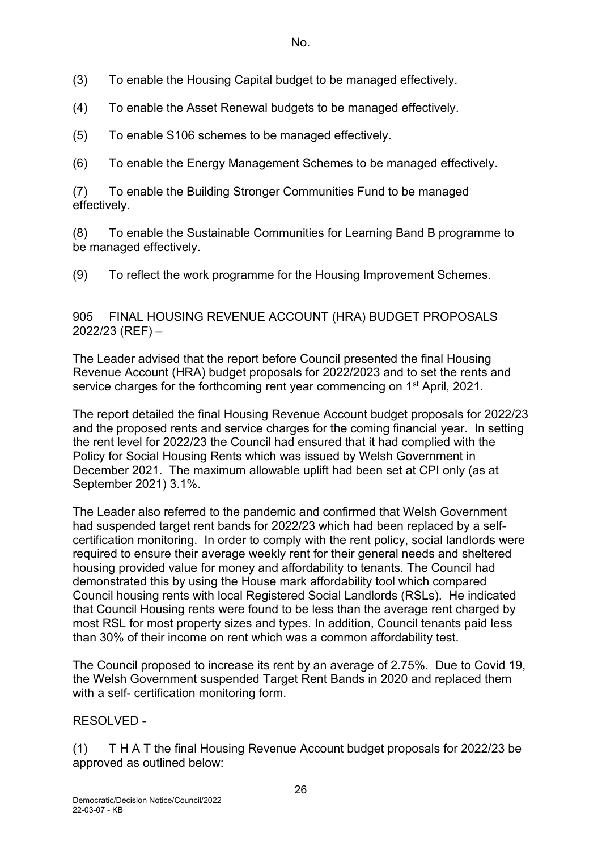(3) To enable the Housing Capital budget to be managed effectively.

(4) To enable the Asset Renewal budgets to be managed effectively.

(5) To enable S106 schemes to be managed effectively.

(6) To enable the Energy Management Schemes to be managed effectively.

(7) To enable the Building Stronger Communities Fund to be managed effectively.

(8) To enable the Sustainable Communities for Learning Band B programme to be managed effectively.

(9) To reflect the work programme for the Housing Improvement Schemes.

905 FINAL HOUSING REVENUE ACCOUNT (HRA) BUDGET PROPOSALS 2022/23 (REF) –

The Leader advised that the report before Council presented the final Housing Revenue Account (HRA) budget proposals for 2022/2023 and to set the rents and service charges for the forthcoming rent year commencing on 1<sup>st</sup> April, 2021.

The report detailed the final Housing Revenue Account budget proposals for 2022/23 and the proposed rents and service charges for the coming financial year. In setting the rent level for 2022/23 the Council had ensured that it had complied with the Policy for Social Housing Rents which was issued by Welsh Government in December 2021. The maximum allowable uplift had been set at CPI only (as at September 2021) 3.1%.

The Leader also referred to the pandemic and confirmed that Welsh Government had suspended target rent bands for 2022/23 which had been replaced by a selfcertification monitoring. In order to comply with the rent policy, social landlords were required to ensure their average weekly rent for their general needs and sheltered housing provided value for money and affordability to tenants. The Council had demonstrated this by using the House mark affordability tool which compared Council housing rents with local Registered Social Landlords (RSLs). He indicated that Council Housing rents were found to be less than the average rent charged by most RSL for most property sizes and types. In addition, Council tenants paid less than 30% of their income on rent which was a common affordability test.

The Council proposed to increase its rent by an average of 2.75%. Due to Covid 19, the Welsh Government suspended Target Rent Bands in 2020 and replaced them with a self- certification monitoring form.

RESOLVED -

(1) T H A T the final Housing Revenue Account budget proposals for 2022/23 be approved as outlined below: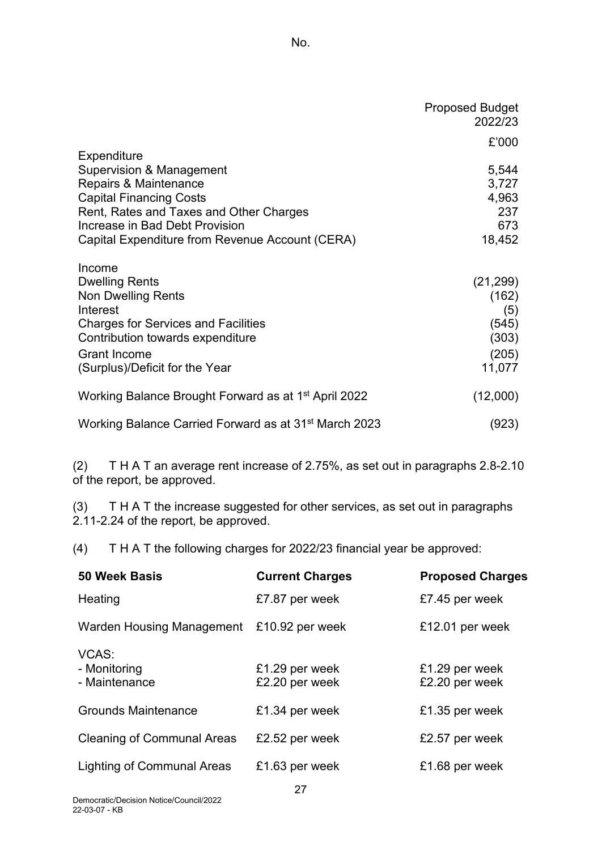|                                                                   | <b>Proposed Budget</b><br>2022/23 |
|-------------------------------------------------------------------|-----------------------------------|
|                                                                   | £'000                             |
| Expenditure                                                       |                                   |
| <b>Supervision &amp; Management</b>                               | 5,544                             |
| Repairs & Maintenance                                             | 3,727                             |
| <b>Capital Financing Costs</b>                                    | 4,963                             |
| Rent, Rates and Taxes and Other Charges                           | 237                               |
| Increase in Bad Debt Provision                                    | 673                               |
| Capital Expenditure from Revenue Account (CERA)                   | 18,452                            |
| Income                                                            |                                   |
| <b>Dwelling Rents</b>                                             | (21, 299)                         |
| <b>Non Dwelling Rents</b>                                         | (162)                             |
| Interest                                                          | (5)                               |
| <b>Charges for Services and Facilities</b>                        | (545)                             |
| Contribution towards expenditure                                  | (303)                             |
| <b>Grant Income</b>                                               | (205)                             |
| (Surplus)/Deficit for the Year                                    | 11,077                            |
| Working Balance Brought Forward as at 1 <sup>st</sup> April 2022  | (12,000)                          |
| Working Balance Carried Forward as at 31 <sup>st</sup> March 2023 | (923)                             |

(2) T H A T an average rent increase of 2.75%, as set out in paragraphs 2.8-2.10 of the report, be approved.

(3) T H A T the increase suggested for other services, as set out in paragraphs 2.11-2.24 of the report, be approved.

(4) T H A T the following charges for 2022/23 financial year be approved:

| <b>50 Week Basis</b>                   | <b>Current Charges</b>           | <b>Proposed Charges</b>          |
|----------------------------------------|----------------------------------|----------------------------------|
| Heating                                | £7.87 per week                   | £7.45 per week                   |
| Warden Housing Management              | £10.92 per week                  | £12.01 per week                  |
| VCAS:<br>- Monitoring<br>- Maintenance | £1.29 per week<br>£2.20 per week | £1.29 per week<br>£2.20 per week |
| <b>Grounds Maintenance</b>             | £1.34 per week                   | £1.35 per week                   |
| <b>Cleaning of Communal Areas</b>      | £2.52 per week                   | £2.57 per week                   |
| <b>Lighting of Communal Areas</b>      | £1.63 per week                   | £1.68 per week                   |
|                                        | 27                               |                                  |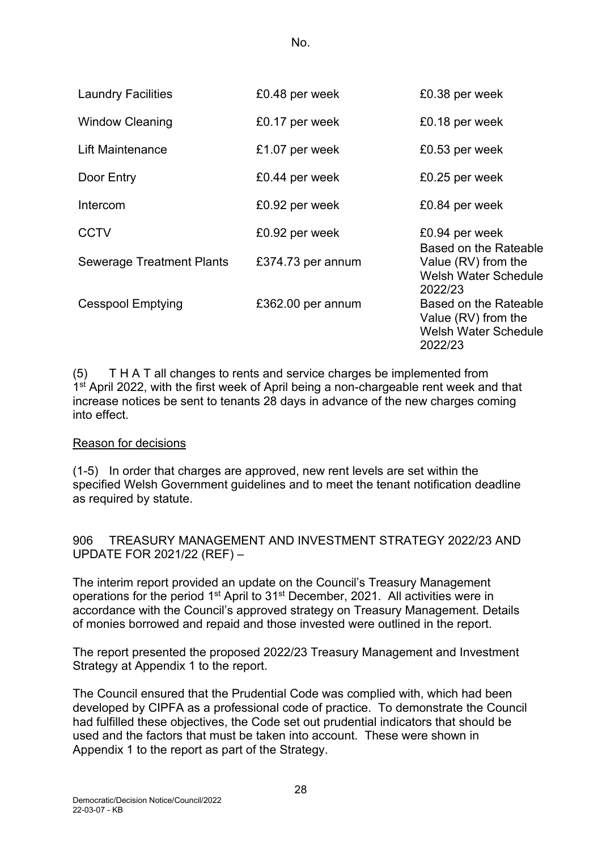| <b>Laundry Facilities</b> | £0.48 per week    | £0.38 per week                                                                         |
|---------------------------|-------------------|----------------------------------------------------------------------------------------|
| <b>Window Cleaning</b>    | £0.17 per week    | £0.18 per week                                                                         |
| Lift Maintenance          | £1.07 per week    | £0.53 per week                                                                         |
| Door Entry                | £0.44 per week    | £0.25 per week                                                                         |
| Intercom                  | £0.92 per week    | £0.84 per week                                                                         |
| <b>CCTV</b>               | £0.92 per week    | £0.94 per week                                                                         |
| Sewerage Treatment Plants | £374.73 per annum | Based on the Rateable<br>Value (RV) from the<br><b>Welsh Water Schedule</b><br>2022/23 |
| <b>Cesspool Emptying</b>  | £362.00 per annum | Based on the Rateable<br>Value (RV) from the<br><b>Welsh Water Schedule</b><br>2022/23 |

(5) T H A T all changes to rents and service charges be implemented from 1<sup>st</sup> April 2022, with the first week of April being a non-chargeable rent week and that increase notices be sent to tenants 28 days in advance of the new charges coming into effect.

#### Reason for decisions

(1-5) In order that charges are approved, new rent levels are set within the specified Welsh Government guidelines and to meet the tenant notification deadline as required by statute.

906 TREASURY MANAGEMENT AND INVESTMENT STRATEGY 2022/23 AND UPDATE FOR 2021/22 (REF) –

The interim report provided an update on the Council's Treasury Management operations for the period 1<sup>st</sup> April to 31<sup>st</sup> December, 2021. All activities were in accordance with the Council's approved strategy on Treasury Management. Details of monies borrowed and repaid and those invested were outlined in the report.

The report presented the proposed 2022/23 Treasury Management and Investment Strategy at Appendix 1 to the report.

The Council ensured that the Prudential Code was complied with, which had been developed by CIPFA as a professional code of practice. To demonstrate the Council had fulfilled these objectives, the Code set out prudential indicators that should be used and the factors that must be taken into account. These were shown in Appendix 1 to the report as part of the Strategy.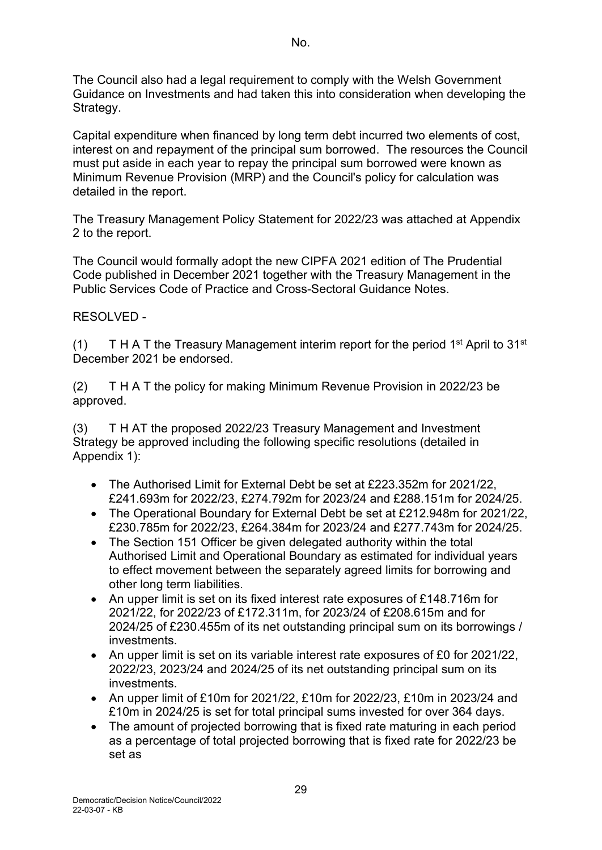The Council also had a legal requirement to comply with the Welsh Government Guidance on Investments and had taken this into consideration when developing the Strategy.

Capital expenditure when financed by long term debt incurred two elements of cost, interest on and repayment of the principal sum borrowed. The resources the Council must put aside in each year to repay the principal sum borrowed were known as Minimum Revenue Provision (MRP) and the Council's policy for calculation was detailed in the report.

The Treasury Management Policy Statement for 2022/23 was attached at Appendix 2 to the report.

The Council would formally adopt the new CIPFA 2021 edition of The Prudential Code published in December 2021 together with the Treasury Management in the Public Services Code of Practice and Cross-Sectoral Guidance Notes.

## RESOLVED -

(1) T H A T the Treasury Management interim report for the period  $1<sup>st</sup>$  April to  $31<sup>st</sup>$ December 2021 be endorsed.

(2) T H A T the policy for making Minimum Revenue Provision in 2022/23 be approved.

(3) T H AT the proposed 2022/23 Treasury Management and Investment Strategy be approved including the following specific resolutions (detailed in Appendix 1):

- The Authorised Limit for External Debt be set at £223.352m for 2021/22, £241.693m for 2022/23, £274.792m for 2023/24 and £288.151m for 2024/25.
- The Operational Boundary for External Debt be set at £212.948m for 2021/22, £230.785m for 2022/23, £264.384m for 2023/24 and £277.743m for 2024/25.
- The Section 151 Officer be given delegated authority within the total Authorised Limit and Operational Boundary as estimated for individual years to effect movement between the separately agreed limits for borrowing and other long term liabilities.
- An upper limit is set on its fixed interest rate exposures of £148.716m for 2021/22, for 2022/23 of £172.311m, for 2023/24 of £208.615m and for 2024/25 of £230.455m of its net outstanding principal sum on its borrowings / investments.
- An upper limit is set on its variable interest rate exposures of £0 for 2021/22, 2022/23, 2023/24 and 2024/25 of its net outstanding principal sum on its investments.
- An upper limit of £10m for 2021/22, £10m for 2022/23, £10m in 2023/24 and £10m in 2024/25 is set for total principal sums invested for over 364 days.
- The amount of projected borrowing that is fixed rate maturing in each period as a percentage of total projected borrowing that is fixed rate for 2022/23 be set as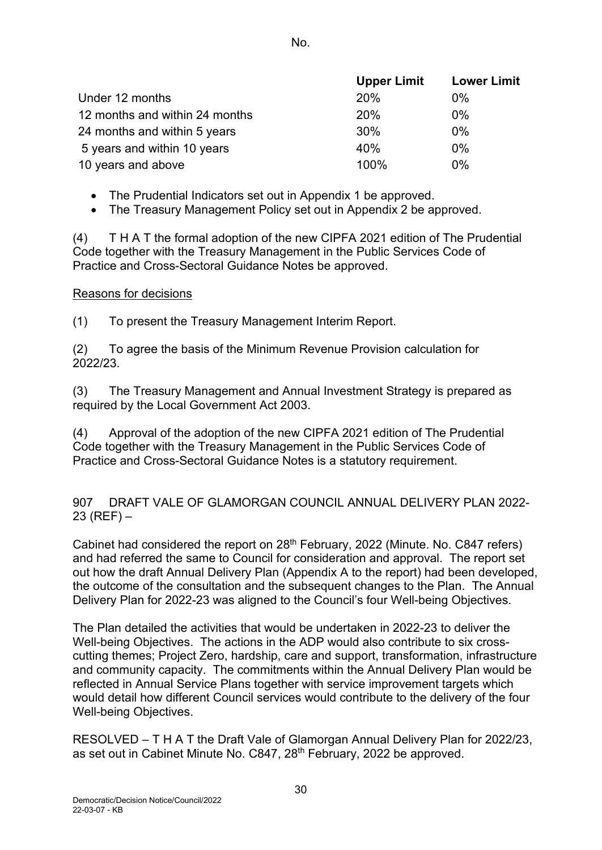|                                | <b>Upper Limit</b> | <b>Lower Limit</b> |
|--------------------------------|--------------------|--------------------|
| Under 12 months                | 20%                | $0\%$              |
| 12 months and within 24 months | 20%                | $0\%$              |
| 24 months and within 5 years   | 30%                | $0\%$              |
| 5 years and within 10 years    | 40%                | $0\%$              |
| 10 years and above             | 100%               | $0\%$              |

- The Prudential Indicators set out in Appendix 1 be approved.
- The Treasury Management Policy set out in Appendix 2 be approved.

(4) T H A T the formal adoption of the new CIPFA 2021 edition of The Prudential Code together with the Treasury Management in the Public Services Code of Practice and Cross-Sectoral Guidance Notes be approved.

#### Reasons for decisions

(1) To present the Treasury Management Interim Report.

(2) To agree the basis of the Minimum Revenue Provision calculation for 2022/23.

(3) The Treasury Management and Annual Investment Strategy is prepared as required by the Local Government Act 2003.

(4) Approval of the adoption of the new CIPFA 2021 edition of The Prudential Code together with the Treasury Management in the Public Services Code of Practice and Cross-Sectoral Guidance Notes is a statutory requirement.

907 DRAFT VALE OF GLAMORGAN COUNCIL ANNUAL DELIVERY PLAN 2022-  $23$  (REF) –

Cabinet had considered the report on 28<sup>th</sup> February, 2022 (Minute. No. C847 refers) and had referred the same to Council for consideration and approval. The report set out how the draft Annual Delivery Plan (Appendix A to the report) had been developed, the outcome of the consultation and the subsequent changes to the Plan. The Annual Delivery Plan for 2022-23 was aligned to the Council's four Well-being Objectives.

The Plan detailed the activities that would be undertaken in 2022-23 to deliver the Well-being Objectives. The actions in the ADP would also contribute to six crosscutting themes; Project Zero, hardship, care and support, transformation, infrastructure and community capacity. The commitments within the Annual Delivery Plan would be reflected in Annual Service Plans together with service improvement targets which would detail how different Council services would contribute to the delivery of the four Well-being Objectives.

RESOLVED – T H A T the Draft Vale of Glamorgan Annual Delivery Plan for 2022/23, as set out in Cabinet Minute No. C847, 28<sup>th</sup> February, 2022 be approved.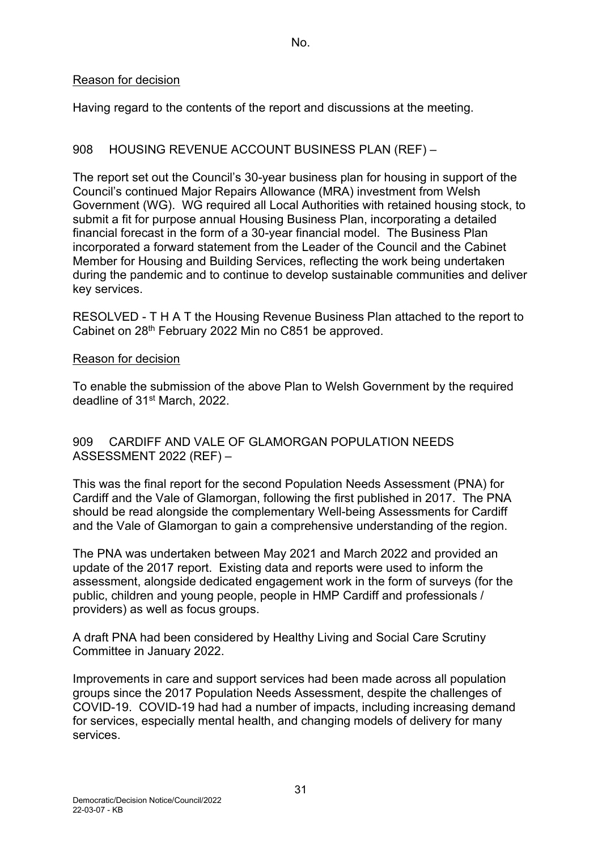#### Reason for decision

Having regard to the contents of the report and discussions at the meeting.

## 908 HOUSING REVENUE ACCOUNT BUSINESS PLAN (REF) –

The report set out the Council's 30-year business plan for housing in support of the Council's continued Major Repairs Allowance (MRA) investment from Welsh Government (WG). WG required all Local Authorities with retained housing stock, to submit a fit for purpose annual Housing Business Plan, incorporating a detailed financial forecast in the form of a 30-year financial model. The Business Plan incorporated a forward statement from the Leader of the Council and the Cabinet Member for Housing and Building Services, reflecting the work being undertaken during the pandemic and to continue to develop sustainable communities and deliver key services.

RESOLVED - T H A T the Housing Revenue Business Plan attached to the report to Cabinet on 28th February 2022 Min no C851 be approved.

#### Reason for decision

To enable the submission of the above Plan to Welsh Government by the required deadline of 31<sup>st</sup> March, 2022.

#### 909 CARDIFF AND VALE OF GLAMORGAN POPULATION NEEDS ASSESSMENT 2022 (REF) –

This was the final report for the second Population Needs Assessment (PNA) for Cardiff and the Vale of Glamorgan, following the first published in 2017. The PNA should be read alongside the complementary Well-being Assessments for Cardiff and the Vale of Glamorgan to gain a comprehensive understanding of the region.

The PNA was undertaken between May 2021 and March 2022 and provided an update of the 2017 report. Existing data and reports were used to inform the assessment, alongside dedicated engagement work in the form of surveys (for the public, children and young people, people in HMP Cardiff and professionals / providers) as well as focus groups.

A draft PNA had been considered by Healthy Living and Social Care Scrutiny Committee in January 2022.

Improvements in care and support services had been made across all population groups since the 2017 Population Needs Assessment, despite the challenges of COVID-19. COVID-19 had had a number of impacts, including increasing demand for services, especially mental health, and changing models of delivery for many services.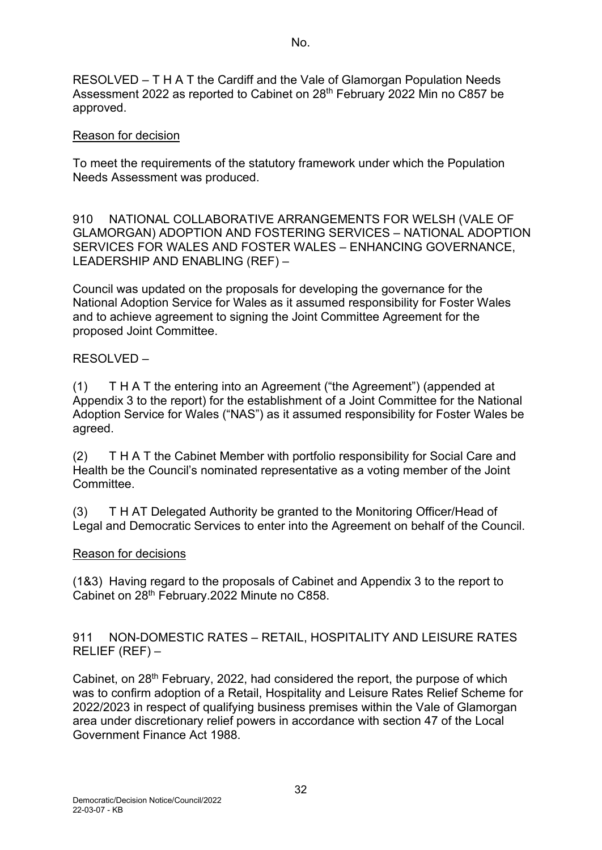RESOLVED – T H A T the Cardiff and the Vale of Glamorgan Population Needs Assessment 2022 as reported to Cabinet on 28<sup>th</sup> February 2022 Min no C857 be approved.

### Reason for decision

To meet the requirements of the statutory framework under which the Population Needs Assessment was produced.

910 NATIONAL COLLABORATIVE ARRANGEMENTS FOR WELSH (VALE OF GLAMORGAN) ADOPTION AND FOSTERING SERVICES – NATIONAL ADOPTION SERVICES FOR WALES AND FOSTER WALES – ENHANCING GOVERNANCE, LEADERSHIP AND ENABLING (REF) –

Council was updated on the proposals for developing the governance for the National Adoption Service for Wales as it assumed responsibility for Foster Wales and to achieve agreement to signing the Joint Committee Agreement for the proposed Joint Committee.

## RESOLVED –

(1) T H A T the entering into an Agreement ("the Agreement") (appended at Appendix 3 to the report) for the establishment of a Joint Committee for the National Adoption Service for Wales ("NAS") as it assumed responsibility for Foster Wales be agreed.

(2) T H A T the Cabinet Member with portfolio responsibility for Social Care and Health be the Council's nominated representative as a voting member of the Joint **Committee** 

(3) T H AT Delegated Authority be granted to the Monitoring Officer/Head of Legal and Democratic Services to enter into the Agreement on behalf of the Council.

### Reason for decisions

(1&3) Having regard to the proposals of Cabinet and Appendix 3 to the report to Cabinet on 28<sup>th</sup> February.2022 Minute no C858.

911 NON-DOMESTIC RATES – RETAIL, HOSPITALITY AND LEISURE RATES RELIEF (REF) –

Cabinet, on 28<sup>th</sup> February, 2022, had considered the report, the purpose of which was to confirm adoption of a Retail, Hospitality and Leisure Rates Relief Scheme for 2022/2023 in respect of qualifying business premises within the Vale of Glamorgan area under discretionary relief powers in accordance with section 47 of the Local Government Finance Act 1988.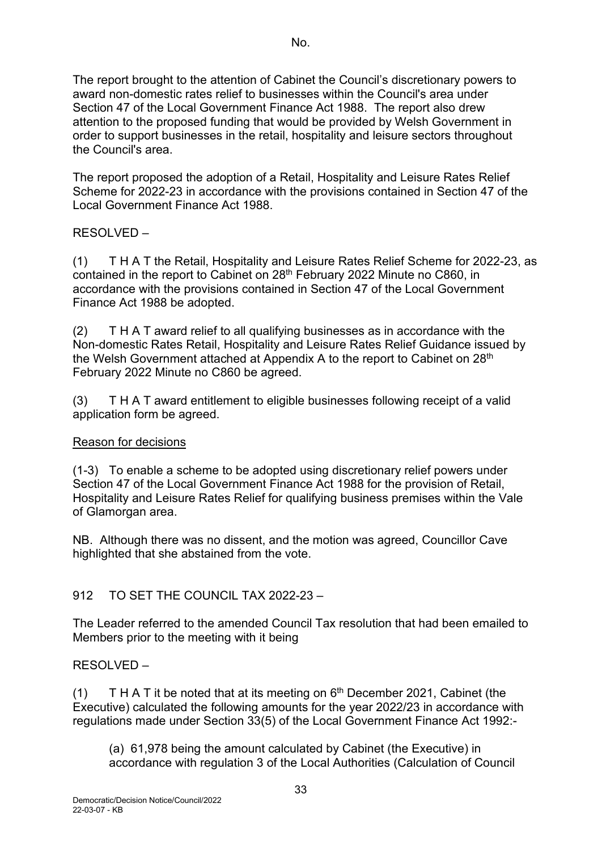The report brought to the attention of Cabinet the Council's discretionary powers to award non-domestic rates relief to businesses within the Council's area under Section 47 of the Local Government Finance Act 1988. The report also drew attention to the proposed funding that would be provided by Welsh Government in order to support businesses in the retail, hospitality and leisure sectors throughout the Council's area.

The report proposed the adoption of a Retail, Hospitality and Leisure Rates Relief Scheme for 2022-23 in accordance with the provisions contained in Section 47 of the Local Government Finance Act 1988.

# RESOLVED –

(1) T H A T the Retail, Hospitality and Leisure Rates Relief Scheme for 2022-23, as contained in the report to Cabinet on 28<sup>th</sup> February 2022 Minute no C860, in accordance with the provisions contained in Section 47 of the Local Government Finance Act 1988 be adopted.

(2) T H A T award relief to all qualifying businesses as in accordance with the Non-domestic Rates Retail, Hospitality and Leisure Rates Relief Guidance issued by the Welsh Government attached at Appendix A to the report to Cabinet on 28<sup>th</sup> February 2022 Minute no C860 be agreed.

(3) T H A T award entitlement to eligible businesses following receipt of a valid application form be agreed.

### Reason for decisions

(1-3) To enable a scheme to be adopted using discretionary relief powers under Section 47 of the Local Government Finance Act 1988 for the provision of Retail, Hospitality and Leisure Rates Relief for qualifying business premises within the Vale of Glamorgan area.

NB. Although there was no dissent, and the motion was agreed, Councillor Cave highlighted that she abstained from the vote.

# 912 TO SET THE COUNCIL TAX 2022-23 –

The Leader referred to the amended Council Tax resolution that had been emailed to Members prior to the meeting with it being

### RESOLVED –

(1) T H A T it be noted that at its meeting on  $6<sup>th</sup>$  December 2021, Cabinet (the Executive) calculated the following amounts for the year 2022/23 in accordance with regulations made under Section 33(5) of the Local Government Finance Act 1992:-

(a) 61,978 being the amount calculated by Cabinet (the Executive) in accordance with regulation 3 of the Local Authorities (Calculation of Council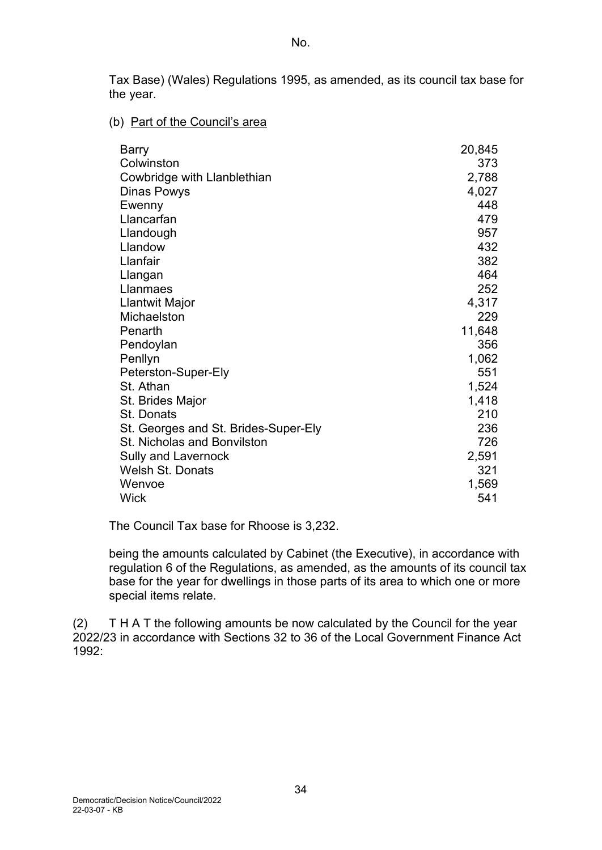Tax Base) (Wales) Regulations 1995, as amended, as its council tax base for the year.

#### (b) Part of the Council's area

| <b>Barry</b>                         | 20,845 |
|--------------------------------------|--------|
| Colwinston                           | 373    |
| Cowbridge with Llanblethian          | 2,788  |
| Dinas Powys                          | 4,027  |
| Ewenny                               | 448    |
| Llancarfan                           | 479    |
| Llandough                            | 957    |
| Llandow                              | 432    |
| Llanfair                             | 382    |
| Llangan                              | 464    |
| Llanmaes                             | 252    |
| Llantwit Major                       | 4,317  |
| Michaelston                          | 229    |
| Penarth                              | 11,648 |
| Pendoylan                            | 356    |
| Penllyn                              | 1,062  |
| Peterston-Super-Ely                  | 551    |
| St. Athan                            | 1,524  |
| St. Brides Major                     | 1,418  |
| St. Donats                           | 210    |
| St. Georges and St. Brides-Super-Ely | 236    |
| <b>St. Nicholas and Bonvilston</b>   | 726    |
| <b>Sully and Lavernock</b>           | 2,591  |
| <b>Welsh St. Donats</b>              | 321    |
| Wenvoe                               | 1,569  |
| Wick                                 | 541    |

The Council Tax base for Rhoose is 3,232.

being the amounts calculated by Cabinet (the Executive), in accordance with regulation 6 of the Regulations, as amended, as the amounts of its council tax base for the year for dwellings in those parts of its area to which one or more special items relate.

(2) T H A T the following amounts be now calculated by the Council for the year 2022/23 in accordance with Sections 32 to 36 of the Local Government Finance Act 1992: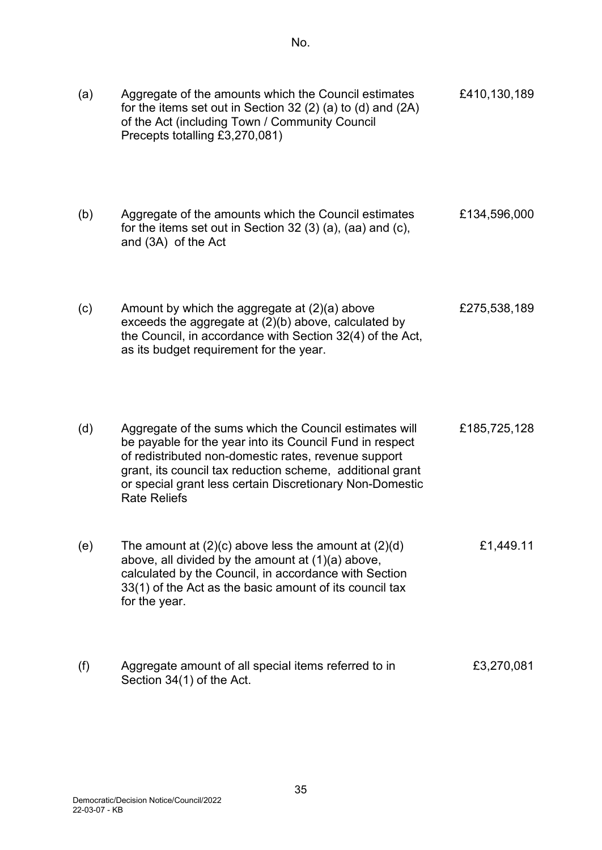| (a) | Aggregate of the amounts which the Council estimates<br>for the items set out in Section 32 (2) (a) to (d) and (2A)<br>of the Act (including Town / Community Council<br>Precepts totalling £3,270,081)                                                                                                                    | £410,130,189 |
|-----|----------------------------------------------------------------------------------------------------------------------------------------------------------------------------------------------------------------------------------------------------------------------------------------------------------------------------|--------------|
| (b) | Aggregate of the amounts which the Council estimates<br>for the items set out in Section 32 $(3)$ $(a)$ , $(aa)$ and $(c)$ ,<br>and (3A) of the Act                                                                                                                                                                        | £134,596,000 |
| (c) | Amount by which the aggregate at $(2)(a)$ above<br>exceeds the aggregate at (2)(b) above, calculated by<br>the Council, in accordance with Section 32(4) of the Act,<br>as its budget requirement for the year.                                                                                                            | £275,538,189 |
| (d) | Aggregate of the sums which the Council estimates will<br>be payable for the year into its Council Fund in respect<br>of redistributed non-domestic rates, revenue support<br>grant, its council tax reduction scheme, additional grant<br>or special grant less certain Discretionary Non-Domestic<br><b>Rate Reliefs</b> | £185,725,128 |
| (e) | The amount at $(2)(c)$ above less the amount at $(2)(d)$<br>above, all divided by the amount at (1)(a) above,<br>calculated by the Council, in accordance with Section<br>33(1) of the Act as the basic amount of its council tax<br>for the year.                                                                         | £1,449.11    |
| (f) | Aggregate amount of all special items referred to in<br>Section 34(1) of the Act.                                                                                                                                                                                                                                          | £3,270,081   |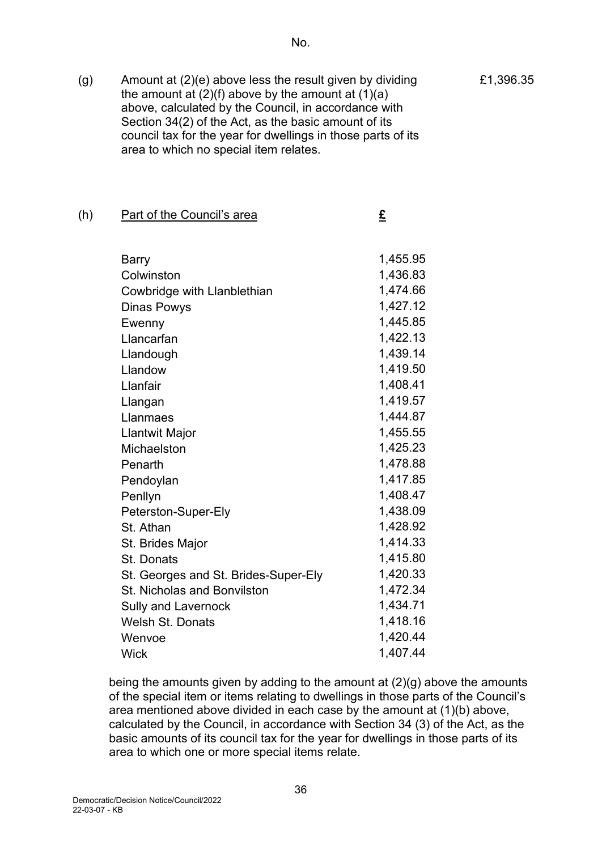(g) Amount at (2)(e) above less the result given by dividing the amount at  $(2)(f)$  above by the amount at  $(1)(a)$ above, calculated by the Council, in accordance with Section 34(2) of the Act, as the basic amount of its council tax for the year for dwellings in those parts of its area to which no special item relates.

#### (h) Part of the Council's area **£**

| Barry                                | 1,455.95 |
|--------------------------------------|----------|
| Colwinston                           | 1,436.83 |
| Cowbridge with Llanblethian          | 1,474.66 |
| Dinas Powys                          | 1,427.12 |
| Ewenny                               | 1,445.85 |
| Llancarfan                           | 1,422.13 |
| Llandough                            | 1,439.14 |
| Llandow                              | 1,419.50 |
| Llanfair                             | 1,408.41 |
| Llangan                              | 1,419.57 |
| Llanmaes                             | 1,444.87 |
| Llantwit Major                       | 1,455.55 |
| Michaelston                          | 1,425.23 |
| Penarth                              | 1,478.88 |
| Pendoylan                            | 1,417.85 |
| Penllyn                              | 1,408.47 |
| Peterston-Super-Ely                  | 1,438.09 |
| St. Athan                            | 1,428.92 |
| St. Brides Major                     | 1,414.33 |
| <b>St. Donats</b>                    | 1,415.80 |
| St. Georges and St. Brides-Super-Ely | 1,420.33 |
| <b>St. Nicholas and Bonvilston</b>   | 1,472.34 |
| <b>Sully and Lavernock</b>           | 1,434.71 |
| Welsh St. Donats                     | 1,418.16 |
| Wenvoe                               | 1,420.44 |
| Wick                                 | 1,407.44 |
|                                      |          |

being the amounts given by adding to the amount at (2)(g) above the amounts of the special item or items relating to dwellings in those parts of the Council's area mentioned above divided in each case by the amount at (1)(b) above, calculated by the Council, in accordance with Section 34 (3) of the Act, as the basic amounts of its council tax for the year for dwellings in those parts of its area to which one or more special items relate.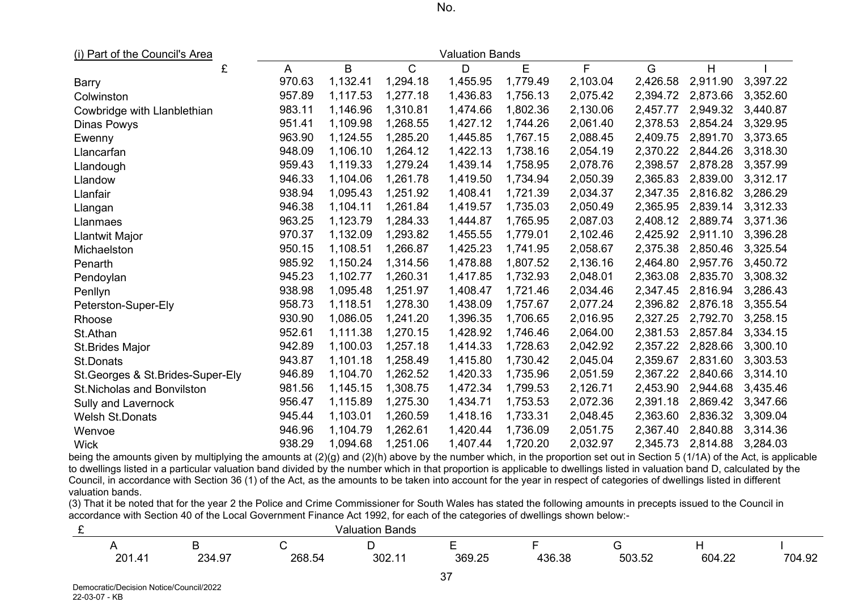| w<br>× | I<br>۰. |
|--------|---------|
|--------|---------|

(i) Part of the Council's Area Valuation Bands

|                                    | £ | A      | $\mathsf B$ | $\mathsf{C}$ | D        | E        | F        | G        | H        |          |
|------------------------------------|---|--------|-------------|--------------|----------|----------|----------|----------|----------|----------|
| Barry                              |   | 970.63 | 1,132.41    | 1,294.18     | 1,455.95 | 1,779.49 | 2,103.04 | 2,426.58 | 2,911.90 | 3,397.22 |
| Colwinston                         |   | 957.89 | 1,117.53    | 1,277.18     | 1,436.83 | 1,756.13 | 2,075.42 | 2,394.72 | 2,873.66 | 3,352.60 |
| Cowbridge with Llanblethian        |   | 983.11 | 1,146.96    | 1,310.81     | 1,474.66 | 1,802.36 | 2,130.06 | 2,457.77 | 2,949.32 | 3,440.87 |
| Dinas Powys                        |   | 951.41 | 1,109.98    | 1,268.55     | 1,427.12 | 1,744.26 | 2,061.40 | 2,378.53 | 2,854.24 | 3,329.95 |
| Ewenny                             |   | 963.90 | 1,124.55    | 1,285.20     | 1,445.85 | 1,767.15 | 2,088.45 | 2,409.75 | 2,891.70 | 3,373.65 |
| Llancarfan                         |   | 948.09 | 1,106.10    | 1,264.12     | 1,422.13 | 1,738.16 | 2,054.19 | 2,370.22 | 2,844.26 | 3,318.30 |
| Llandough                          |   | 959.43 | 1,119.33    | 1,279.24     | 1,439.14 | 1,758.95 | 2,078.76 | 2,398.57 | 2,878.28 | 3,357.99 |
| Llandow                            |   | 946.33 | 1,104.06    | 1,261.78     | 1,419.50 | 1,734.94 | 2,050.39 | 2,365.83 | 2,839.00 | 3,312.17 |
| Llanfair                           |   | 938.94 | 1,095.43    | 1,251.92     | 1,408.41 | 1,721.39 | 2,034.37 | 2,347.35 | 2,816.82 | 3,286.29 |
| Llangan                            |   | 946.38 | 1,104.11    | 1,261.84     | 1,419.57 | 1,735.03 | 2,050.49 | 2,365.95 | 2,839.14 | 3,312.33 |
| Llanmaes                           |   | 963.25 | 1,123.79    | 1,284.33     | 1,444.87 | 1,765.95 | 2,087.03 | 2,408.12 | 2,889.74 | 3,371.36 |
| Llantwit Major                     |   | 970.37 | 1,132.09    | 1,293.82     | 1,455.55 | 1,779.01 | 2,102.46 | 2,425.92 | 2,911.10 | 3,396.28 |
| Michaelston                        |   | 950.15 | 1,108.51    | 1,266.87     | 1,425.23 | 1,741.95 | 2,058.67 | 2,375.38 | 2,850.46 | 3,325.54 |
| Penarth                            |   | 985.92 | 1,150.24    | 1,314.56     | 1,478.88 | 1,807.52 | 2,136.16 | 2,464.80 | 2,957.76 | 3,450.72 |
| Pendoylan                          |   | 945.23 | 1,102.77    | 1,260.31     | 1,417.85 | 1,732.93 | 2,048.01 | 2,363.08 | 2,835.70 | 3,308.32 |
| Penllyn                            |   | 938.98 | 1,095.48    | 1,251.97     | 1,408.47 | 1,721.46 | 2,034.46 | 2,347.45 | 2,816.94 | 3,286.43 |
| Peterston-Super-Ely                |   | 958.73 | 1,118.51    | 1,278.30     | 1,438.09 | 1,757.67 | 2,077.24 | 2,396.82 | 2,876.18 | 3,355.54 |
| Rhoose                             |   | 930.90 | 1,086.05    | 1,241.20     | 1,396.35 | 1,706.65 | 2,016.95 | 2,327.25 | 2,792.70 | 3,258.15 |
| St.Athan                           |   | 952.61 | 1,111.38    | 1,270.15     | 1,428.92 | 1,746.46 | 2,064.00 | 2,381.53 | 2,857.84 | 3,334.15 |
| St.Brides Major                    |   | 942.89 | 1,100.03    | 1,257.18     | 1,414.33 | 1,728.63 | 2,042.92 | 2,357.22 | 2,828.66 | 3,300.10 |
| <b>St.Donats</b>                   |   | 943.87 | 1,101.18    | 1,258.49     | 1,415.80 | 1,730.42 | 2,045.04 | 2,359.67 | 2,831.60 | 3,303.53 |
| St. Georges & St. Brides-Super-Ely |   | 946.89 | 1,104.70    | 1,262.52     | 1,420.33 | 1,735.96 | 2,051.59 | 2,367.22 | 2,840.66 | 3,314.10 |
| St.Nicholas and Bonvilston         |   | 981.56 | 1,145.15    | 1,308.75     | 1,472.34 | 1,799.53 | 2,126.71 | 2,453.90 | 2,944.68 | 3,435.46 |
| Sully and Lavernock                |   | 956.47 | 1,115.89    | 1,275.30     | 1,434.71 | 1,753.53 | 2,072.36 | 2,391.18 | 2,869.42 | 3,347.66 |
| <b>Welsh St.Donats</b>             |   | 945.44 | 1,103.01    | 1,260.59     | 1,418.16 | 1,733.31 | 2,048.45 | 2,363.60 | 2,836.32 | 3,309.04 |
| Wenvoe                             |   | 946.96 | 1,104.79    | 1,262.61     | 1,420.44 | 1,736.09 | 2,051.75 | 2,367.40 | 2,840.88 | 3,314.36 |
| <b>Wick</b>                        |   | 938.29 | 1,094.68    | 1,251.06     | 1,407.44 | 1,720.20 | 2,032.97 | 2,345.73 | 2,814.88 | 3,284.03 |

being the amounts given by multiplying the amounts at (2)(g) and (2)(h) above by the number which, in the proportion set out in Section 5 (1/1A) of the Act, is applicable to dwellings listed in a particular valuation band divided by the number which in that proportion is applicable to dwellings listed in valuation band D, calculated by the Council, in accordance with Section 36 (1) of the Act, as the amounts to be taken into account for the year in respect of categories of dwellings listed in different valuation bands.

(3) That it be noted that for the year 2 the Police and Crime Commissioner for South Wales has stated the following amounts in precepts issued to the Council in accordance with Section 40 of the Local Government Finance Act 1992, for each of the categories of dwellings shown below:-

|        |        |                            | Valuation Bands |        |        |        |        |        |
|--------|--------|----------------------------|-----------------|--------|--------|--------|--------|--------|
|        |        |                            |                 | -      |        |        |        |        |
| 201.41 | 234.97 | 268.54<br>$h_{\mathbf{A}}$ | ∩∩י<br>JUZ.I    | 369.25 | 436.38 | 503.52 | 604.22 | 704.92 |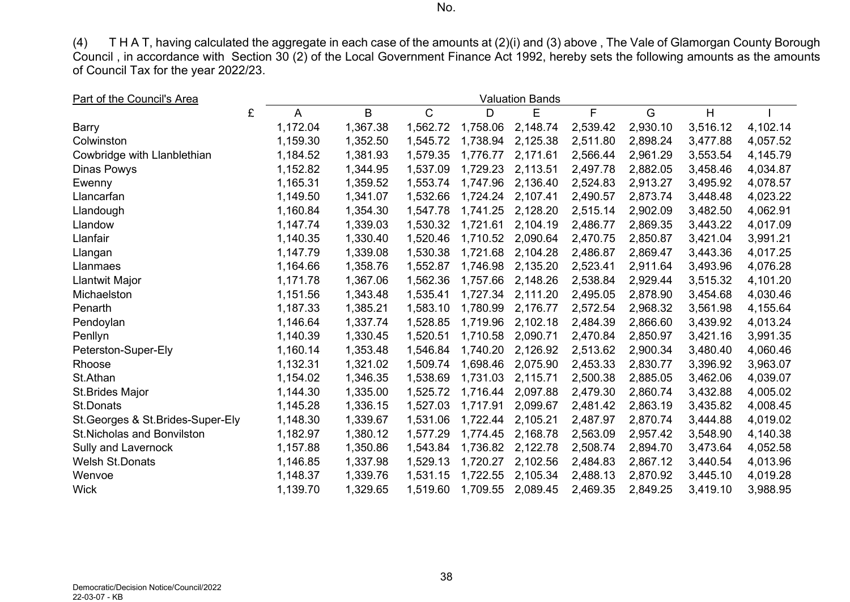(4) T H A T, having calculated the aggregate in each case of the amounts at (2)(i) and (3) above , The Vale of Glamorgan County Borough Council , in accordance with Section 30 (2) of the Local Government Finance Act 1992, hereby sets the following amounts as the amounts of Council Tax for the year 2022/23.

| Part of the Council's Area<br><b>Valuation Bands</b> |   |          |          |              |  |          |          |          |  |          |          |          |
|------------------------------------------------------|---|----------|----------|--------------|--|----------|----------|----------|--|----------|----------|----------|
|                                                      | £ | A        | B        | $\mathsf{C}$ |  | D        | E        | F.       |  | G        | H        |          |
| <b>Barry</b>                                         |   | 1,172.04 | 1,367.38 | 1,562.72     |  | 1,758.06 | 2,148.74 | 2,539.42 |  | 2,930.10 | 3,516.12 | 4,102.14 |
| Colwinston                                           |   | 1,159.30 | 1,352.50 | 1,545.72     |  | 1,738.94 | 2,125.38 | 2,511.80 |  | 2,898.24 | 3,477.88 | 4,057.52 |
| Cowbridge with Llanblethian                          |   | 1,184.52 | 1,381.93 | 1,579.35     |  | 1,776.77 | 2,171.61 | 2,566.44 |  | 2,961.29 | 3,553.54 | 4,145.79 |
| Dinas Powys                                          |   | 1,152.82 | 1,344.95 | 1,537.09     |  | 1,729.23 | 2,113.51 | 2,497.78 |  | 2,882.05 | 3,458.46 | 4,034.87 |
| Ewenny                                               |   | 1,165.31 | 1,359.52 | 1,553.74     |  | 1,747.96 | 2,136.40 | 2,524.83 |  | 2,913.27 | 3,495.92 | 4,078.57 |
| Llancarfan                                           |   | 1,149.50 | 1,341.07 | 1,532.66     |  | 1,724.24 | 2,107.41 | 2,490.57 |  | 2,873.74 | 3,448.48 | 4,023.22 |
| Llandough                                            |   | 1,160.84 | 1,354.30 | 1,547.78     |  | 1,741.25 | 2,128.20 | 2,515.14 |  | 2,902.09 | 3,482.50 | 4,062.91 |
| Llandow                                              |   | 1,147.74 | 1,339.03 | 1,530.32     |  | 1,721.61 | 2,104.19 | 2,486.77 |  | 2,869.35 | 3,443.22 | 4,017.09 |
| Llanfair                                             |   | 1,140.35 | 1,330.40 | 1,520.46     |  | 1,710.52 | 2,090.64 | 2,470.75 |  | 2,850.87 | 3,421.04 | 3,991.21 |
| Llangan                                              |   | 1,147.79 | 1,339.08 | 1,530.38     |  | 1,721.68 | 2,104.28 | 2,486.87 |  | 2,869.47 | 3,443.36 | 4,017.25 |
| Llanmaes                                             |   | 1,164.66 | 1,358.76 | 1,552.87     |  | 1,746.98 | 2,135.20 | 2,523.41 |  | 2,911.64 | 3,493.96 | 4,076.28 |
| Llantwit Major                                       |   | 1,171.78 | 1,367.06 | 1,562.36     |  | 1,757.66 | 2,148.26 | 2,538.84 |  | 2,929.44 | 3,515.32 | 4,101.20 |
| Michaelston                                          |   | 1,151.56 | 1,343.48 | 1,535.41     |  | 1,727.34 | 2,111.20 | 2,495.05 |  | 2,878.90 | 3,454.68 | 4,030.46 |
| Penarth                                              |   | 1,187.33 | 1,385.21 | 1,583.10     |  | 1,780.99 | 2,176.77 | 2,572.54 |  | 2,968.32 | 3,561.98 | 4,155.64 |
| Pendoylan                                            |   | 1,146.64 | 1,337.74 | 1,528.85     |  | 1,719.96 | 2,102.18 | 2,484.39 |  | 2,866.60 | 3,439.92 | 4,013.24 |
| Penllyn                                              |   | 1,140.39 | 1,330.45 | 1,520.51     |  | 1,710.58 | 2,090.71 | 2,470.84 |  | 2,850.97 | 3,421.16 | 3,991.35 |
| Peterston-Super-Ely                                  |   | 1,160.14 | 1,353.48 | 1,546.84     |  | 1,740.20 | 2,126.92 | 2,513.62 |  | 2,900.34 | 3,480.40 | 4,060.46 |
| Rhoose                                               |   | 1,132.31 | 1,321.02 | 1,509.74     |  | 1,698.46 | 2,075.90 | 2,453.33 |  | 2,830.77 | 3,396.92 | 3,963.07 |
| St.Athan                                             |   | 1,154.02 | 1,346.35 | 1,538.69     |  | 1,731.03 | 2,115.71 | 2,500.38 |  | 2,885.05 | 3,462.06 | 4,039.07 |
| St.Brides Major                                      |   | 1,144.30 | 1,335.00 | 1,525.72     |  | 1,716.44 | 2,097.88 | 2,479.30 |  | 2,860.74 | 3,432.88 | 4,005.02 |
| <b>St.Donats</b>                                     |   | 1,145.28 | 1,336.15 | 1,527.03     |  | 1,717.91 | 2,099.67 | 2,481.42 |  | 2,863.19 | 3,435.82 | 4,008.45 |
| St. Georges & St. Brides-Super-Ely                   |   | 1,148.30 | 1,339.67 | 1,531.06     |  | 1,722.44 | 2,105.21 | 2,487.97 |  | 2,870.74 | 3,444.88 | 4,019.02 |
| <b>St.Nicholas and Bonvilston</b>                    |   | 1,182.97 | 1,380.12 | 1,577.29     |  | 1,774.45 | 2,168.78 | 2,563.09 |  | 2,957.42 | 3,548.90 | 4,140.38 |
| Sully and Lavernock                                  |   | 1,157.88 | 1,350.86 | 1,543.84     |  | 1,736.82 | 2,122.78 | 2,508.74 |  | 2,894.70 | 3,473.64 | 4,052.58 |
| <b>Welsh St.Donats</b>                               |   | 1,146.85 | 1,337.98 | 1,529.13     |  | 1,720.27 | 2,102.56 | 2,484.83 |  | 2,867.12 | 3,440.54 | 4,013.96 |
| Wenvoe                                               |   | 1,148.37 | 1,339.76 | 1,531.15     |  | 1,722.55 | 2,105.34 | 2,488.13 |  | 2,870.92 | 3,445.10 | 4,019.28 |
| <b>Wick</b>                                          |   | 1,139.70 | 1,329.65 | 1,519.60     |  | 1,709.55 | 2,089.45 | 2,469.35 |  | 2,849.25 | 3,419.10 | 3,988.95 |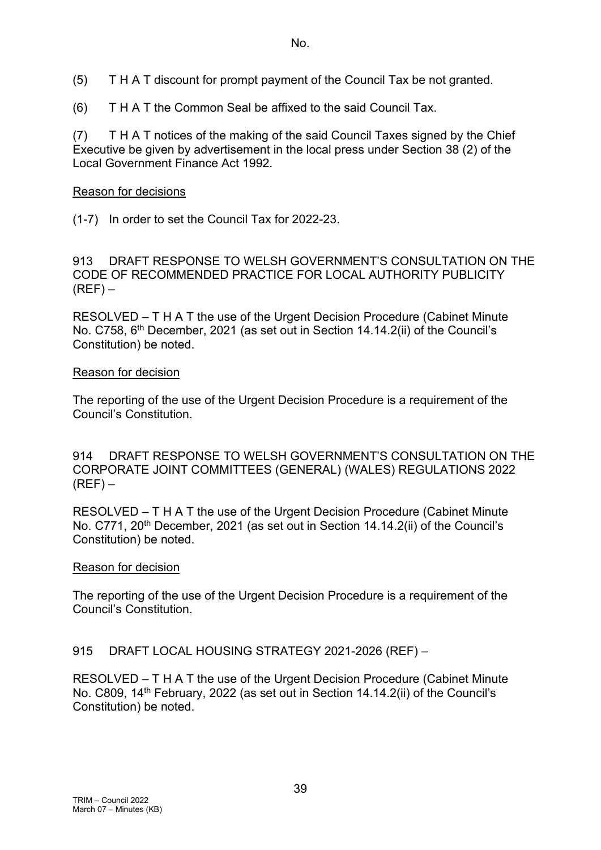- (5) T H A T discount for prompt payment of the Council Tax be not granted.
- (6) T H A T the Common Seal be affixed to the said Council Tax.

(7) T H A T notices of the making of the said Council Taxes signed by the Chief Executive be given by advertisement in the local press under Section 38 (2) of the Local Government Finance Act 1992.

#### Reason for decisions

(1-7) In order to set the Council Tax for 2022-23.

913 DRAFT RESPONSE TO WELSH GOVERNMENT'S CONSULTATION ON THE CODE OF RECOMMENDED PRACTICE FOR LOCAL AUTHORITY PUBLICITY  $(REF)$  –

RESOLVED – T H A T the use of the Urgent Decision Procedure (Cabinet Minute No. C758, 6<sup>th</sup> December, 2021 (as set out in Section 14.14.2(ii) of the Council's Constitution) be noted.

#### Reason for decision

The reporting of the use of the Urgent Decision Procedure is a requirement of the Council's Constitution.

914 DRAFT RESPONSE TO WELSH GOVERNMENT'S CONSULTATION ON THE CORPORATE JOINT COMMITTEES (GENERAL) (WALES) REGULATIONS 2022  $(REF)$  –

RESOLVED – T H A T the use of the Urgent Decision Procedure (Cabinet Minute No. C771, 20<sup>th</sup> December, 2021 (as set out in Section 14.14.2(ii) of the Council's Constitution) be noted.

#### Reason for decision

The reporting of the use of the Urgent Decision Procedure is a requirement of the Council's Constitution.

### 915 DRAFT LOCAL HOUSING STRATEGY 2021-2026 (REF) –

RESOLVED – T H A T the use of the Urgent Decision Procedure (Cabinet Minute No. C809, 14th February, 2022 (as set out in Section 14.14.2(ii) of the Council's Constitution) be noted.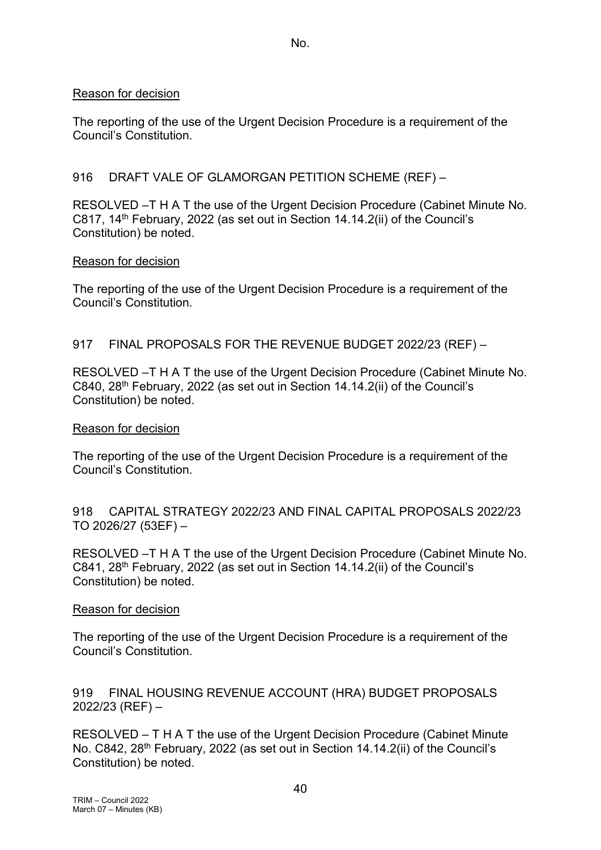#### Reason for decision

The reporting of the use of the Urgent Decision Procedure is a requirement of the Council's Constitution.

#### 916 DRAFT VALE OF GLAMORGAN PETITION SCHEME (REF) –

RESOLVED –T H A T the use of the Urgent Decision Procedure (Cabinet Minute No. C817, 14th February, 2022 (as set out in Section 14.14.2(ii) of the Council's Constitution) be noted.

#### Reason for decision

The reporting of the use of the Urgent Decision Procedure is a requirement of the Council's Constitution.

#### 917 FINAL PROPOSALS FOR THE REVENUE BUDGET 2022/23 (REF) –

RESOLVED –T H A T the use of the Urgent Decision Procedure (Cabinet Minute No. C840, 28th February, 2022 (as set out in Section 14.14.2(ii) of the Council's Constitution) be noted.

#### Reason for decision

The reporting of the use of the Urgent Decision Procedure is a requirement of the Council's Constitution.

918 CAPITAL STRATEGY 2022/23 AND FINAL CAPITAL PROPOSALS 2022/23 TO 2026/27 (53EF) –

RESOLVED –T H A T the use of the Urgent Decision Procedure (Cabinet Minute No. C841, 28<sup>th</sup> February, 2022 (as set out in Section 14.14.2(ii) of the Council's Constitution) be noted.

#### Reason for decision

The reporting of the use of the Urgent Decision Procedure is a requirement of the Council's Constitution.

919 FINAL HOUSING REVENUE ACCOUNT (HRA) BUDGET PROPOSALS 2022/23 (REF) –

RESOLVED – T H A T the use of the Urgent Decision Procedure (Cabinet Minute No. C842, 28th February, 2022 (as set out in Section 14.14.2(ii) of the Council's Constitution) be noted.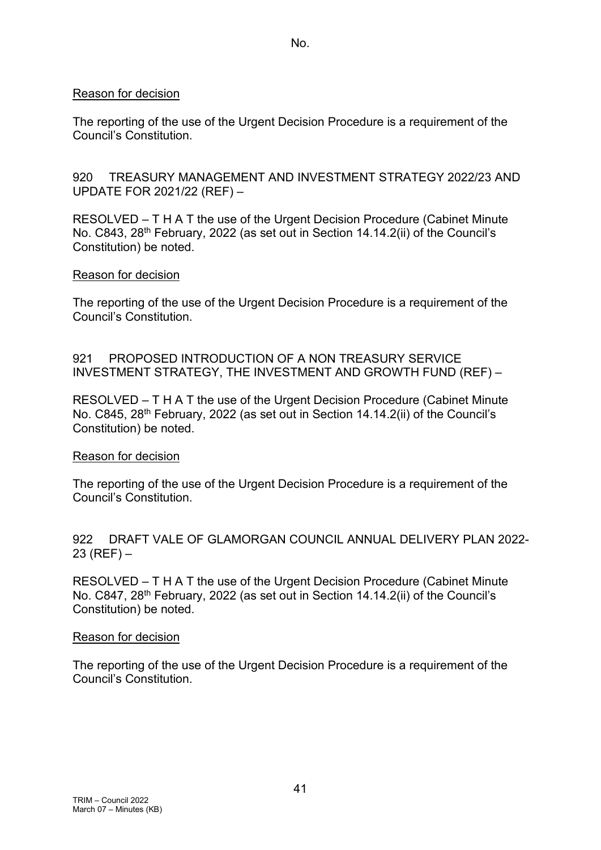#### Reason for decision

The reporting of the use of the Urgent Decision Procedure is a requirement of the Council's Constitution.

920 TREASURY MANAGEMENT AND INVESTMENT STRATEGY 2022/23 AND UPDATE FOR 2021/22 (REF) –

RESOLVED – T H A T the use of the Urgent Decision Procedure (Cabinet Minute No. C843, 28<sup>th</sup> February, 2022 (as set out in Section 14.14.2(ii) of the Council's Constitution) be noted.

#### Reason for decision

The reporting of the use of the Urgent Decision Procedure is a requirement of the Council's Constitution.

921 PROPOSED INTRODUCTION OF A NON TREASURY SERVICE INVESTMENT STRATEGY, THE INVESTMENT AND GROWTH FUND (REF) –

RESOLVED – T H A T the use of the Urgent Decision Procedure (Cabinet Minute No. C845, 28th February, 2022 (as set out in Section 14.14.2(ii) of the Council's Constitution) be noted.

#### Reason for decision

The reporting of the use of the Urgent Decision Procedure is a requirement of the Council's Constitution.

#### 922 DRAFT VALE OF GLAMORGAN COUNCIL ANNUAL DELIVERY PLAN 2022-  $23 (REF) -$

RESOLVED – T H A T the use of the Urgent Decision Procedure (Cabinet Minute No. C847, 28<sup>th</sup> February, 2022 (as set out in Section 14.14.2(ii) of the Council's Constitution) be noted.

#### Reason for decision

The reporting of the use of the Urgent Decision Procedure is a requirement of the Council's Constitution.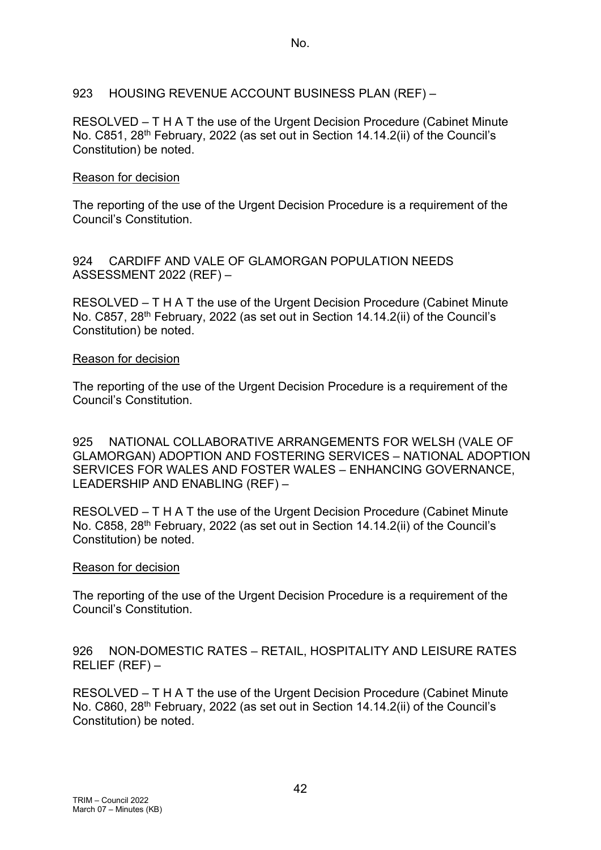923 HOUSING REVENUE ACCOUNT BUSINESS PLAN (REF) –

RESOLVED – T H A T the use of the Urgent Decision Procedure (Cabinet Minute No. C851, 28th February, 2022 (as set out in Section 14.14.2(ii) of the Council's Constitution) be noted.

## Reason for decision

The reporting of the use of the Urgent Decision Procedure is a requirement of the Council's Constitution.

924 CARDIFF AND VALE OF GLAMORGAN POPULATION NEEDS ASSESSMENT 2022 (REF) –

RESOLVED – T H A T the use of the Urgent Decision Procedure (Cabinet Minute No. C857, 28th February, 2022 (as set out in Section 14.14.2(ii) of the Council's Constitution) be noted.

## Reason for decision

The reporting of the use of the Urgent Decision Procedure is a requirement of the Council's Constitution.

925 NATIONAL COLLABORATIVE ARRANGEMENTS FOR WELSH (VALE OF GLAMORGAN) ADOPTION AND FOSTERING SERVICES – NATIONAL ADOPTION SERVICES FOR WALES AND FOSTER WALES – ENHANCING GOVERNANCE, LEADERSHIP AND ENABLING (REF) –

RESOLVED – T H A T the use of the Urgent Decision Procedure (Cabinet Minute No. C858, 28th February, 2022 (as set out in Section 14.14.2(ii) of the Council's Constitution) be noted.

### Reason for decision

The reporting of the use of the Urgent Decision Procedure is a requirement of the Council's Constitution.

926 NON-DOMESTIC RATES – RETAIL, HOSPITALITY AND LEISURE RATES RELIEF (REF) –

RESOLVED – T H A T the use of the Urgent Decision Procedure (Cabinet Minute No. C860, 28<sup>th</sup> February, 2022 (as set out in Section 14.14.2(ii) of the Council's Constitution) be noted.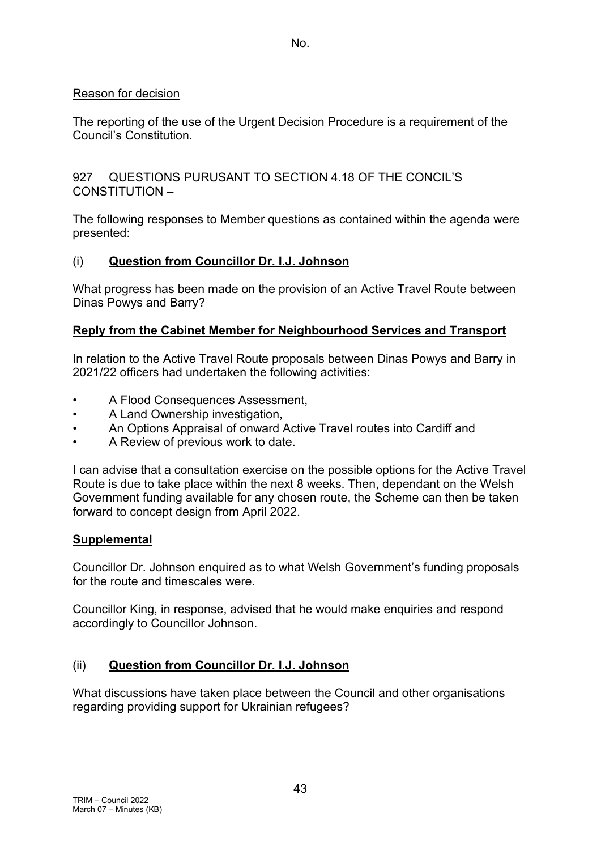## Reason for decision

The reporting of the use of the Urgent Decision Procedure is a requirement of the Council's Constitution.

927 QUESTIONS PURUSANT TO SECTION 4.18 OF THE CONCIL'S CONSTITUTION –

The following responses to Member questions as contained within the agenda were presented:

# (i) **Question from Councillor Dr. I.J. Johnson**

What progress has been made on the provision of an Active Travel Route between Dinas Powys and Barry?

# **Reply from the Cabinet Member for Neighbourhood Services and Transport**

In relation to the Active Travel Route proposals between Dinas Powys and Barry in 2021/22 officers had undertaken the following activities:

- A Flood Consequences Assessment,
- A Land Ownership investigation,
- An Options Appraisal of onward Active Travel routes into Cardiff and
- A Review of previous work to date.

I can advise that a consultation exercise on the possible options for the Active Travel Route is due to take place within the next 8 weeks. Then, dependant on the Welsh Government funding available for any chosen route, the Scheme can then be taken forward to concept design from April 2022.

# **Supplemental**

Councillor Dr. Johnson enquired as to what Welsh Government's funding proposals for the route and timescales were.

Councillor King, in response, advised that he would make enquiries and respond accordingly to Councillor Johnson.

# (ii) **Question from Councillor Dr. I.J. Johnson**

What discussions have taken place between the Council and other organisations regarding providing support for Ukrainian refugees?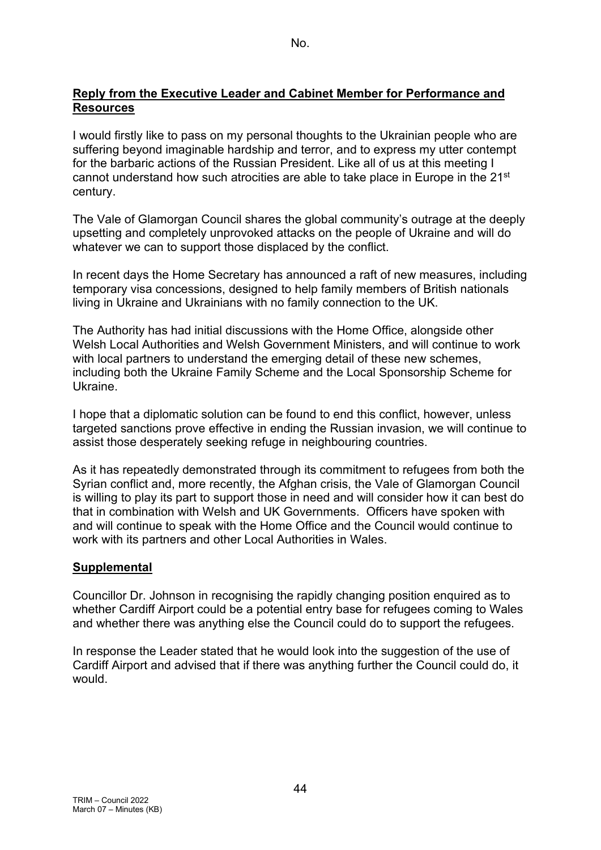### **Reply from the Executive Leader and Cabinet Member for Performance and Resources**

I would firstly like to pass on my personal thoughts to the Ukrainian people who are suffering beyond imaginable hardship and terror, and to express my utter contempt for the barbaric actions of the Russian President. Like all of us at this meeting I cannot understand how such atrocities are able to take place in Europe in the  $21<sup>st</sup>$ century.

The Vale of Glamorgan Council shares the global community's outrage at the deeply upsetting and completely unprovoked attacks on the people of Ukraine and will do whatever we can to support those displaced by the conflict.

In recent days the Home Secretary has announced a raft of new measures, including temporary visa concessions, designed to help family members of British nationals living in Ukraine and Ukrainians with no family connection to the UK.

The Authority has had initial discussions with the Home Office, alongside other Welsh Local Authorities and Welsh Government Ministers, and will continue to work with local partners to understand the emerging detail of these new schemes, including both the Ukraine Family Scheme and the Local Sponsorship Scheme for Ukraine.

I hope that a diplomatic solution can be found to end this conflict, however, unless targeted sanctions prove effective in ending the Russian invasion, we will continue to assist those desperately seeking refuge in neighbouring countries.

As it has repeatedly demonstrated through its commitment to refugees from both the Syrian conflict and, more recently, the Afghan crisis, the Vale of Glamorgan Council is willing to play its part to support those in need and will consider how it can best do that in combination with Welsh and UK Governments. Officers have spoken with and will continue to speak with the Home Office and the Council would continue to work with its partners and other Local Authorities in Wales.

### **Supplemental**

Councillor Dr. Johnson in recognising the rapidly changing position enquired as to whether Cardiff Airport could be a potential entry base for refugees coming to Wales and whether there was anything else the Council could do to support the refugees.

In response the Leader stated that he would look into the suggestion of the use of Cardiff Airport and advised that if there was anything further the Council could do, it would.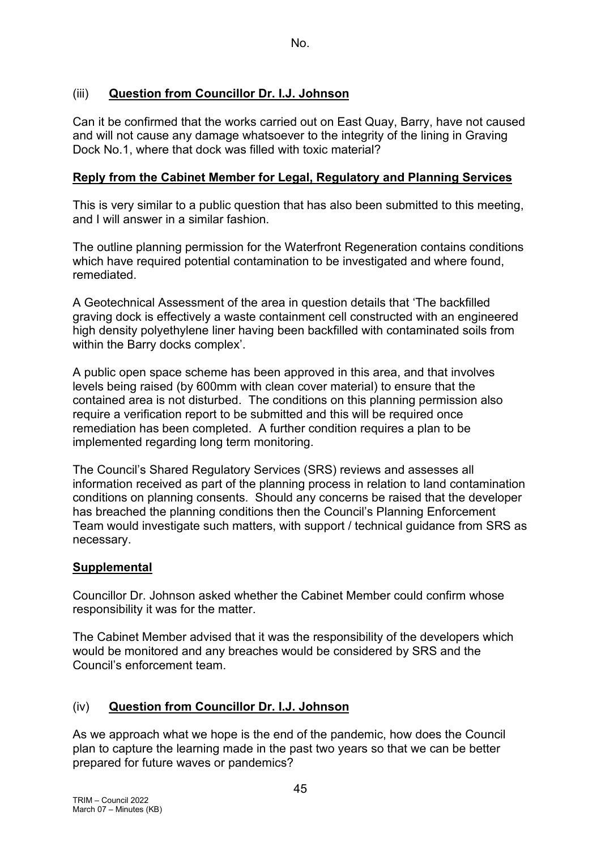# (iii) **Question from Councillor Dr. I.J. Johnson**

Can it be confirmed that the works carried out on East Quay, Barry, have not caused and will not cause any damage whatsoever to the integrity of the lining in Graving Dock No.1, where that dock was filled with toxic material?

### **Reply from the Cabinet Member for Legal, Regulatory and Planning Services**

This is very similar to a public question that has also been submitted to this meeting, and I will answer in a similar fashion.

The outline planning permission for the Waterfront Regeneration contains conditions which have required potential contamination to be investigated and where found, remediated.

A Geotechnical Assessment of the area in question details that 'The backfilled graving dock is effectively a waste containment cell constructed with an engineered high density polyethylene liner having been backfilled with contaminated soils from within the Barry docks complex'.

A public open space scheme has been approved in this area, and that involves levels being raised (by 600mm with clean cover material) to ensure that the contained area is not disturbed. The conditions on this planning permission also require a verification report to be submitted and this will be required once remediation has been completed. A further condition requires a plan to be implemented regarding long term monitoring.

The Council's Shared Regulatory Services (SRS) reviews and assesses all information received as part of the planning process in relation to land contamination conditions on planning consents. Should any concerns be raised that the developer has breached the planning conditions then the Council's Planning Enforcement Team would investigate such matters, with support / technical guidance from SRS as necessary.

#### **Supplemental**

Councillor Dr. Johnson asked whether the Cabinet Member could confirm whose responsibility it was for the matter.

The Cabinet Member advised that it was the responsibility of the developers which would be monitored and any breaches would be considered by SRS and the Council's enforcement team.

### (iv) **Question from Councillor Dr. I.J. Johnson**

As we approach what we hope is the end of the pandemic, how does the Council plan to capture the learning made in the past two years so that we can be better prepared for future waves or pandemics?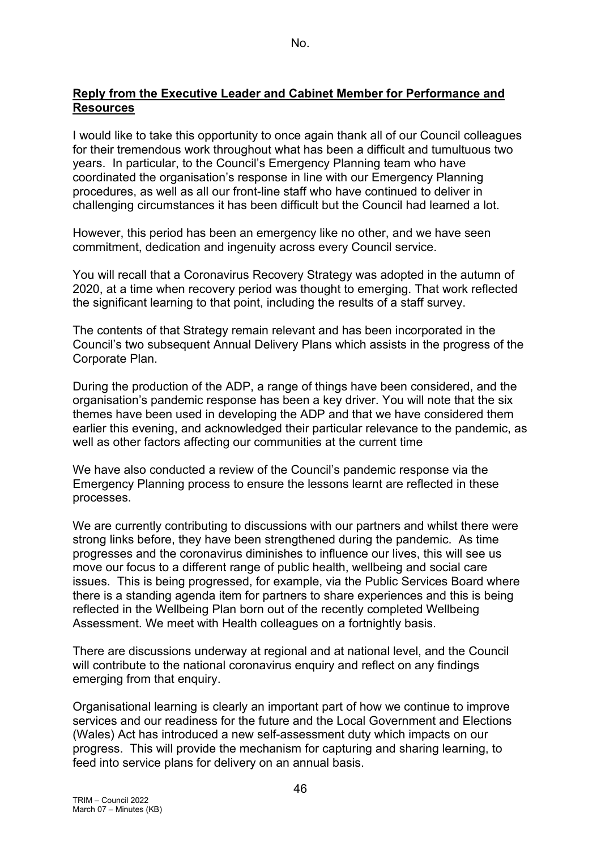#### **Reply from the Executive Leader and Cabinet Member for Performance and Resources**

I would like to take this opportunity to once again thank all of our Council colleagues for their tremendous work throughout what has been a difficult and tumultuous two years. In particular, to the Council's Emergency Planning team who have coordinated the organisation's response in line with our Emergency Planning procedures, as well as all our front-line staff who have continued to deliver in challenging circumstances it has been difficult but the Council had learned a lot.

However, this period has been an emergency like no other, and we have seen commitment, dedication and ingenuity across every Council service.

You will recall that a Coronavirus Recovery Strategy was adopted in the autumn of 2020, at a time when recovery period was thought to emerging. That work reflected the significant learning to that point, including the results of a staff survey.

The contents of that Strategy remain relevant and has been incorporated in the Council's two subsequent Annual Delivery Plans which assists in the progress of the Corporate Plan.

During the production of the ADP, a range of things have been considered, and the organisation's pandemic response has been a key driver. You will note that the six themes have been used in developing the ADP and that we have considered them earlier this evening, and acknowledged their particular relevance to the pandemic, as well as other factors affecting our communities at the current time

We have also conducted a review of the Council's pandemic response via the Emergency Planning process to ensure the lessons learnt are reflected in these processes.

We are currently contributing to discussions with our partners and whilst there were strong links before, they have been strengthened during the pandemic. As time progresses and the coronavirus diminishes to influence our lives, this will see us move our focus to a different range of public health, wellbeing and social care issues. This is being progressed, for example, via the Public Services Board where there is a standing agenda item for partners to share experiences and this is being reflected in the Wellbeing Plan born out of the recently completed Wellbeing Assessment. We meet with Health colleagues on a fortnightly basis.

There are discussions underway at regional and at national level, and the Council will contribute to the national coronavirus enquiry and reflect on any findings emerging from that enquiry.

Organisational learning is clearly an important part of how we continue to improve services and our readiness for the future and the Local Government and Elections (Wales) Act has introduced a new self-assessment duty which impacts on our progress. This will provide the mechanism for capturing and sharing learning, to feed into service plans for delivery on an annual basis.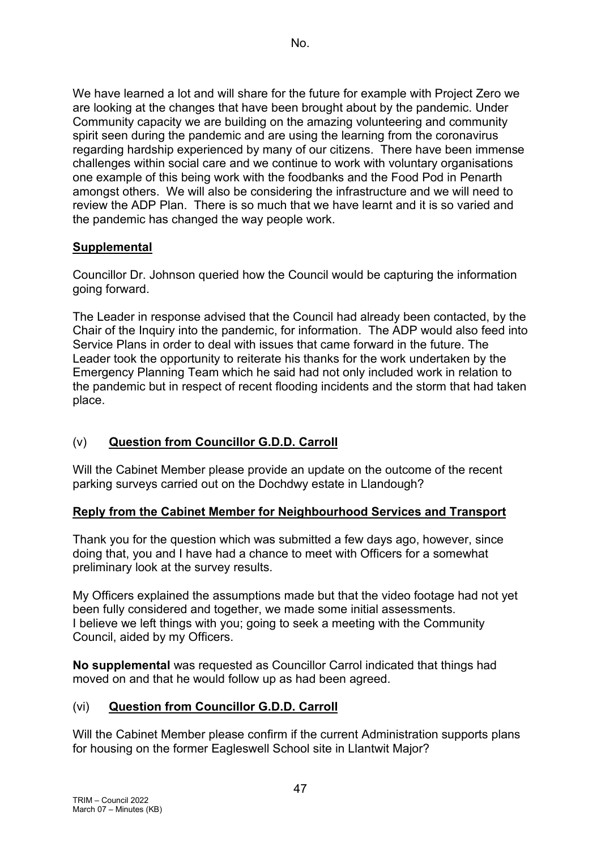We have learned a lot and will share for the future for example with Project Zero we are looking at the changes that have been brought about by the pandemic. Under Community capacity we are building on the amazing volunteering and community spirit seen during the pandemic and are using the learning from the coronavirus regarding hardship experienced by many of our citizens. There have been immense challenges within social care and we continue to work with voluntary organisations one example of this being work with the foodbanks and the Food Pod in Penarth amongst others. We will also be considering the infrastructure and we will need to review the ADP Plan. There is so much that we have learnt and it is so varied and the pandemic has changed the way people work.

# **Supplemental**

Councillor Dr. Johnson queried how the Council would be capturing the information going forward.

The Leader in response advised that the Council had already been contacted, by the Chair of the Inquiry into the pandemic, for information. The ADP would also feed into Service Plans in order to deal with issues that came forward in the future. The Leader took the opportunity to reiterate his thanks for the work undertaken by the Emergency Planning Team which he said had not only included work in relation to the pandemic but in respect of recent flooding incidents and the storm that had taken place.

# (v) **Question from Councillor G.D.D. Carroll**

Will the Cabinet Member please provide an update on the outcome of the recent parking surveys carried out on the Dochdwy estate in Llandough?

### **Reply from the Cabinet Member for Neighbourhood Services and Transport**

Thank you for the question which was submitted a few days ago, however, since doing that, you and I have had a chance to meet with Officers for a somewhat preliminary look at the survey results.

My Officers explained the assumptions made but that the video footage had not yet been fully considered and together, we made some initial assessments. I believe we left things with you; going to seek a meeting with the Community Council, aided by my Officers.

**No supplemental** was requested as Councillor Carrol indicated that things had moved on and that he would follow up as had been agreed.

# (vi) **Question from Councillor G.D.D. Carroll**

Will the Cabinet Member please confirm if the current Administration supports plans for housing on the former Eagleswell School site in Llantwit Major?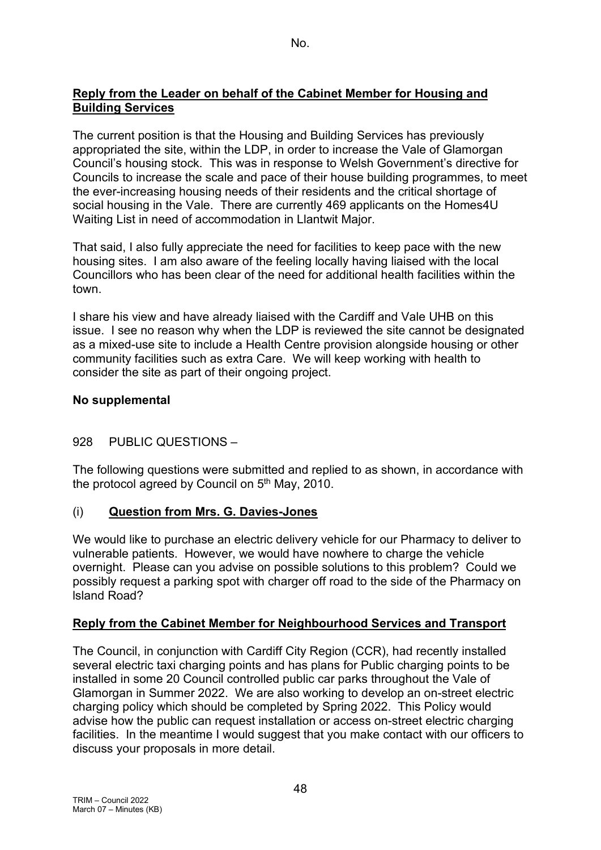## **Reply from the Leader on behalf of the Cabinet Member for Housing and Building Services**

The current position is that the Housing and Building Services has previously appropriated the site, within the LDP, in order to increase the Vale of Glamorgan Council's housing stock. This was in response to Welsh Government's directive for Councils to increase the scale and pace of their house building programmes, to meet the ever-increasing housing needs of their residents and the critical shortage of social housing in the Vale. There are currently 469 applicants on the Homes4U Waiting List in need of accommodation in Llantwit Major.

That said, I also fully appreciate the need for facilities to keep pace with the new housing sites. I am also aware of the feeling locally having liaised with the local Councillors who has been clear of the need for additional health facilities within the town.

I share his view and have already liaised with the Cardiff and Vale UHB on this issue. I see no reason why when the LDP is reviewed the site cannot be designated as a mixed-use site to include a Health Centre provision alongside housing or other community facilities such as extra Care. We will keep working with health to consider the site as part of their ongoing project.

## **No supplemental**

# 928 PUBLIC QUESTIONS –

The following questions were submitted and replied to as shown, in accordance with the protocol agreed by Council on 5<sup>th</sup> May, 2010.

### (i) **Question from Mrs. G. Davies-Jones**

We would like to purchase an electric delivery vehicle for our Pharmacy to deliver to vulnerable patients. However, we would have nowhere to charge the vehicle overnight. Please can you advise on possible solutions to this problem? Could we possibly request a parking spot with charger off road to the side of the Pharmacy on lsland Road?

# **Reply from the Cabinet Member for Neighbourhood Services and Transport**

The Council, in conjunction with Cardiff City Region (CCR), had recently installed several electric taxi charging points and has plans for Public charging points to be installed in some 20 Council controlled public car parks throughout the Vale of Glamorgan in Summer 2022. We are also working to develop an on-street electric charging policy which should be completed by Spring 2022. This Policy would advise how the public can request installation or access on-street electric charging facilities. In the meantime I would suggest that you make contact with our officers to discuss your proposals in more detail.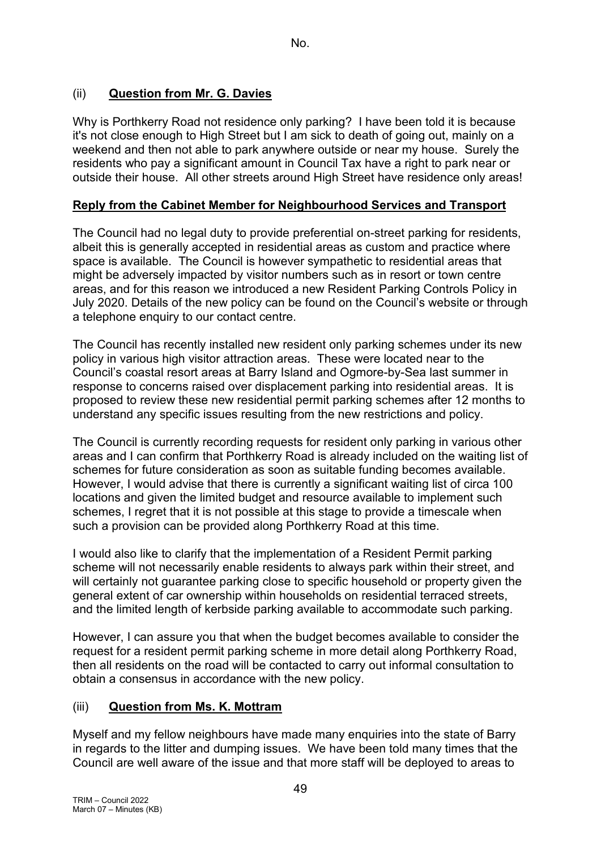# (ii) **Question from Mr. G. Davies**

Why is Porthkerry Road not residence only parking? I have been told it is because it's not close enough to High Street but I am sick to death of going out, mainly on a weekend and then not able to park anywhere outside or near my house. Surely the residents who pay a significant amount in Council Tax have a right to park near or outside their house. All other streets around High Street have residence only areas!

## **Reply from the Cabinet Member for Neighbourhood Services and Transport**

The Council had no legal duty to provide preferential on-street parking for residents, albeit this is generally accepted in residential areas as custom and practice where space is available. The Council is however sympathetic to residential areas that might be adversely impacted by visitor numbers such as in resort or town centre areas, and for this reason we introduced a new Resident Parking Controls Policy in July 2020. Details of the new policy can be found on the Council's website or through a telephone enquiry to our contact centre.

The Council has recently installed new resident only parking schemes under its new policy in various high visitor attraction areas. These were located near to the Council's coastal resort areas at Barry Island and Ogmore-by-Sea last summer in response to concerns raised over displacement parking into residential areas. It is proposed to review these new residential permit parking schemes after 12 months to understand any specific issues resulting from the new restrictions and policy.

The Council is currently recording requests for resident only parking in various other areas and I can confirm that Porthkerry Road is already included on the waiting list of schemes for future consideration as soon as suitable funding becomes available. However, I would advise that there is currently a significant waiting list of circa 100 locations and given the limited budget and resource available to implement such schemes, I regret that it is not possible at this stage to provide a timescale when such a provision can be provided along Porthkerry Road at this time.

I would also like to clarify that the implementation of a Resident Permit parking scheme will not necessarily enable residents to always park within their street, and will certainly not guarantee parking close to specific household or property given the general extent of car ownership within households on residential terraced streets, and the limited length of kerbside parking available to accommodate such parking.

However, I can assure you that when the budget becomes available to consider the request for a resident permit parking scheme in more detail along Porthkerry Road, then all residents on the road will be contacted to carry out informal consultation to obtain a consensus in accordance with the new policy.

# (iii) **Question from Ms. K. Mottram**

Myself and my fellow neighbours have made many enquiries into the state of Barry in regards to the litter and dumping issues. We have been told many times that the Council are well aware of the issue and that more staff will be deployed to areas to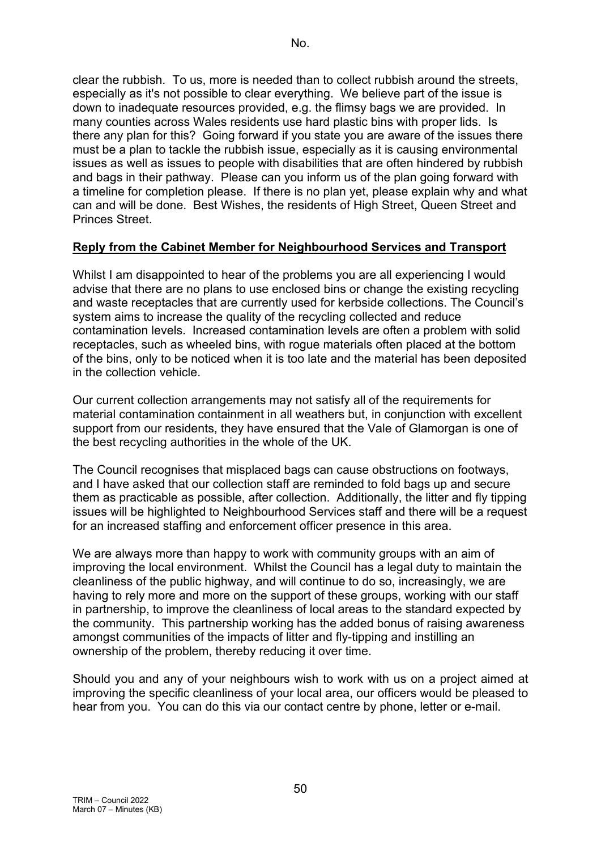clear the rubbish. To us, more is needed than to collect rubbish around the streets, especially as it's not possible to clear everything. We believe part of the issue is down to inadequate resources provided, e.g. the flimsy bags we are provided. In many counties across Wales residents use hard plastic bins with proper lids. Is there any plan for this? Going forward if you state you are aware of the issues there must be a plan to tackle the rubbish issue, especially as it is causing environmental issues as well as issues to people with disabilities that are often hindered by rubbish and bags in their pathway. Please can you inform us of the plan going forward with a timeline for completion please. If there is no plan yet, please explain why and what can and will be done. Best Wishes, the residents of High Street, Queen Street and Princes Street.

### **Reply from the Cabinet Member for Neighbourhood Services and Transport**

Whilst I am disappointed to hear of the problems you are all experiencing I would advise that there are no plans to use enclosed bins or change the existing recycling and waste receptacles that are currently used for kerbside collections. The Council's system aims to increase the quality of the recycling collected and reduce contamination levels. Increased contamination levels are often a problem with solid receptacles, such as wheeled bins, with rogue materials often placed at the bottom of the bins, only to be noticed when it is too late and the material has been deposited in the collection vehicle.

Our current collection arrangements may not satisfy all of the requirements for material contamination containment in all weathers but, in conjunction with excellent support from our residents, they have ensured that the Vale of Glamorgan is one of the best recycling authorities in the whole of the UK.

The Council recognises that misplaced bags can cause obstructions on footways, and I have asked that our collection staff are reminded to fold bags up and secure them as practicable as possible, after collection. Additionally, the litter and fly tipping issues will be highlighted to Neighbourhood Services staff and there will be a request for an increased staffing and enforcement officer presence in this area.

We are always more than happy to work with community groups with an aim of improving the local environment. Whilst the Council has a legal duty to maintain the cleanliness of the public highway, and will continue to do so, increasingly, we are having to rely more and more on the support of these groups, working with our staff in partnership, to improve the cleanliness of local areas to the standard expected by the community. This partnership working has the added bonus of raising awareness amongst communities of the impacts of litter and fly-tipping and instilling an ownership of the problem, thereby reducing it over time.

Should you and any of your neighbours wish to work with us on a project aimed at improving the specific cleanliness of your local area, our officers would be pleased to hear from you. You can do this via our contact centre by phone, letter or e-mail.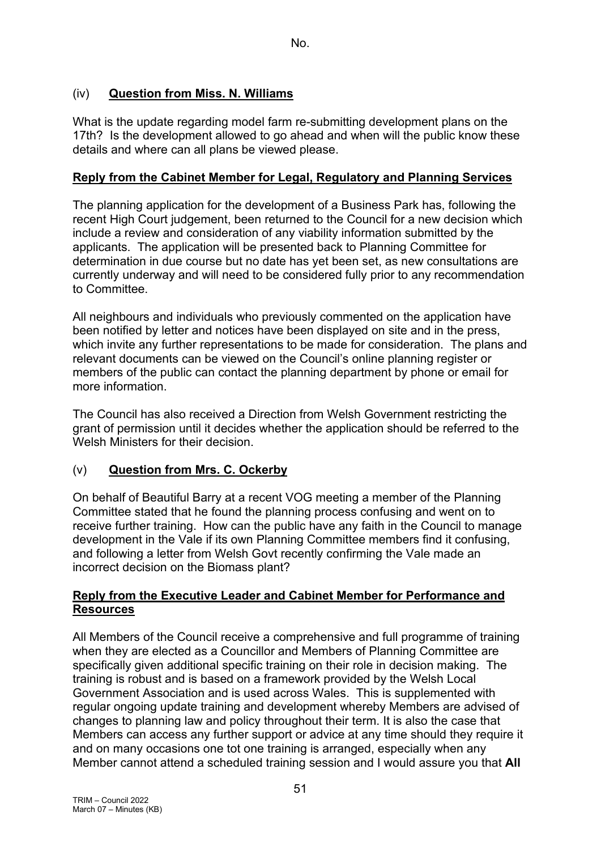## (iv) **Question from Miss. N. Williams**

What is the update regarding model farm re-submitting development plans on the 17th? Is the development allowed to go ahead and when will the public know these details and where can all plans be viewed please.

#### **Reply from the Cabinet Member for Legal, Regulatory and Planning Services**

The planning application for the development of a Business Park has, following the recent High Court judgement, been returned to the Council for a new decision which include a review and consideration of any viability information submitted by the applicants. The application will be presented back to Planning Committee for determination in due course but no date has yet been set, as new consultations are currently underway and will need to be considered fully prior to any recommendation to Committee.

All neighbours and individuals who previously commented on the application have been notified by letter and notices have been displayed on site and in the press, which invite any further representations to be made for consideration. The plans and relevant documents can be viewed on the Council's online planning register or members of the public can contact the planning department by phone or email for more information.

The Council has also received a Direction from Welsh Government restricting the grant of permission until it decides whether the application should be referred to the Welsh Ministers for their decision.

### (v) **Question from Mrs. C. Ockerby**

On behalf of Beautiful Barry at a recent VOG meeting a member of the Planning Committee stated that he found the planning process confusing and went on to receive further training. How can the public have any faith in the Council to manage development in the Vale if its own Planning Committee members find it confusing, and following a letter from Welsh Govt recently confirming the Vale made an incorrect decision on the Biomass plant?

### **Reply from the Executive Leader and Cabinet Member for Performance and Resources**

All Members of the Council receive a comprehensive and full programme of training when they are elected as a Councillor and Members of Planning Committee are specifically given additional specific training on their role in decision making. The training is robust and is based on a framework provided by the Welsh Local Government Association and is used across Wales. This is supplemented with regular ongoing update training and development whereby Members are advised of changes to planning law and policy throughout their term. It is also the case that Members can access any further support or advice at any time should they require it and on many occasions one tot one training is arranged, especially when any Member cannot attend a scheduled training session and I would assure you that **All**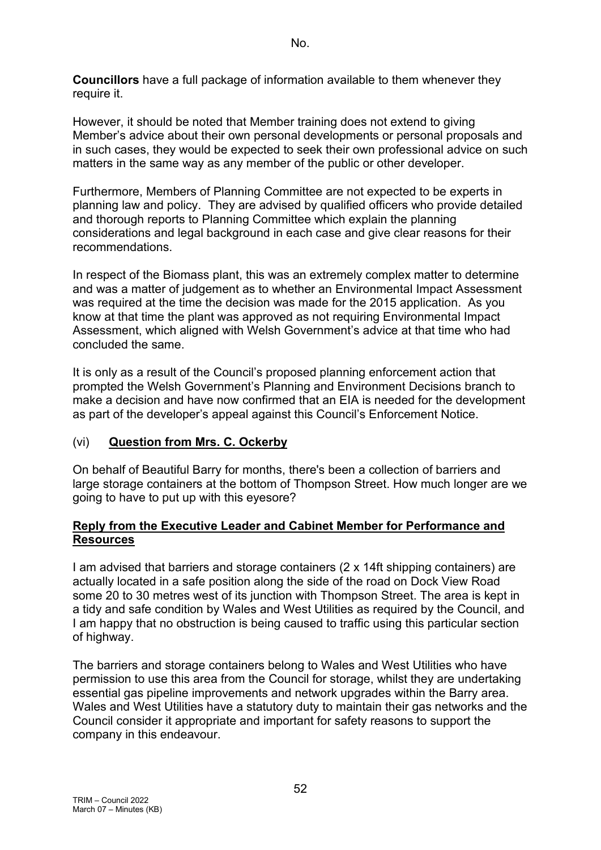**Councillors** have a full package of information available to them whenever they require it.

However, it should be noted that Member training does not extend to giving Member's advice about their own personal developments or personal proposals and in such cases, they would be expected to seek their own professional advice on such matters in the same way as any member of the public or other developer.

Furthermore, Members of Planning Committee are not expected to be experts in planning law and policy. They are advised by qualified officers who provide detailed and thorough reports to Planning Committee which explain the planning considerations and legal background in each case and give clear reasons for their recommendations.

In respect of the Biomass plant, this was an extremely complex matter to determine and was a matter of judgement as to whether an Environmental Impact Assessment was required at the time the decision was made for the 2015 application. As you know at that time the plant was approved as not requiring Environmental Impact Assessment, which aligned with Welsh Government's advice at that time who had concluded the same.

It is only as a result of the Council's proposed planning enforcement action that prompted the Welsh Government's Planning and Environment Decisions branch to make a decision and have now confirmed that an EIA is needed for the development as part of the developer's appeal against this Council's Enforcement Notice.

### (vi) **Question from Mrs. C. Ockerby**

On behalf of Beautiful Barry for months, there's been a collection of barriers and large storage containers at the bottom of Thompson Street. How much longer are we going to have to put up with this eyesore?

## **Reply from the Executive Leader and Cabinet Member for Performance and Resources**

I am advised that barriers and storage containers (2 x 14ft shipping containers) are actually located in a safe position along the side of the road on Dock View Road some 20 to 30 metres west of its junction with Thompson Street. The area is kept in a tidy and safe condition by Wales and West Utilities as required by the Council, and I am happy that no obstruction is being caused to traffic using this particular section of highway.

The barriers and storage containers belong to Wales and West Utilities who have permission to use this area from the Council for storage, whilst they are undertaking essential gas pipeline improvements and network upgrades within the Barry area. Wales and West Utilities have a statutory duty to maintain their gas networks and the Council consider it appropriate and important for safety reasons to support the company in this endeavour.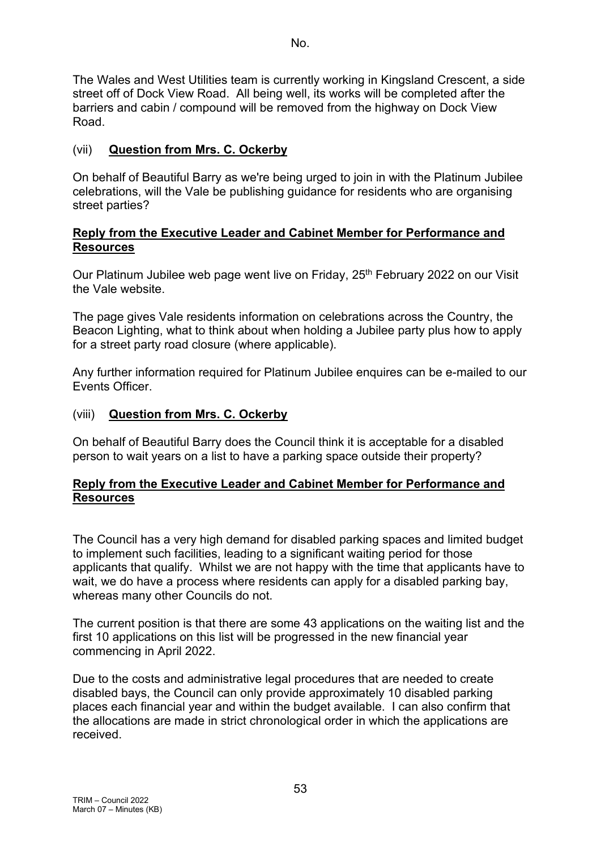The Wales and West Utilities team is currently working in Kingsland Crescent, a side street off of Dock View Road. All being well, its works will be completed after the barriers and cabin / compound will be removed from the highway on Dock View Road.

## (vii) **Question from Mrs. C. Ockerby**

On behalf of Beautiful Barry as we're being urged to join in with the Platinum Jubilee celebrations, will the Vale be publishing guidance for residents who are organising street parties?

#### **Reply from the Executive Leader and Cabinet Member for Performance and Resources**

Our Platinum Jubilee web page went live on Friday, 25<sup>th</sup> February 2022 on our Visit the Vale website.

The page gives Vale residents information on celebrations across the Country, the Beacon Lighting, what to think about when holding a Jubilee party plus how to apply for a street party road closure (where applicable).

Any further information required for Platinum Jubilee enquires can be e-mailed to our Events Officer.

### (viii) **Question from Mrs. C. Ockerby**

On behalf of Beautiful Barry does the Council think it is acceptable for a disabled person to wait years on a list to have a parking space outside their property?

#### **Reply from the Executive Leader and Cabinet Member for Performance and Resources**

The Council has a very high demand for disabled parking spaces and limited budget to implement such facilities, leading to a significant waiting period for those applicants that qualify. Whilst we are not happy with the time that applicants have to wait, we do have a process where residents can apply for a disabled parking bay, whereas many other Councils do not.

The current position is that there are some 43 applications on the waiting list and the first 10 applications on this list will be progressed in the new financial year commencing in April 2022.

Due to the costs and administrative legal procedures that are needed to create disabled bays, the Council can only provide approximately 10 disabled parking places each financial year and within the budget available. I can also confirm that the allocations are made in strict chronological order in which the applications are received.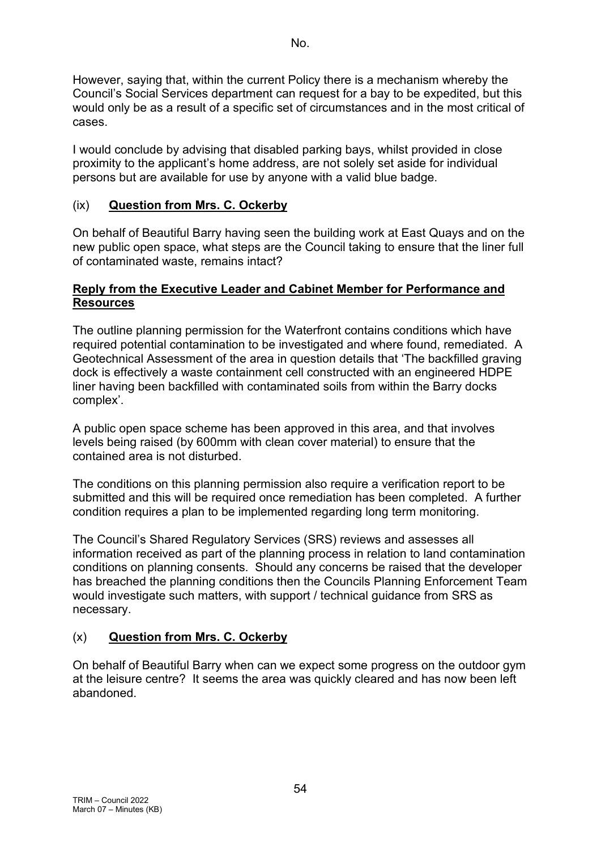However, saying that, within the current Policy there is a mechanism whereby the Council's Social Services department can request for a bay to be expedited, but this would only be as a result of a specific set of circumstances and in the most critical of cases.

I would conclude by advising that disabled parking bays, whilst provided in close proximity to the applicant's home address, are not solely set aside for individual persons but are available for use by anyone with a valid blue badge.

## (ix) **Question from Mrs. C. Ockerby**

On behalf of Beautiful Barry having seen the building work at East Quays and on the new public open space, what steps are the Council taking to ensure that the liner full of contaminated waste, remains intact?

### **Reply from the Executive Leader and Cabinet Member for Performance and Resources**

The outline planning permission for the Waterfront contains conditions which have required potential contamination to be investigated and where found, remediated. A Geotechnical Assessment of the area in question details that 'The backfilled graving dock is effectively a waste containment cell constructed with an engineered HDPE liner having been backfilled with contaminated soils from within the Barry docks complex'.

A public open space scheme has been approved in this area, and that involves levels being raised (by 600mm with clean cover material) to ensure that the contained area is not disturbed.

The conditions on this planning permission also require a verification report to be submitted and this will be required once remediation has been completed. A further condition requires a plan to be implemented regarding long term monitoring.

The Council's Shared Regulatory Services (SRS) reviews and assesses all information received as part of the planning process in relation to land contamination conditions on planning consents. Should any concerns be raised that the developer has breached the planning conditions then the Councils Planning Enforcement Team would investigate such matters, with support / technical guidance from SRS as necessary.

# (x) **Question from Mrs. C. Ockerby**

On behalf of Beautiful Barry when can we expect some progress on the outdoor gym at the leisure centre? It seems the area was quickly cleared and has now been left abandoned.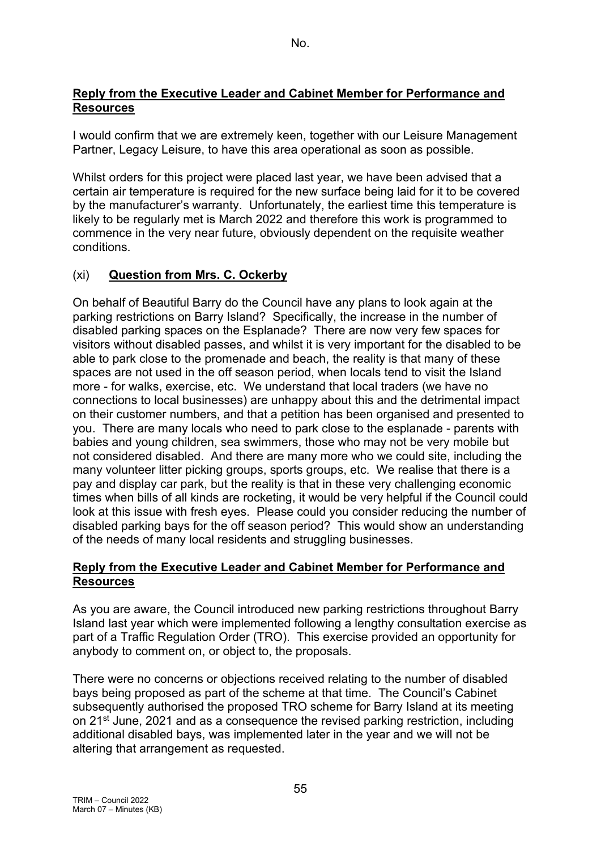#### **Reply from the Executive Leader and Cabinet Member for Performance and Resources**

I would confirm that we are extremely keen, together with our Leisure Management Partner, Legacy Leisure, to have this area operational as soon as possible.

Whilst orders for this project were placed last year, we have been advised that a certain air temperature is required for the new surface being laid for it to be covered by the manufacturer's warranty. Unfortunately, the earliest time this temperature is likely to be regularly met is March 2022 and therefore this work is programmed to commence in the very near future, obviously dependent on the requisite weather conditions.

## (xi) **Question from Mrs. C. Ockerby**

On behalf of Beautiful Barry do the Council have any plans to look again at the parking restrictions on Barry Island? Specifically, the increase in the number of disabled parking spaces on the Esplanade? There are now very few spaces for visitors without disabled passes, and whilst it is very important for the disabled to be able to park close to the promenade and beach, the reality is that many of these spaces are not used in the off season period, when locals tend to visit the Island more - for walks, exercise, etc. We understand that local traders (we have no connections to local businesses) are unhappy about this and the detrimental impact on their customer numbers, and that a petition has been organised and presented to you. There are many locals who need to park close to the esplanade - parents with babies and young children, sea swimmers, those who may not be very mobile but not considered disabled. And there are many more who we could site, including the many volunteer litter picking groups, sports groups, etc. We realise that there is a pay and display car park, but the reality is that in these very challenging economic times when bills of all kinds are rocketing, it would be very helpful if the Council could look at this issue with fresh eyes. Please could you consider reducing the number of disabled parking bays for the off season period? This would show an understanding of the needs of many local residents and struggling businesses.

#### **Reply from the Executive Leader and Cabinet Member for Performance and Resources**

As you are aware, the Council introduced new parking restrictions throughout Barry Island last year which were implemented following a lengthy consultation exercise as part of a Traffic Regulation Order (TRO). This exercise provided an opportunity for anybody to comment on, or object to, the proposals.

There were no concerns or objections received relating to the number of disabled bays being proposed as part of the scheme at that time. The Council's Cabinet subsequently authorised the proposed TRO scheme for Barry Island at its meeting on 21<sup>st</sup> June, 2021 and as a consequence the revised parking restriction, including additional disabled bays, was implemented later in the year and we will not be altering that arrangement as requested.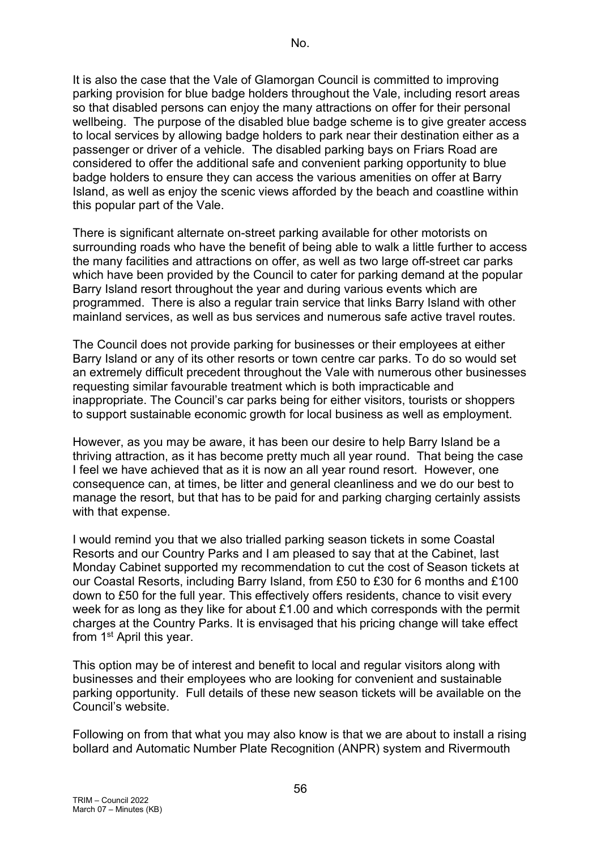It is also the case that the Vale of Glamorgan Council is committed to improving parking provision for blue badge holders throughout the Vale, including resort areas so that disabled persons can enjoy the many attractions on offer for their personal wellbeing. The purpose of the disabled blue badge scheme is to give greater access to local services by allowing badge holders to park near their destination either as a passenger or driver of a vehicle. The disabled parking bays on Friars Road are considered to offer the additional safe and convenient parking opportunity to blue badge holders to ensure they can access the various amenities on offer at Barry Island, as well as enjoy the scenic views afforded by the beach and coastline within this popular part of the Vale.

There is significant alternate on-street parking available for other motorists on surrounding roads who have the benefit of being able to walk a little further to access the many facilities and attractions on offer, as well as two large off-street car parks which have been provided by the Council to cater for parking demand at the popular Barry Island resort throughout the year and during various events which are programmed. There is also a regular train service that links Barry Island with other mainland services, as well as bus services and numerous safe active travel routes.

The Council does not provide parking for businesses or their employees at either Barry Island or any of its other resorts or town centre car parks. To do so would set an extremely difficult precedent throughout the Vale with numerous other businesses requesting similar favourable treatment which is both impracticable and inappropriate. The Council's car parks being for either visitors, tourists or shoppers to support sustainable economic growth for local business as well as employment.

However, as you may be aware, it has been our desire to help Barry Island be a thriving attraction, as it has become pretty much all year round. That being the case I feel we have achieved that as it is now an all year round resort. However, one consequence can, at times, be litter and general cleanliness and we do our best to manage the resort, but that has to be paid for and parking charging certainly assists with that expense.

I would remind you that we also trialled parking season tickets in some Coastal Resorts and our Country Parks and I am pleased to say that at the Cabinet, last Monday Cabinet supported my recommendation to cut the cost of Season tickets at our Coastal Resorts, including Barry Island, from £50 to £30 for 6 months and £100 down to £50 for the full year. This effectively offers residents, chance to visit every week for as long as they like for about £1.00 and which corresponds with the permit charges at the Country Parks. It is envisaged that his pricing change will take effect from 1<sup>st</sup> April this year.

This option may be of interest and benefit to local and regular visitors along with businesses and their employees who are looking for convenient and sustainable parking opportunity. Full details of these new season tickets will be available on the Council's website.

Following on from that what you may also know is that we are about to install a rising bollard and Automatic Number Plate Recognition (ANPR) system and Rivermouth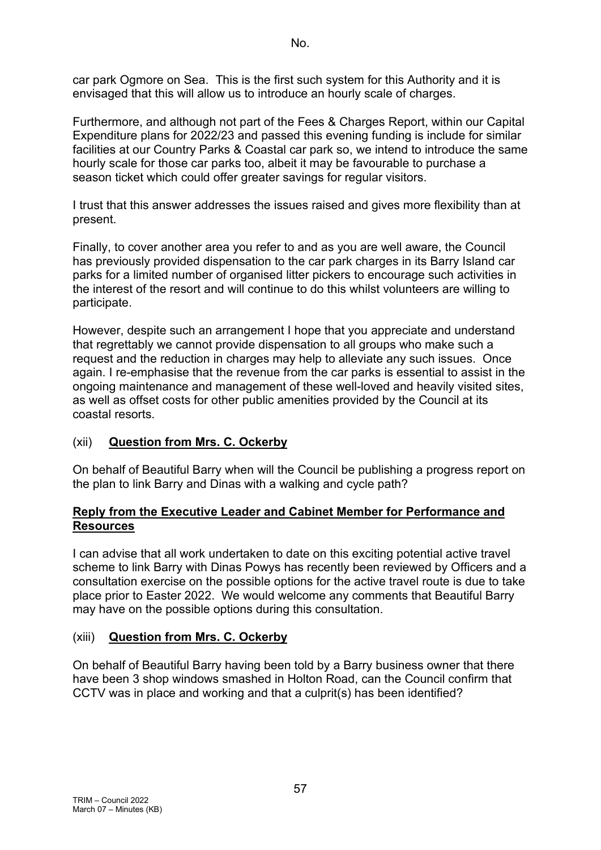car park Ogmore on Sea. This is the first such system for this Authority and it is envisaged that this will allow us to introduce an hourly scale of charges.

Furthermore, and although not part of the Fees & Charges Report, within our Capital Expenditure plans for 2022/23 and passed this evening funding is include for similar facilities at our Country Parks & Coastal car park so, we intend to introduce the same hourly scale for those car parks too, albeit it may be favourable to purchase a season ticket which could offer greater savings for regular visitors.

I trust that this answer addresses the issues raised and gives more flexibility than at present.

Finally, to cover another area you refer to and as you are well aware, the Council has previously provided dispensation to the car park charges in its Barry Island car parks for a limited number of organised litter pickers to encourage such activities in the interest of the resort and will continue to do this whilst volunteers are willing to participate.

However, despite such an arrangement I hope that you appreciate and understand that regrettably we cannot provide dispensation to all groups who make such a request and the reduction in charges may help to alleviate any such issues. Once again. I re-emphasise that the revenue from the car parks is essential to assist in the ongoing maintenance and management of these well-loved and heavily visited sites, as well as offset costs for other public amenities provided by the Council at its coastal resorts.

# (xii) **Question from Mrs. C. Ockerby**

On behalf of Beautiful Barry when will the Council be publishing a progress report on the plan to link Barry and Dinas with a walking and cycle path?

#### **Reply from the Executive Leader and Cabinet Member for Performance and Resources**

I can advise that all work undertaken to date on this exciting potential active travel scheme to link Barry with Dinas Powys has recently been reviewed by Officers and a consultation exercise on the possible options for the active travel route is due to take place prior to Easter 2022. We would welcome any comments that Beautiful Barry may have on the possible options during this consultation.

### (xiii) **Question from Mrs. C. Ockerby**

On behalf of Beautiful Barry having been told by a Barry business owner that there have been 3 shop windows smashed in Holton Road, can the Council confirm that CCTV was in place and working and that a culprit(s) has been identified?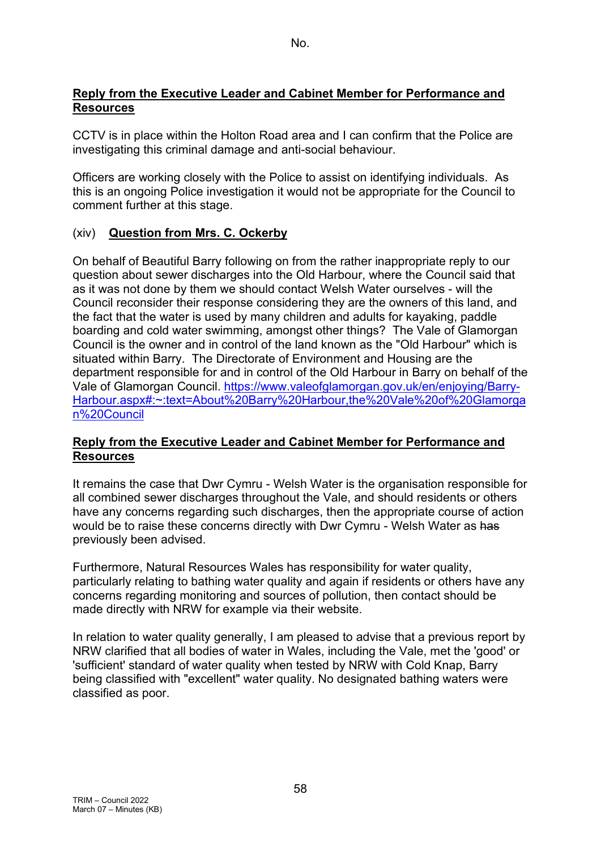### **Reply from the Executive Leader and Cabinet Member for Performance and Resources**

CCTV is in place within the Holton Road area and I can confirm that the Police are investigating this criminal damage and anti-social behaviour.

Officers are working closely with the Police to assist on identifying individuals. As this is an ongoing Police investigation it would not be appropriate for the Council to comment further at this stage.

# (xiv) **Question from Mrs. C. Ockerby**

On behalf of Beautiful Barry following on from the rather inappropriate reply to our question about sewer discharges into the Old Harbour, where the Council said that as it was not done by them we should contact Welsh Water ourselves - will the Council reconsider their response considering they are the owners of this land, and the fact that the water is used by many children and adults for kayaking, paddle boarding and cold water swimming, amongst other things? The Vale of Glamorgan Council is the owner and in control of the land known as the "Old Harbour" which is situated within Barry. The Directorate of Environment and Housing are the department responsible for and in control of the Old Harbour in Barry on behalf of the Vale of Glamorgan Council. [https://www.valeofglamorgan.gov.uk/en/enjoying/Barry-](https://www.valeofglamorgan.gov.uk/en/enjoying/Barry-Harbour.aspx#:%7E:text=About%20Barry%20Harbour,the%20Vale%20of%20Glamorgan%20Council)[Harbour.aspx#:~:text=About%20Barry%20Harbour,the%20Vale%20of%20Glamorga](https://www.valeofglamorgan.gov.uk/en/enjoying/Barry-Harbour.aspx#:%7E:text=About%20Barry%20Harbour,the%20Vale%20of%20Glamorgan%20Council) [n%20Council](https://www.valeofglamorgan.gov.uk/en/enjoying/Barry-Harbour.aspx#:%7E:text=About%20Barry%20Harbour,the%20Vale%20of%20Glamorgan%20Council)

#### **Reply from the Executive Leader and Cabinet Member for Performance and Resources**

It remains the case that Dwr Cymru - Welsh Water is the organisation responsible for all combined sewer discharges throughout the Vale, and should residents or others have any concerns regarding such discharges, then the appropriate course of action would be to raise these concerns directly with Dwr Cymru - Welsh Water as has previously been advised.

Furthermore, Natural Resources Wales has responsibility for water quality, particularly relating to bathing water quality and again if residents or others have any concerns regarding monitoring and sources of pollution, then contact should be made directly with NRW for example via their website.

In relation to water quality generally, I am pleased to advise that a previous report by NRW clarified that all bodies of water in Wales, including the Vale, met the 'good' or 'sufficient' standard of water quality when tested by NRW with Cold Knap, Barry being classified with "excellent" water quality. No designated bathing waters were classified as poor.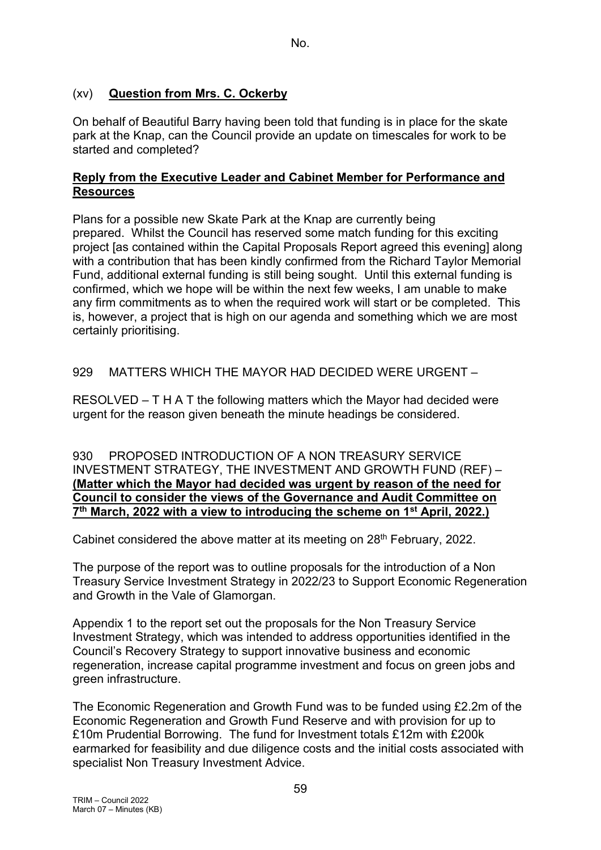## (xv) **Question from Mrs. C. Ockerby**

On behalf of Beautiful Barry having been told that funding is in place for the skate park at the Knap, can the Council provide an update on timescales for work to be started and completed?

#### **Reply from the Executive Leader and Cabinet Member for Performance and Resources**

Plans for a possible new Skate Park at the Knap are currently being prepared. Whilst the Council has reserved some match funding for this exciting project [as contained within the Capital Proposals Report agreed this evening] along with a contribution that has been kindly confirmed from the Richard Taylor Memorial Fund, additional external funding is still being sought. Until this external funding is confirmed, which we hope will be within the next few weeks, I am unable to make any firm commitments as to when the required work will start or be completed. This is, however, a project that is high on our agenda and something which we are most certainly prioritising.

### 929 MATTERS WHICH THE MAYOR HAD DECIDED WERE URGENT –

RESOLVED – T H A T the following matters which the Mayor had decided were urgent for the reason given beneath the minute headings be considered.

930 PROPOSED INTRODUCTION OF A NON TREASURY SERVICE INVESTMENT STRATEGY, THE INVESTMENT AND GROWTH FUND (REF) – **(Matter which the Mayor had decided was urgent by reason of the need for Council to consider the views of the Governance and Audit Committee on 7th March, 2022 with a view to introducing the scheme on 1st April, 2022.)**

Cabinet considered the above matter at its meeting on 28<sup>th</sup> February, 2022.

The purpose of the report was to outline proposals for the introduction of a Non Treasury Service Investment Strategy in 2022/23 to Support Economic Regeneration and Growth in the Vale of Glamorgan.

Appendix 1 to the report set out the proposals for the Non Treasury Service Investment Strategy, which was intended to address opportunities identified in the Council's Recovery Strategy to support innovative business and economic regeneration, increase capital programme investment and focus on green jobs and green infrastructure.

The Economic Regeneration and Growth Fund was to be funded using £2.2m of the Economic Regeneration and Growth Fund Reserve and with provision for up to £10m Prudential Borrowing. The fund for Investment totals £12m with £200k earmarked for feasibility and due diligence costs and the initial costs associated with specialist Non Treasury Investment Advice.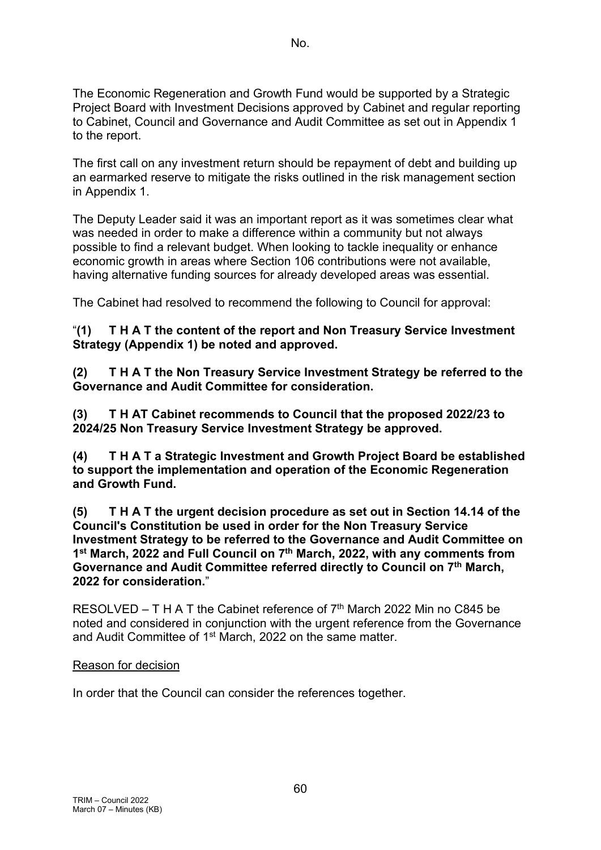The Economic Regeneration and Growth Fund would be supported by a Strategic Project Board with Investment Decisions approved by Cabinet and regular reporting to Cabinet, Council and Governance and Audit Committee as set out in Appendix 1 to the report.

The first call on any investment return should be repayment of debt and building up an earmarked reserve to mitigate the risks outlined in the risk management section in Appendix 1.

The Deputy Leader said it was an important report as it was sometimes clear what was needed in order to make a difference within a community but not always possible to find a relevant budget. When looking to tackle inequality or enhance economic growth in areas where Section 106 contributions were not available, having alternative funding sources for already developed areas was essential.

The Cabinet had resolved to recommend the following to Council for approval:

### "**(1) T H A T the content of the report and Non Treasury Service Investment Strategy (Appendix 1) be noted and approved.**

**(2) T H A T the Non Treasury Service Investment Strategy be referred to the Governance and Audit Committee for consideration.**

**(3) T H AT Cabinet recommends to Council that the proposed 2022/23 to 2024/25 Non Treasury Service Investment Strategy be approved.**

**(4) T H A T a Strategic Investment and Growth Project Board be established to support the implementation and operation of the Economic Regeneration and Growth Fund.**

**(5) T H A T the urgent decision procedure as set out in Section 14.14 of the Council's Constitution be used in order for the Non Treasury Service Investment Strategy to be referred to the Governance and Audit Committee on 1st March, 2022 and Full Council on 7th March, 2022, with any comments from Governance and Audit Committee referred directly to Council on 7th March, 2022 for consideration.**"

RESOLVED – T H A T the Cabinet reference of 7<sup>th</sup> March 2022 Min no C845 be noted and considered in conjunction with the urgent reference from the Governance and Audit Committee of 1<sup>st</sup> March, 2022 on the same matter.

### Reason for decision

In order that the Council can consider the references together.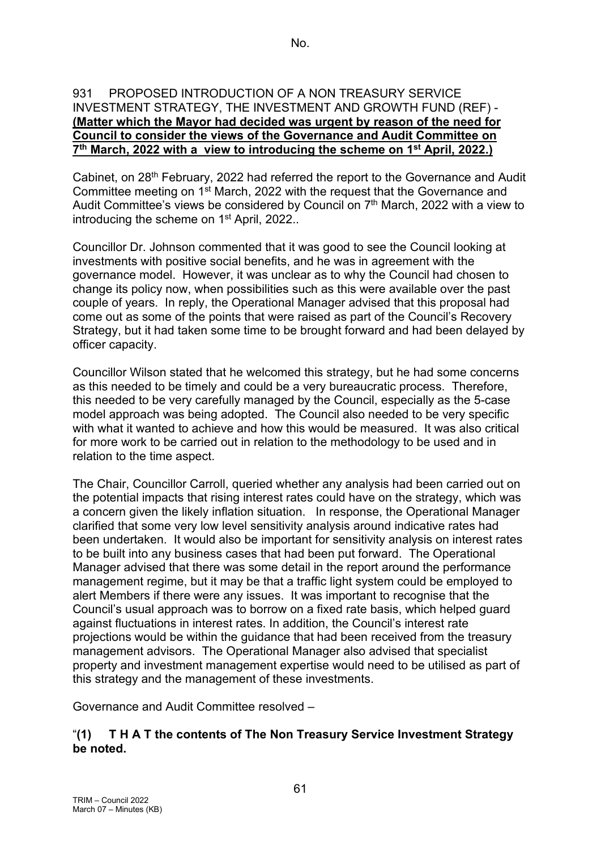#### 931 PROPOSED INTRODUCTION OF A NON TREASURY SERVICE INVESTMENT STRATEGY, THE INVESTMENT AND GROWTH FUND (REF) - **(Matter which the Mayor had decided was urgent by reason of the need for Council to consider the views of the Governance and Audit Committee on 7th March, 2022 with a view to introducing the scheme on 1st April, 2022.)**

Cabinet, on 28<sup>th</sup> February, 2022 had referred the report to the Governance and Audit Committee meeting on 1st March, 2022 with the request that the Governance and Audit Committee's views be considered by Council on 7<sup>th</sup> March, 2022 with a view to introducing the scheme on 1<sup>st</sup> April, 2022..

Councillor Dr. Johnson commented that it was good to see the Council looking at investments with positive social benefits, and he was in agreement with the governance model. However, it was unclear as to why the Council had chosen to change its policy now, when possibilities such as this were available over the past couple of years. In reply, the Operational Manager advised that this proposal had come out as some of the points that were raised as part of the Council's Recovery Strategy, but it had taken some time to be brought forward and had been delayed by officer capacity.

Councillor Wilson stated that he welcomed this strategy, but he had some concerns as this needed to be timely and could be a very bureaucratic process. Therefore, this needed to be very carefully managed by the Council, especially as the 5-case model approach was being adopted. The Council also needed to be very specific with what it wanted to achieve and how this would be measured. It was also critical for more work to be carried out in relation to the methodology to be used and in relation to the time aspect.

The Chair, Councillor Carroll, queried whether any analysis had been carried out on the potential impacts that rising interest rates could have on the strategy, which was a concern given the likely inflation situation. In response, the Operational Manager clarified that some very low level sensitivity analysis around indicative rates had been undertaken. It would also be important for sensitivity analysis on interest rates to be built into any business cases that had been put forward. The Operational Manager advised that there was some detail in the report around the performance management regime, but it may be that a traffic light system could be employed to alert Members if there were any issues. It was important to recognise that the Council's usual approach was to borrow on a fixed rate basis, which helped guard against fluctuations in interest rates. In addition, the Council's interest rate projections would be within the guidance that had been received from the treasury management advisors. The Operational Manager also advised that specialist property and investment management expertise would need to be utilised as part of this strategy and the management of these investments.

Governance and Audit Committee resolved –

## "**(1) T H A T the contents of The Non Treasury Service Investment Strategy be noted.**